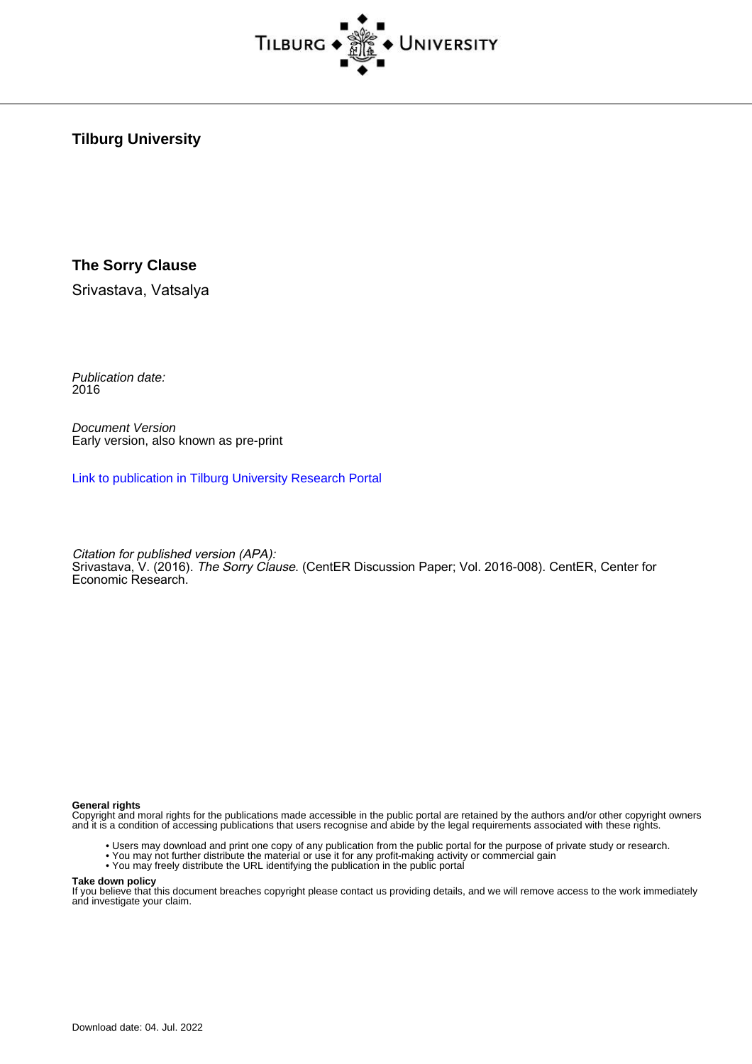

**Tilburg University**

#### **The Sorry Clause**

Srivastava, Vatsalya

Publication date: 2016

Document Version Early version, also known as pre-print

[Link to publication in Tilburg University Research Portal](https://research.tilburguniversity.edu/en/publications/51d65f16-812c-4fbd-9cd2-f3609b6bcd81)

Citation for published version (APA): Srivastava, V. (2016). *The Sorry Clause*. (CentER Discussion Paper; Vol. 2016-008). CentER, Center for Economic Research.

#### **General rights**

Copyright and moral rights for the publications made accessible in the public portal are retained by the authors and/or other copyright owners and it is a condition of accessing publications that users recognise and abide by the legal requirements associated with these rights.

- Users may download and print one copy of any publication from the public portal for the purpose of private study or research.
- You may not further distribute the material or use it for any profit-making activity or commercial gain
- You may freely distribute the URL identifying the publication in the public portal

#### **Take down policy**

If you believe that this document breaches copyright please contact us providing details, and we will remove access to the work immediately and investigate your claim.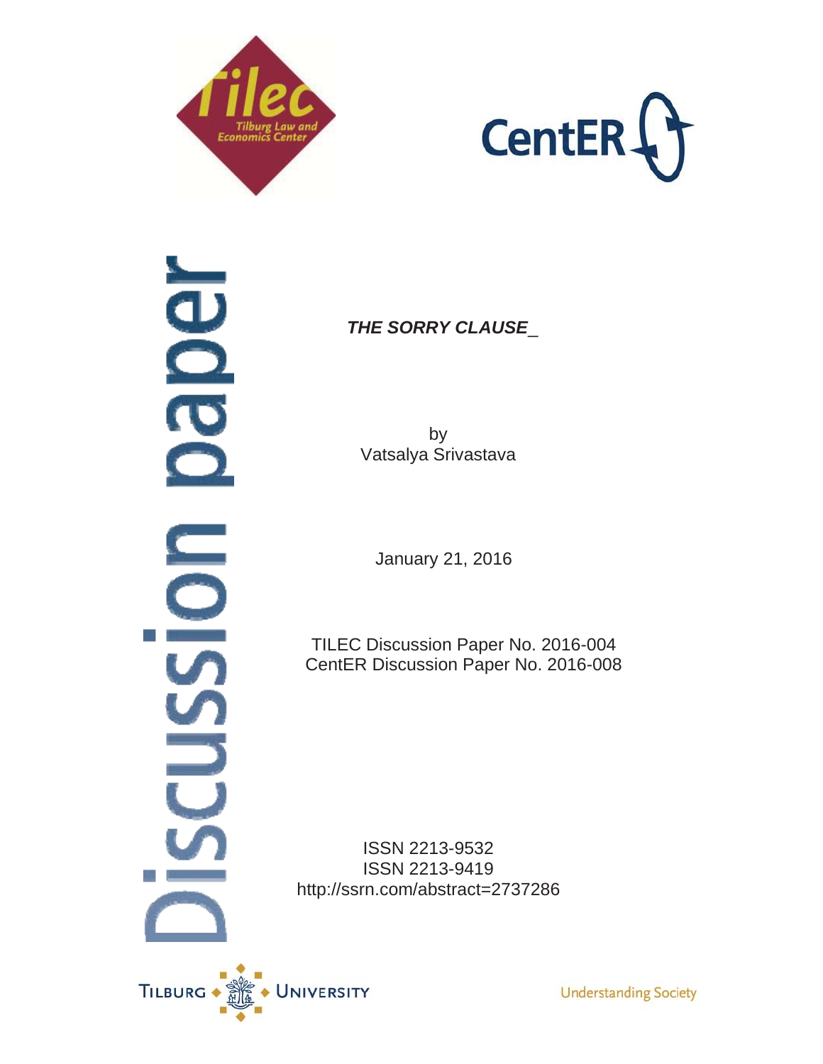



dper **ODI USSU** 

*THE SORRY CLAUSE*\_

by Vatsalya Srivastava

January 21, 2016

TILEC Discussion Paper No. 2016-004 CentER Discussion Paper No. 2016-008

ISSN 2213-9532 ISSN 2213-9419 http://ssrn.com/abstract=2737286



**Understanding Society**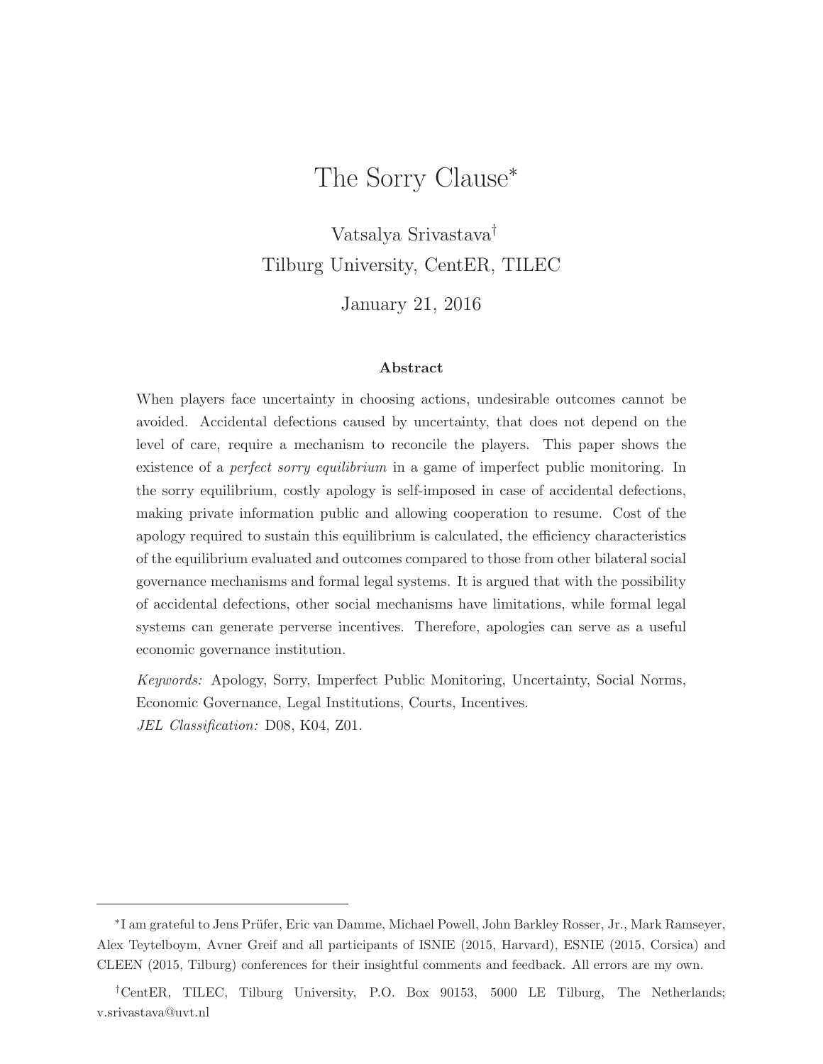# The Sorry Clause<sup>∗</sup>

Vatsalya Srivastava† Tilburg University, CentER, TILEC

January 21, 2016

#### **Abstract**

When players face uncertainty in choosing actions, undesirable outcomes cannot be avoided. Accidental defections caused by uncertainty, that does not depend on the level of care, require a mechanism to reconcile the players. This paper shows the existence of a *perfect sorry equilibrium* in a game of imperfect public monitoring. In the sorry equilibrium, costly apology is self-imposed in case of accidental defections, making private information public and allowing cooperation to resume. Cost of the apology required to sustain this equilibrium is calculated, the efficiency characteristics of the equilibrium evaluated and outcomes compared to those from other bilateral social governance mechanisms and formal legal systems. It is argued that with the possibility of accidental defections, other social mechanisms have limitations, while formal legal systems can generate perverse incentives. Therefore, apologies can serve as a useful economic governance institution.

Keywords: Apology, Sorry, Imperfect Public Monitoring, Uncertainty, Social Norms, Economic Governance, Legal Institutions, Courts, Incentives. JEL Classification: D08, K04, Z01.

<sup>∗</sup>I am grateful to Jens Pr¨ufer, Eric van Damme, Michael Powell, John Barkley Rosser, Jr., Mark Ramseyer, Alex Teytelboym, Avner Greif and all participants of ISNIE (2015, Harvard), ESNIE (2015, Corsica) and CLEEN (2015, Tilburg) conferences for their insightful comments and feedback. All errors are my own.

<sup>†</sup>CentER, TILEC, Tilburg University, P.O. Box 90153, 5000 LE Tilburg, The Netherlands; v.srivastava@uvt.nl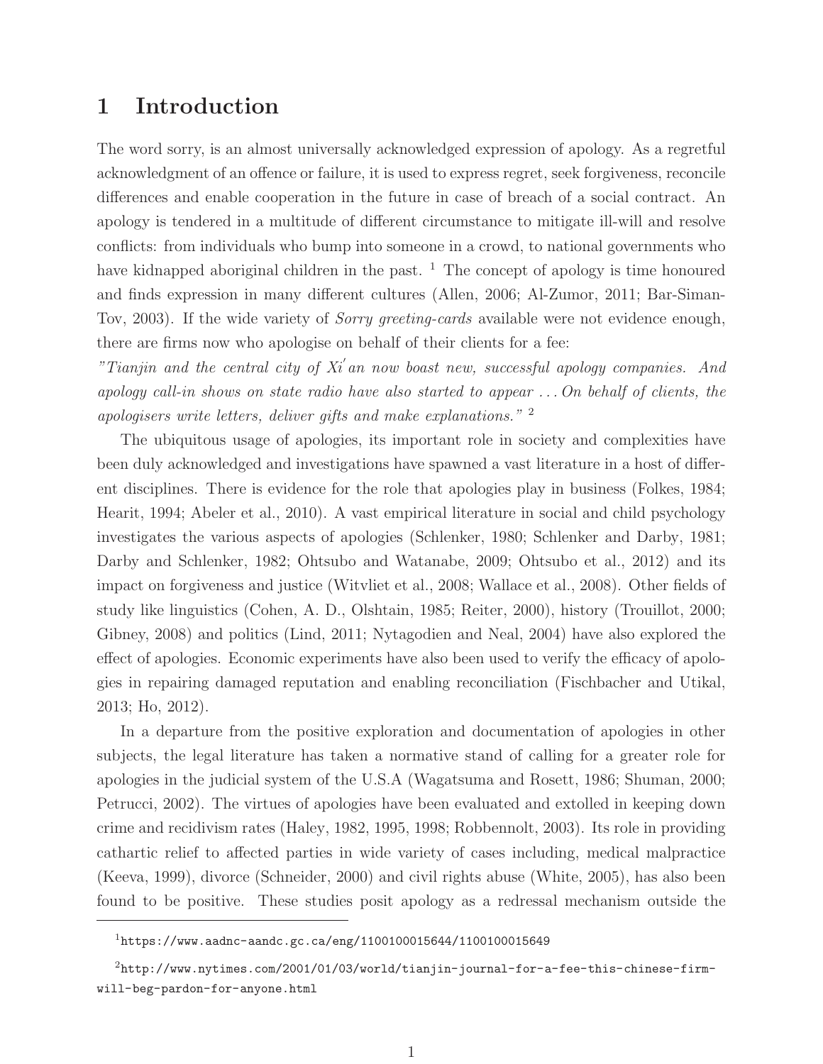## **1 Introduction**

The word sorry, is an almost universally acknowledged expression of apology. As a regretful acknowledgment of an offence or failure, it is used to express regret, seek forgiveness, reconcile differences and enable cooperation in the future in case of breach of a social contract. An apology is tendered in a multitude of different circumstance to mitigate ill-will and resolve conflicts: from individuals who bump into someone in a crowd, to national governments who have kidnapped aboriginal children in the past.  $\frac{1}{1}$  The concept of apology is time honoured and finds expression in many different cultures (Allen, 2006; Al-Zumor, 2011; Bar-Siman-Tov, 2003). If the wide variety of *Sorry greeting-cards* available were not evidence enough, there are firms now who apologise on behalf of their clients for a fee:

"Tianjin and the central city of  $X_i$  an now boast new, successful apology companies. And apology call-in shows on state radio have also started to appear . . . On behalf of clients, the apologisers write letters, deliver gifts and make explanations." <sup>2</sup>

The ubiquitous usage of apologies, its important role in society and complexities have been duly acknowledged and investigations have spawned a vast literature in a host of different disciplines. There is evidence for the role that apologies play in business (Folkes, 1984; Hearit, 1994; Abeler et al., 2010). A vast empirical literature in social and child psychology investigates the various aspects of apologies (Schlenker, 1980; Schlenker and Darby, 1981; Darby and Schlenker, 1982; Ohtsubo and Watanabe, 2009; Ohtsubo et al., 2012) and its impact on forgiveness and justice (Witvliet et al., 2008; Wallace et al., 2008). Other fields of study like linguistics (Cohen, A. D., Olshtain, 1985; Reiter, 2000), history (Trouillot, 2000; Gibney, 2008) and politics (Lind, 2011; Nytagodien and Neal, 2004) have also explored the effect of apologies. Economic experiments have also been used to verify the efficacy of apologies in repairing damaged reputation and enabling reconciliation (Fischbacher and Utikal, 2013; Ho, 2012).

In a departure from the positive exploration and documentation of apologies in other subjects, the legal literature has taken a normative stand of calling for a greater role for apologies in the judicial system of the U.S.A (Wagatsuma and Rosett, 1986; Shuman, 2000; Petrucci, 2002). The virtues of apologies have been evaluated and extolled in keeping down crime and recidivism rates (Haley, 1982, 1995, 1998; Robbennolt, 2003). Its role in providing cathartic relief to affected parties in wide variety of cases including, medical malpractice (Keeva, 1999), divorce (Schneider, 2000) and civil rights abuse (White, 2005), has also been found to be positive. These studies posit apology as a redressal mechanism outside the

<sup>1</sup>https://www.aadnc-aandc.gc.ca/eng/1100100015644/1100100015649

<sup>2</sup>http://www.nytimes.com/2001/01/03/world/tianjin-journal-for-a-fee-this-chinese-firmwill-beg-pardon-for-anyone.html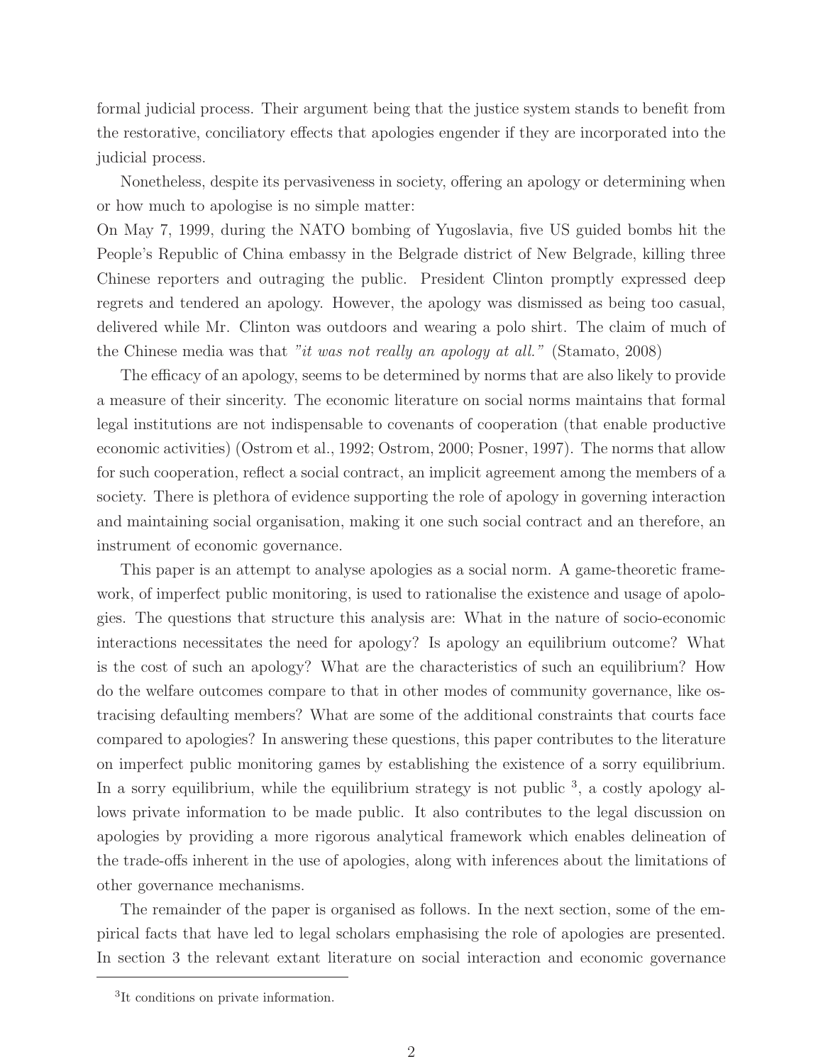formal judicial process. Their argument being that the justice system stands to benefit from the restorative, conciliatory effects that apologies engender if they are incorporated into the judicial process.

Nonetheless, despite its pervasiveness in society, offering an apology or determining when or how much to apologise is no simple matter:

On May 7, 1999, during the NATO bombing of Yugoslavia, five US guided bombs hit the People's Republic of China embassy in the Belgrade district of New Belgrade, killing three Chinese reporters and outraging the public. President Clinton promptly expressed deep regrets and tendered an apology. However, the apology was dismissed as being too casual, delivered while Mr. Clinton was outdoors and wearing a polo shirt. The claim of much of the Chinese media was that "it was not really an apology at all." (Stamato, 2008)

The efficacy of an apology, seems to be determined by norms that are also likely to provide a measure of their sincerity. The economic literature on social norms maintains that formal legal institutions are not indispensable to covenants of cooperation (that enable productive economic activities) (Ostrom et al., 1992; Ostrom, 2000; Posner, 1997). The norms that allow for such cooperation, reflect a social contract, an implicit agreement among the members of a society. There is plethora of evidence supporting the role of apology in governing interaction and maintaining social organisation, making it one such social contract and an therefore, an instrument of economic governance.

This paper is an attempt to analyse apologies as a social norm. A game-theoretic framework, of imperfect public monitoring, is used to rationalise the existence and usage of apologies. The questions that structure this analysis are: What in the nature of socio-economic interactions necessitates the need for apology? Is apology an equilibrium outcome? What is the cost of such an apology? What are the characteristics of such an equilibrium? How do the welfare outcomes compare to that in other modes of community governance, like ostracising defaulting members? What are some of the additional constraints that courts face compared to apologies? In answering these questions, this paper contributes to the literature on imperfect public monitoring games by establishing the existence of a sorry equilibrium. In a sorry equilibrium, while the equilibrium strategy is not public  $3$ , a costly apology allows private information to be made public. It also contributes to the legal discussion on apologies by providing a more rigorous analytical framework which enables delineation of the trade-offs inherent in the use of apologies, along with inferences about the limitations of other governance mechanisms.

The remainder of the paper is organised as follows. In the next section, some of the empirical facts that have led to legal scholars emphasising the role of apologies are presented. In section 3 the relevant extant literature on social interaction and economic governance

<sup>&</sup>lt;sup>3</sup>It conditions on private information.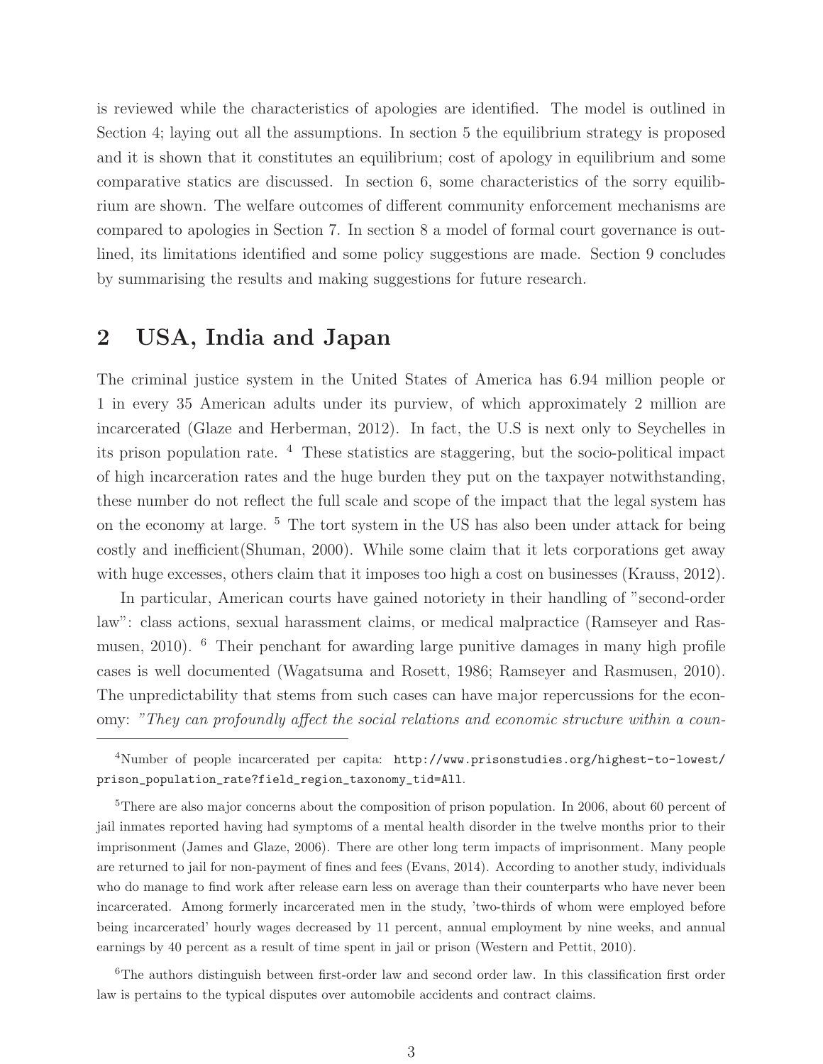is reviewed while the characteristics of apologies are identified. The model is outlined in Section 4; laying out all the assumptions. In section 5 the equilibrium strategy is proposed and it is shown that it constitutes an equilibrium; cost of apology in equilibrium and some comparative statics are discussed. In section 6, some characteristics of the sorry equilibrium are shown. The welfare outcomes of different community enforcement mechanisms are compared to apologies in Section 7. In section 8 a model of formal court governance is outlined, its limitations identified and some policy suggestions are made. Section 9 concludes by summarising the results and making suggestions for future research.

## **2 USA, India and Japan**

The criminal justice system in the United States of America has 6.94 million people or 1 in every 35 American adults under its purview, of which approximately 2 million are incarcerated (Glaze and Herberman, 2012). In fact, the U.S is next only to Seychelles in its prison population rate. <sup>4</sup> These statistics are staggering, but the socio-political impact of high incarceration rates and the huge burden they put on the taxpayer notwithstanding, these number do not reflect the full scale and scope of the impact that the legal system has on the economy at large. <sup>5</sup> The tort system in the US has also been under attack for being costly and inefficient(Shuman, 2000). While some claim that it lets corporations get away with huge excesses, others claim that it imposes too high a cost on businesses (Krauss, 2012).

In particular, American courts have gained notoriety in their handling of "second-order law": class actions, sexual harassment claims, or medical malpractice (Ramseyer and Rasmusen, 2010). <sup>6</sup> Their penchant for awarding large punitive damages in many high profile cases is well documented (Wagatsuma and Rosett, 1986; Ramseyer and Rasmusen, 2010). The unpredictability that stems from such cases can have major repercussions for the economy: "They can profoundly affect the social relations and economic structure within a coun-

<sup>6</sup>The authors distinguish between first-order law and second order law. In this classification first order law is pertains to the typical disputes over automobile accidents and contract claims.

<sup>4</sup>Number of people incarcerated per capita: http://www.prisonstudies.org/highest-to-lowest/ prison\_population\_rate?field\_region\_taxonomy\_tid=All.

<sup>&</sup>lt;sup>5</sup>There are also major concerns about the composition of prison population. In 2006, about 60 percent of jail inmates reported having had symptoms of a mental health disorder in the twelve months prior to their imprisonment (James and Glaze, 2006). There are other long term impacts of imprisonment. Many people are returned to jail for non-payment of fines and fees (Evans, 2014). According to another study, individuals who do manage to find work after release earn less on average than their counterparts who have never been incarcerated. Among formerly incarcerated men in the study, 'two-thirds of whom were employed before being incarcerated' hourly wages decreased by 11 percent, annual employment by nine weeks, and annual earnings by 40 percent as a result of time spent in jail or prison (Western and Pettit, 2010).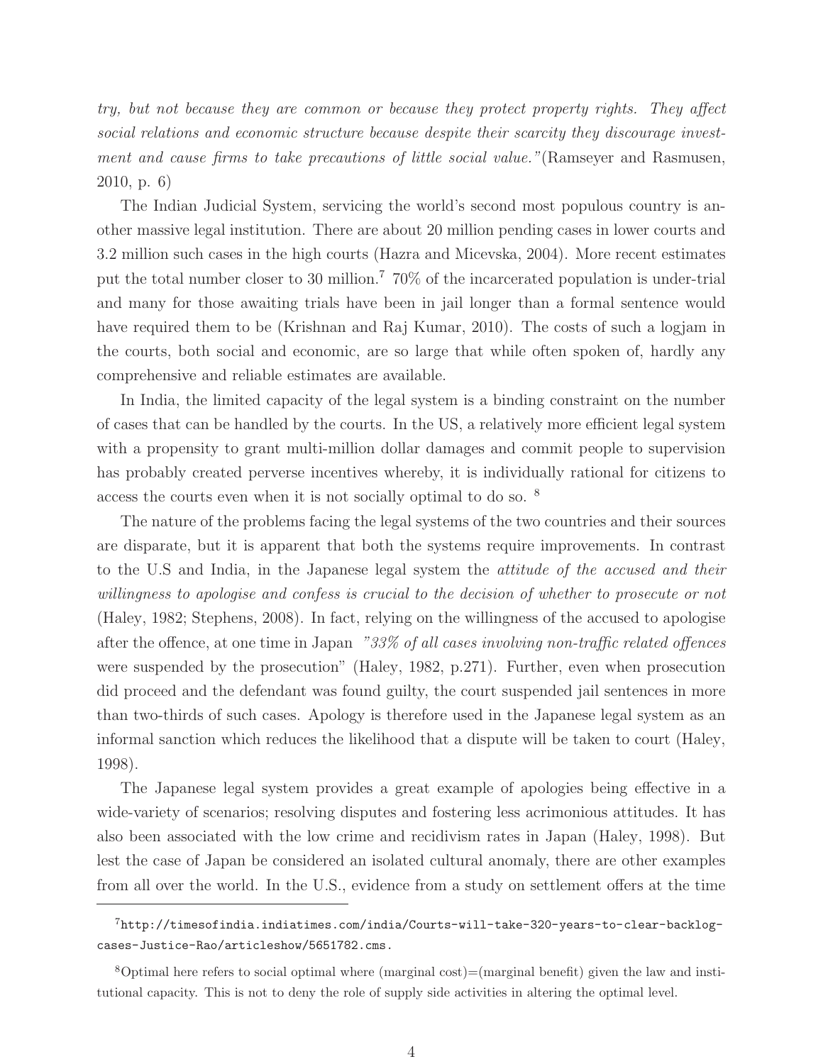try, but not because they are common or because they protect property rights. They affect social relations and economic structure because despite their scarcity they discourage investment and cause firms to take precautions of little social value."(Ramseyer and Rasmusen, 2010, p. 6)

The Indian Judicial System, servicing the world's second most populous country is another massive legal institution. There are about 20 million pending cases in lower courts and 3.2 million such cases in the high courts (Hazra and Micevska, 2004). More recent estimates put the total number closer to 30 million.<sup>7</sup> 70% of the incarcerated population is under-trial and many for those awaiting trials have been in jail longer than a formal sentence would have required them to be (Krishnan and Raj Kumar, 2010). The costs of such a logjam in the courts, both social and economic, are so large that while often spoken of, hardly any comprehensive and reliable estimates are available.

In India, the limited capacity of the legal system is a binding constraint on the number of cases that can be handled by the courts. In the US, a relatively more efficient legal system with a propensity to grant multi-million dollar damages and commit people to supervision has probably created perverse incentives whereby, it is individually rational for citizens to access the courts even when it is not socially optimal to do so. <sup>8</sup>

The nature of the problems facing the legal systems of the two countries and their sources are disparate, but it is apparent that both the systems require improvements. In contrast to the U.S and India, in the Japanese legal system the attitude of the accused and their willingness to apologise and confess is crucial to the decision of whether to prosecute or not (Haley, 1982; Stephens, 2008). In fact, relying on the willingness of the accused to apologise after the offence, at one time in Japan "33% of all cases involving non-traffic related offences were suspended by the prosecution" (Haley, 1982, p.271). Further, even when prosecution did proceed and the defendant was found guilty, the court suspended jail sentences in more than two-thirds of such cases. Apology is therefore used in the Japanese legal system as an informal sanction which reduces the likelihood that a dispute will be taken to court (Haley, 1998).

The Japanese legal system provides a great example of apologies being effective in a wide-variety of scenarios; resolving disputes and fostering less acrimonious attitudes. It has also been associated with the low crime and recidivism rates in Japan (Haley, 1998). But lest the case of Japan be considered an isolated cultural anomaly, there are other examples from all over the world. In the U.S., evidence from a study on settlement offers at the time

<sup>7</sup>http://timesofindia.indiatimes.com/india/Courts-will-take-320-years-to-clear-backlogcases-Justice-Rao/articleshow/5651782.cms.

 $8$ Optimal here refers to social optimal where (marginal cost)=(marginal benefit) given the law and institutional capacity. This is not to deny the role of supply side activities in altering the optimal level.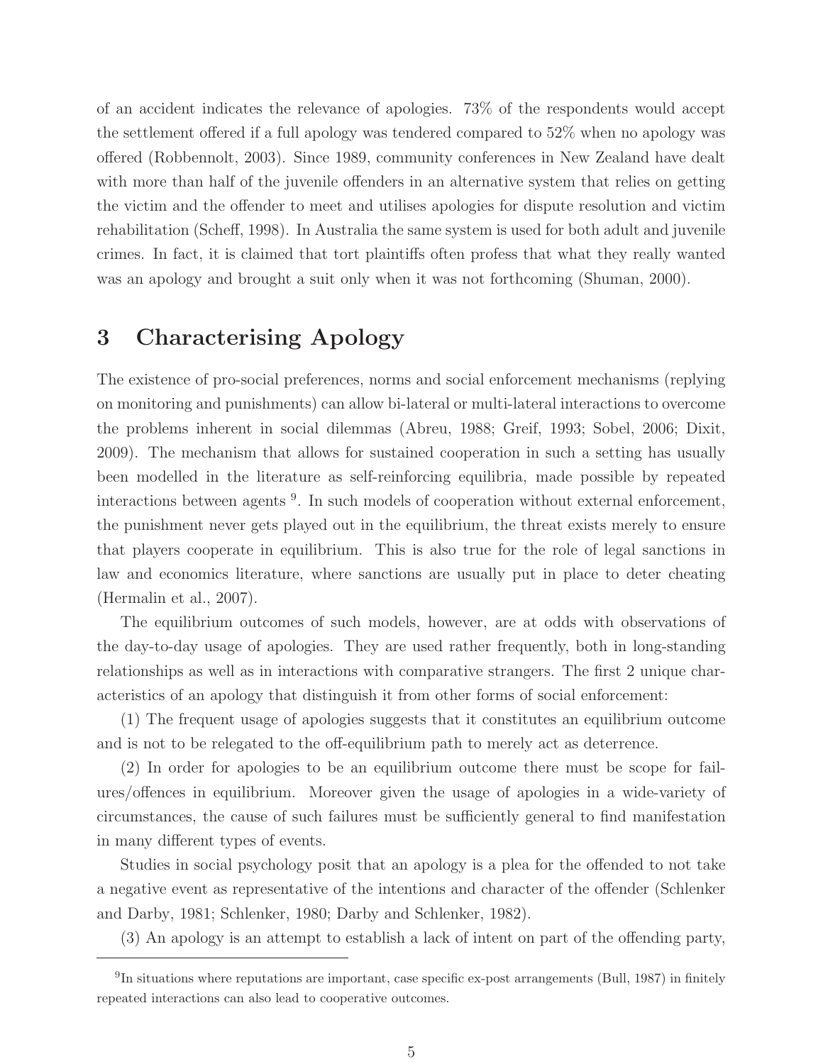of an accident indicates the relevance of apologies. 73% of the respondents would accept the settlement offered if a full apology was tendered compared to 52% when no apology was offered (Robbennolt, 2003). Since 1989, community conferences in New Zealand have dealt with more than half of the juvenile offenders in an alternative system that relies on getting the victim and the offender to meet and utilises apologies for dispute resolution and victim rehabilitation (Scheff, 1998). In Australia the same system is used for both adult and juvenile crimes. In fact, it is claimed that tort plaintiffs often profess that what they really wanted was an apology and brought a suit only when it was not forthcoming (Shuman, 2000).

# **3 Characterising Apology**

The existence of pro-social preferences, norms and social enforcement mechanisms (replying on monitoring and punishments) can allow bi-lateral or multi-lateral interactions to overcome the problems inherent in social dilemmas (Abreu, 1988; Greif, 1993; Sobel, 2006; Dixit, 2009). The mechanism that allows for sustained cooperation in such a setting has usually been modelled in the literature as self-reinforcing equilibria, made possible by repeated interactions between agents <sup>9</sup>. In such models of cooperation without external enforcement, the punishment never gets played out in the equilibrium, the threat exists merely to ensure that players cooperate in equilibrium. This is also true for the role of legal sanctions in law and economics literature, where sanctions are usually put in place to deter cheating (Hermalin et al., 2007).

The equilibrium outcomes of such models, however, are at odds with observations of the day-to-day usage of apologies. They are used rather frequently, both in long-standing relationships as well as in interactions with comparative strangers. The first 2 unique characteristics of an apology that distinguish it from other forms of social enforcement:

(1) The frequent usage of apologies suggests that it constitutes an equilibrium outcome and is not to be relegated to the off-equilibrium path to merely act as deterrence.

(2) In order for apologies to be an equilibrium outcome there must be scope for failures/offences in equilibrium. Moreover given the usage of apologies in a wide-variety of circumstances, the cause of such failures must be sufficiently general to find manifestation in many different types of events.

Studies in social psychology posit that an apology is a plea for the offended to not take a negative event as representative of the intentions and character of the offender (Schlenker and Darby, 1981; Schlenker, 1980; Darby and Schlenker, 1982).

(3) An apology is an attempt to establish a lack of intent on part of the offending party,

<sup>9</sup>In situations where reputations are important, case specific ex-post arrangements (Bull, 1987) in finitely repeated interactions can also lead to cooperative outcomes.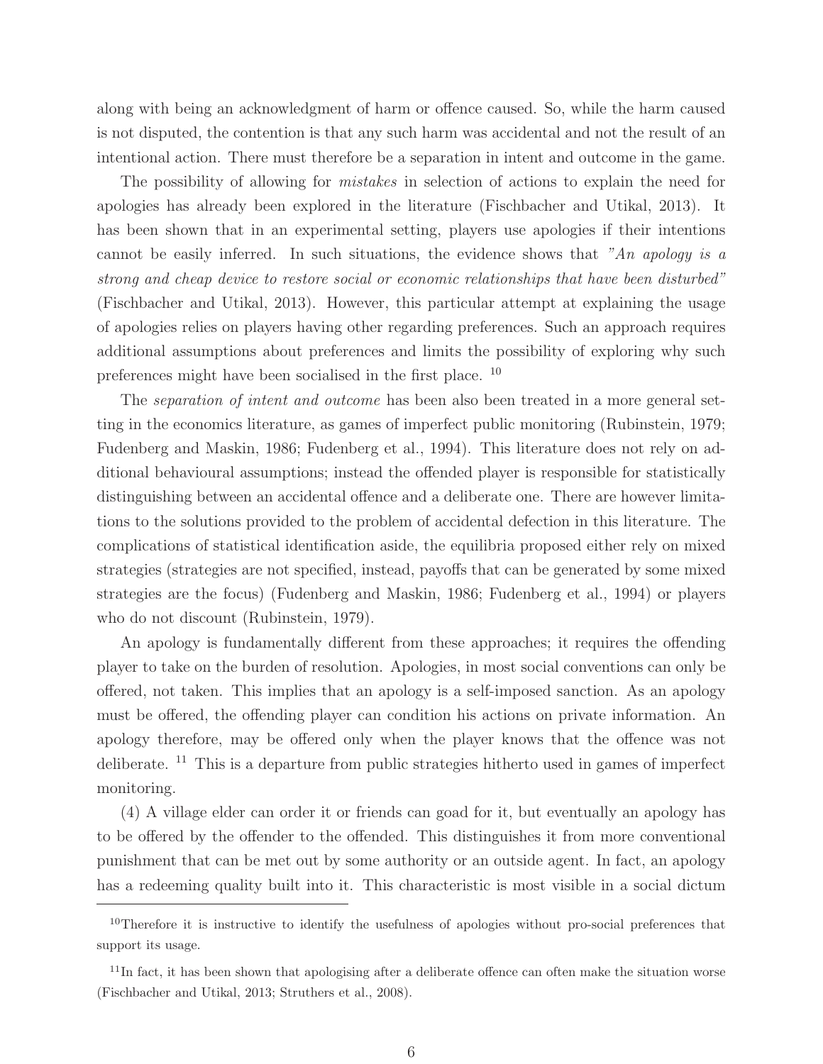along with being an acknowledgment of harm or offence caused. So, while the harm caused is not disputed, the contention is that any such harm was accidental and not the result of an intentional action. There must therefore be a separation in intent and outcome in the game.

The possibility of allowing for *mistakes* in selection of actions to explain the need for apologies has already been explored in the literature (Fischbacher and Utikal, 2013). It has been shown that in an experimental setting, players use apologies if their intentions cannot be easily inferred. In such situations, the evidence shows that "An apology is a strong and cheap device to restore social or economic relationships that have been disturbed" (Fischbacher and Utikal, 2013). However, this particular attempt at explaining the usage of apologies relies on players having other regarding preferences. Such an approach requires additional assumptions about preferences and limits the possibility of exploring why such preferences might have been socialised in the first place. <sup>10</sup>

The *separation of intent and outcome* has been also been treated in a more general setting in the economics literature, as games of imperfect public monitoring (Rubinstein, 1979; Fudenberg and Maskin, 1986; Fudenberg et al., 1994). This literature does not rely on additional behavioural assumptions; instead the offended player is responsible for statistically distinguishing between an accidental offence and a deliberate one. There are however limitations to the solutions provided to the problem of accidental defection in this literature. The complications of statistical identification aside, the equilibria proposed either rely on mixed strategies (strategies are not specified, instead, payoffs that can be generated by some mixed strategies are the focus) (Fudenberg and Maskin, 1986; Fudenberg et al., 1994) or players who do not discount (Rubinstein, 1979).

An apology is fundamentally different from these approaches; it requires the offending player to take on the burden of resolution. Apologies, in most social conventions can only be offered, not taken. This implies that an apology is a self-imposed sanction. As an apology must be offered, the offending player can condition his actions on private information. An apology therefore, may be offered only when the player knows that the offence was not deliberate. <sup>11</sup> This is a departure from public strategies hitherto used in games of imperfect monitoring.

(4) A village elder can order it or friends can goad for it, but eventually an apology has to be offered by the offender to the offended. This distinguishes it from more conventional punishment that can be met out by some authority or an outside agent. In fact, an apology has a redeeming quality built into it. This characteristic is most visible in a social dictum

 $10$ Therefore it is instructive to identify the usefulness of apologies without pro-social preferences that support its usage.

 $11$ In fact, it has been shown that apologising after a deliberate offence can often make the situation worse (Fischbacher and Utikal, 2013; Struthers et al., 2008).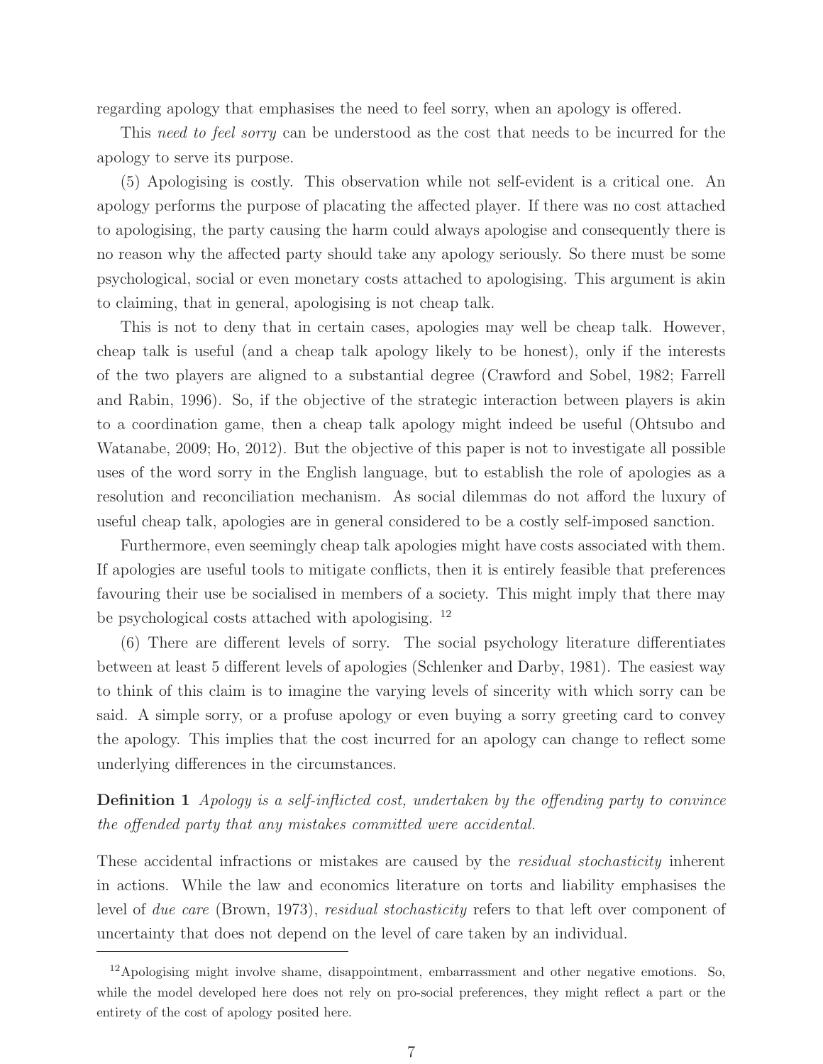regarding apology that emphasises the need to feel sorry, when an apology is offered.

This need to feel sorry can be understood as the cost that needs to be incurred for the apology to serve its purpose.

(5) Apologising is costly. This observation while not self-evident is a critical one. An apology performs the purpose of placating the affected player. If there was no cost attached to apologising, the party causing the harm could always apologise and consequently there is no reason why the affected party should take any apology seriously. So there must be some psychological, social or even monetary costs attached to apologising. This argument is akin to claiming, that in general, apologising is not cheap talk.

This is not to deny that in certain cases, apologies may well be cheap talk. However, cheap talk is useful (and a cheap talk apology likely to be honest), only if the interests of the two players are aligned to a substantial degree (Crawford and Sobel, 1982; Farrell and Rabin, 1996). So, if the objective of the strategic interaction between players is akin to a coordination game, then a cheap talk apology might indeed be useful (Ohtsubo and Watanabe, 2009; Ho, 2012). But the objective of this paper is not to investigate all possible uses of the word sorry in the English language, but to establish the role of apologies as a resolution and reconciliation mechanism. As social dilemmas do not afford the luxury of useful cheap talk, apologies are in general considered to be a costly self-imposed sanction.

Furthermore, even seemingly cheap talk apologies might have costs associated with them. If apologies are useful tools to mitigate conflicts, then it is entirely feasible that preferences favouring their use be socialised in members of a society. This might imply that there may be psychological costs attached with apologising. <sup>12</sup>

(6) There are different levels of sorry. The social psychology literature differentiates between at least 5 different levels of apologies (Schlenker and Darby, 1981). The easiest way to think of this claim is to imagine the varying levels of sincerity with which sorry can be said. A simple sorry, or a profuse apology or even buying a sorry greeting card to convey the apology. This implies that the cost incurred for an apology can change to reflect some underlying differences in the circumstances.

**Definition 1** Apology is a self-inflicted cost, undertaken by the offending party to convince the offended party that any mistakes committed were accidental.

These accidental infractions or mistakes are caused by the *residual stochasticity* inherent in actions. While the law and economics literature on torts and liability emphasises the level of due care (Brown, 1973), residual stochasticity refers to that left over component of uncertainty that does not depend on the level of care taken by an individual.

 $12$ Apologising might involve shame, disappointment, embarrassment and other negative emotions. So, while the model developed here does not rely on pro-social preferences, they might reflect a part or the entirety of the cost of apology posited here.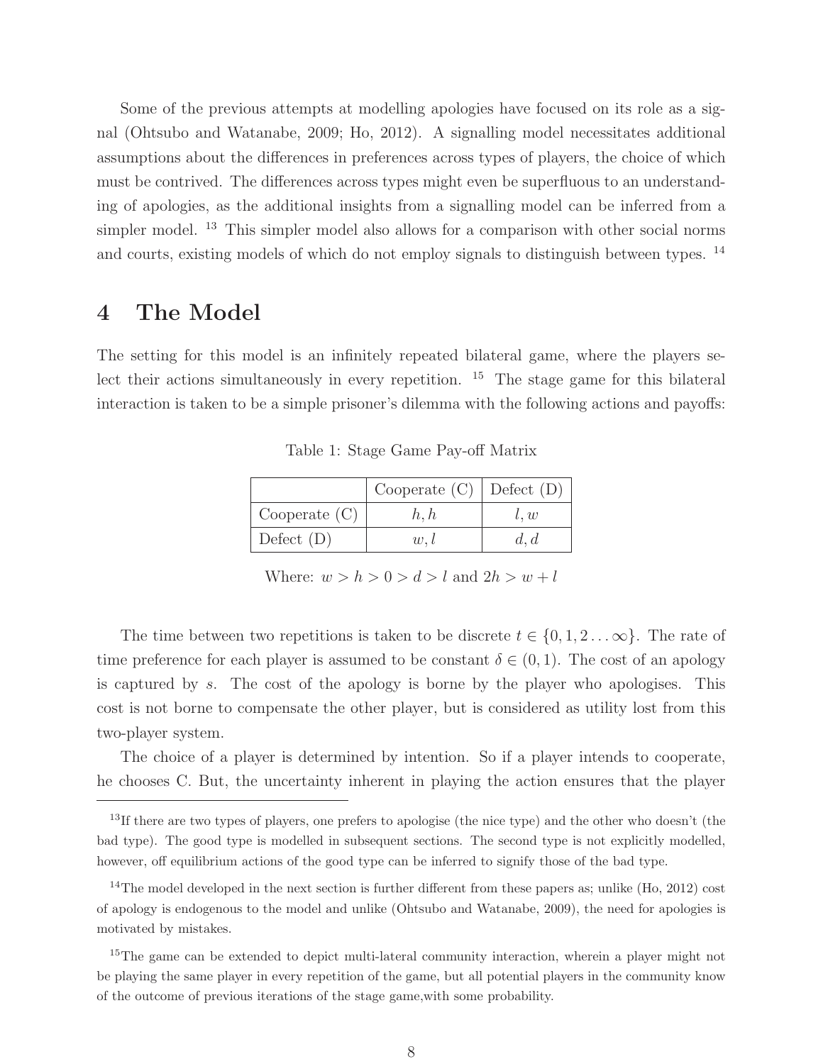Some of the previous attempts at modelling apologies have focused on its role as a signal (Ohtsubo and Watanabe, 2009; Ho, 2012). A signalling model necessitates additional assumptions about the differences in preferences across types of players, the choice of which must be contrived. The differences across types might even be superfluous to an understanding of apologies, as the additional insights from a signalling model can be inferred from a simpler model. <sup>13</sup> This simpler model also allows for a comparison with other social norms and courts, existing models of which do not employ signals to distinguish between types. <sup>14</sup>

## **4 The Model**

The setting for this model is an infinitely repeated bilateral game, where the players select their actions simultaneously in every repetition.  $15$  The stage game for this bilateral interaction is taken to be a simple prisoner's dilemma with the following actions and payoffs:

|                 | Cooperate $(C)$ Defect $(D)$ |      |
|-----------------|------------------------------|------|
| Cooperate $(C)$ | h, h                         | l, w |
| Defect $(D)$    | $w_{\cdot}$                  | d, d |

Table 1: Stage Game Pay-off Matrix

Where:  $w > h > 0 > d > l$  and  $2h > w + l$ 

The time between two repetitions is taken to be discrete  $t \in \{0, 1, 2 \dots \infty\}$ . The rate of time preference for each player is assumed to be constant  $\delta \in (0,1)$ . The cost of an apology is captured by s. The cost of the apology is borne by the player who apologises. This cost is not borne to compensate the other player, but is considered as utility lost from this two-player system.

The choice of a player is determined by intention. So if a player intends to cooperate, he chooses C. But, the uncertainty inherent in playing the action ensures that the player

<sup>&</sup>lt;sup>13</sup>If there are two types of players, one prefers to apologise (the nice type) and the other who doesn't (the bad type). The good type is modelled in subsequent sections. The second type is not explicitly modelled, however, off equilibrium actions of the good type can be inferred to signify those of the bad type.

 $14$ The model developed in the next section is further different from these papers as; unlike  $(H_0, 2012)$  cost of apology is endogenous to the model and unlike (Ohtsubo and Watanabe, 2009), the need for apologies is motivated by mistakes.

<sup>&</sup>lt;sup>15</sup>The game can be extended to depict multi-lateral community interaction, wherein a player might not be playing the same player in every repetition of the game, but all potential players in the community know of the outcome of previous iterations of the stage game,with some probability.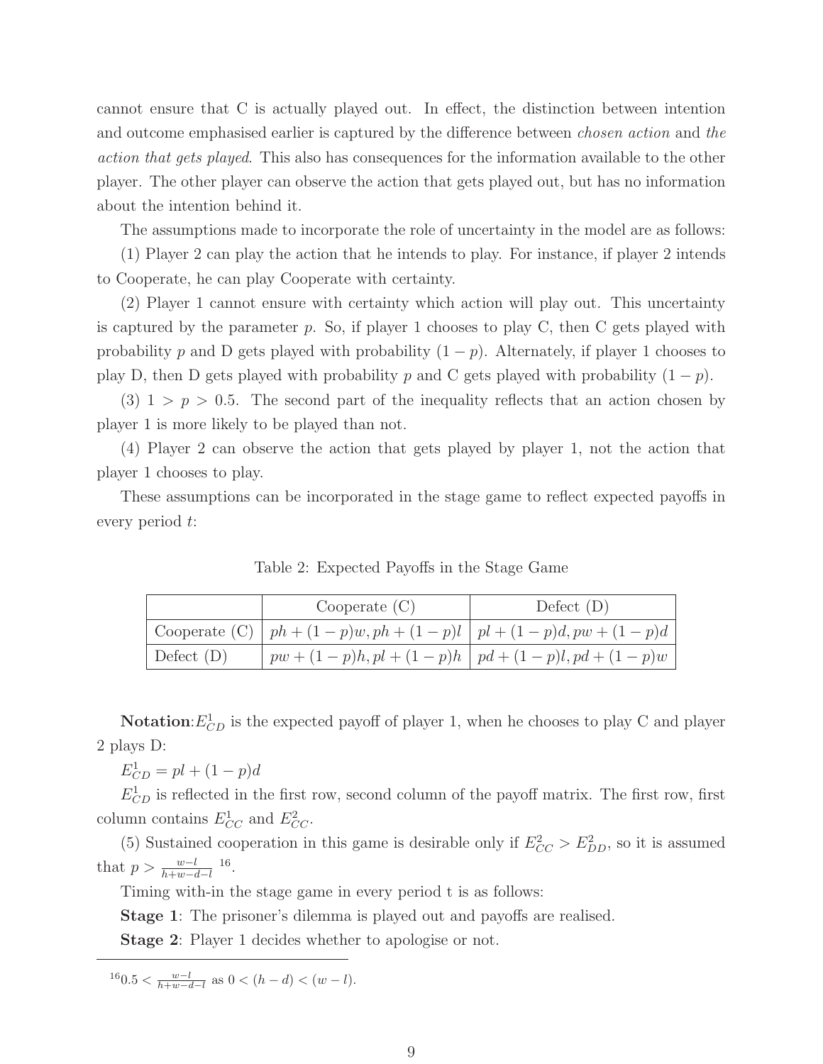cannot ensure that C is actually played out. In effect, the distinction between intention and outcome emphasised earlier is captured by the difference between chosen action and the action that gets played. This also has consequences for the information available to the other player. The other player can observe the action that gets played out, but has no information about the intention behind it.

The assumptions made to incorporate the role of uncertainty in the model are as follows:

(1) Player 2 can play the action that he intends to play. For instance, if player 2 intends to Cooperate, he can play Cooperate with certainty.

(2) Player 1 cannot ensure with certainty which action will play out. This uncertainty is captured by the parameter  $p$ . So, if player 1 chooses to play C, then C gets played with probability p and D gets played with probability  $(1 - p)$ . Alternately, if player 1 chooses to play D, then D gets played with probability p and C gets played with probability  $(1 - p)$ .

(3)  $1 > p > 0.5$ . The second part of the inequality reflects that an action chosen by player 1 is more likely to be played than not.

(4) Player 2 can observe the action that gets played by player 1, not the action that player 1 chooses to play.

These assumptions can be incorporated in the stage game to reflect expected payoffs in every period t:

|              | Cooperate $(C)$                                                             | Defect $(D)$ |
|--------------|-----------------------------------------------------------------------------|--------------|
|              | Cooperate (C) $\mid ph + (1-p)w, ph + (1-p)l \mid pl + (1-p)d, pw + (1-p)d$ |              |
| Defect $(D)$ | $pw + (1-p)h, pl + (1-p)h \mid pd + (1-p)l, pd + (1-p)w$                    |              |

Table 2: Expected Payoffs in the Stage Game

**Notation**:  $E_{CD}^1$  is the expected payoff of player 1, when he chooses to play C and player 2 plays D:

 $E_{CD}^1 = pl + (1 - p)d$ 

 $E_{CD}^1$  is reflected in the first row, second column of the payoff matrix. The first row, first column contains  $E_{CC}^1$  and  $E_{CC}^2$ .

(5) Sustained cooperation in this game is desirable only if  $E_{CC}^2 > E_{DD}^2$ , so it is assumed that  $p > \frac{w-l}{h+w-d-l}$  <sup>16</sup>.

Timing with-in the stage game in every period t is as follows:

**Stage 1**: The prisoner's dilemma is played out and payoffs are realised.

**Stage 2**: Player 1 decides whether to apologise or not.

 $160.5 < \frac{w-l}{h+w-d-l}$  as  $0 < (h-d) < (w-l)$ .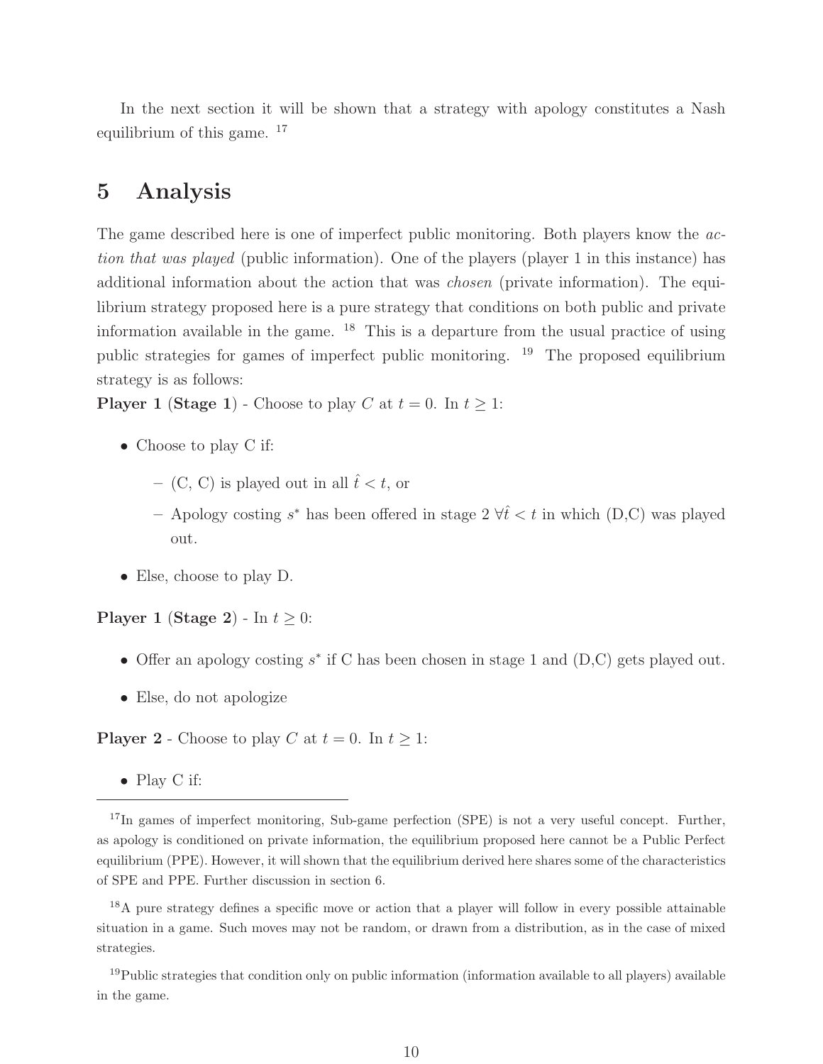In the next section it will be shown that a strategy with apology constitutes a Nash equilibrium of this game. <sup>17</sup>

## **5 Analysis**

The game described here is one of imperfect public monitoring. Both players know the *ac*tion that was played (public information). One of the players (player 1 in this instance) has additional information about the action that was *chosen* (private information). The equilibrium strategy proposed here is a pure strategy that conditions on both public and private information available in the game.  $18$  This is a departure from the usual practice of using public strategies for games of imperfect public monitoring. <sup>19</sup> The proposed equilibrium strategy is as follows:

**Player 1** (**Stage 1**) - Choose to play C at  $t = 0$ . In  $t \geq 1$ :

- Choose to play C if:
	- $-$  (C, C) is played out in all  $\hat{t} < t$ , or
	- Apology costing s<sup>∗</sup> has been offered in stage  $2 \forall \hat{t} \leq t$  in which (D,C) was played out.
- Else, choose to play D.

**Player 1** (**Stage 2**) - In  $t \geq 0$ :

- Offer an apology costing  $s^*$  if C has been chosen in stage 1 and (D,C) gets played out.
- Else, do not apologize

**Player 2** - Choose to play C at  $t = 0$ . In  $t > 1$ :

• Play C if:

<sup>&</sup>lt;sup>17</sup>In games of imperfect monitoring, Sub-game perfection (SPE) is not a very useful concept. Further, as apology is conditioned on private information, the equilibrium proposed here cannot be a Public Perfect equilibrium (PPE). However, it will shown that the equilibrium derived here shares some of the characteristics of SPE and PPE. Further discussion in section 6.

<sup>&</sup>lt;sup>18</sup>A pure strategy defines a specific move or action that a player will follow in every possible attainable situation in a game. Such moves may not be random, or drawn from a distribution, as in the case of mixed strategies.

<sup>&</sup>lt;sup>19</sup>Public strategies that condition only on public information (information available to all players) available in the game.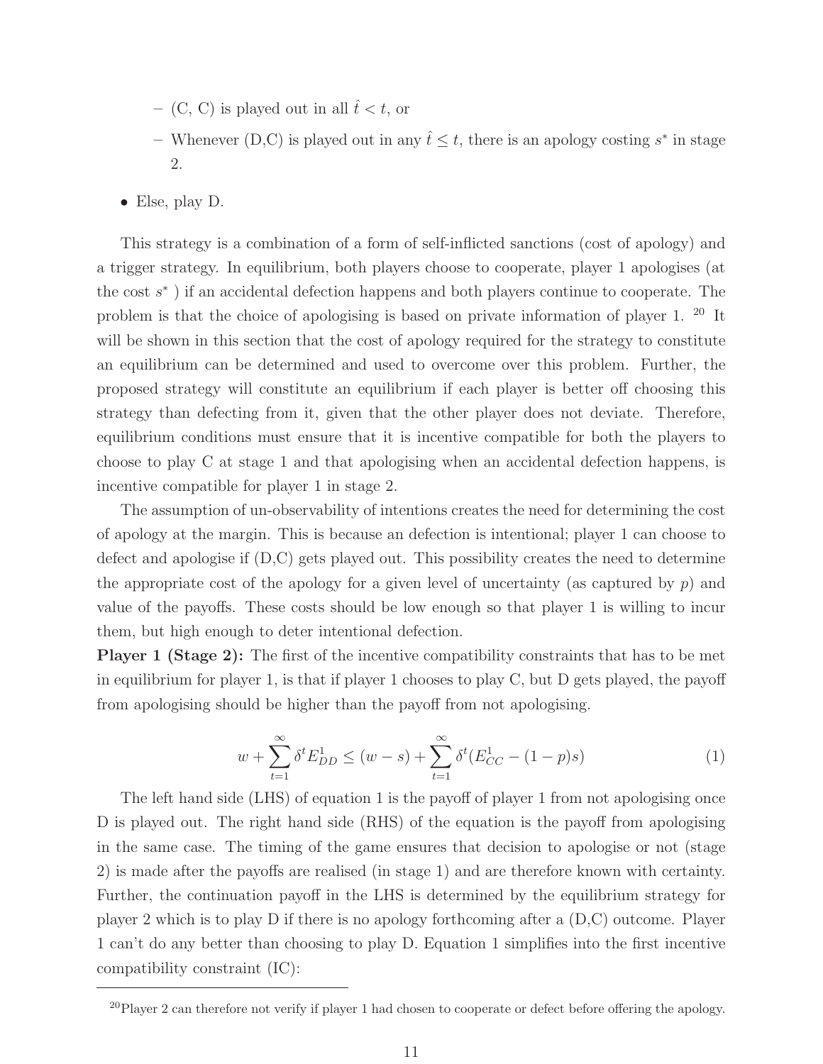- $-$  (C, C) is played out in all  $\hat{t} < t$ , or
- **−** Whenever (D,C) is played out in any  $\hat{t} \leq t$ , there is an apology costing  $s^*$  in stage 2.
- Else, play D.

This strategy is a combination of a form of self-inflicted sanctions (cost of apology) and a trigger strategy. In equilibrium, both players choose to cooperate, player 1 apologises (at the cost s<sup>∗</sup> ) if an accidental defection happens and both players continue to cooperate. The problem is that the choice of apologising is based on private information of player 1. <sup>20</sup> It will be shown in this section that the cost of apology required for the strategy to constitute an equilibrium can be determined and used to overcome over this problem. Further, the proposed strategy will constitute an equilibrium if each player is better off choosing this strategy than defecting from it, given that the other player does not deviate. Therefore, equilibrium conditions must ensure that it is incentive compatible for both the players to choose to play C at stage 1 and that apologising when an accidental defection happens, is incentive compatible for player 1 in stage 2.

The assumption of un-observability of intentions creates the need for determining the cost of apology at the margin. This is because an defection is intentional; player 1 can choose to defect and apologise if (D,C) gets played out. This possibility creates the need to determine the appropriate cost of the apology for a given level of uncertainty (as captured by  $p$ ) and value of the payoffs. These costs should be low enough so that player 1 is willing to incur them, but high enough to deter intentional defection.

**Player 1 (Stage 2):** The first of the incentive compatibility constraints that has to be met in equilibrium for player 1, is that if player 1 chooses to play  $C$ , but  $D$  gets played, the payoff from apologising should be higher than the payoff from not apologising.

$$
w + \sum_{t=1}^{\infty} \delta^t E_{DD}^1 \le (w - s) + \sum_{t=1}^{\infty} \delta^t (E_{CC}^1 - (1 - p)s)
$$
 (1)

The left hand side (LHS) of equation 1 is the payoff of player 1 from not apologising once D is played out. The right hand side (RHS) of the equation is the payoff from apologising in the same case. The timing of the game ensures that decision to apologise or not (stage 2) is made after the payoffs are realised (in stage 1) and are therefore known with certainty. Further, the continuation payoff in the LHS is determined by the equilibrium strategy for player 2 which is to play D if there is no apology forthcoming after a (D,C) outcome. Player 1 can't do any better than choosing to play D. Equation 1 simplifies into the first incentive compatibility constraint (IC):

<sup>&</sup>lt;sup>20</sup>Player 2 can therefore not verify if player 1 had chosen to cooperate or defect before offering the apology.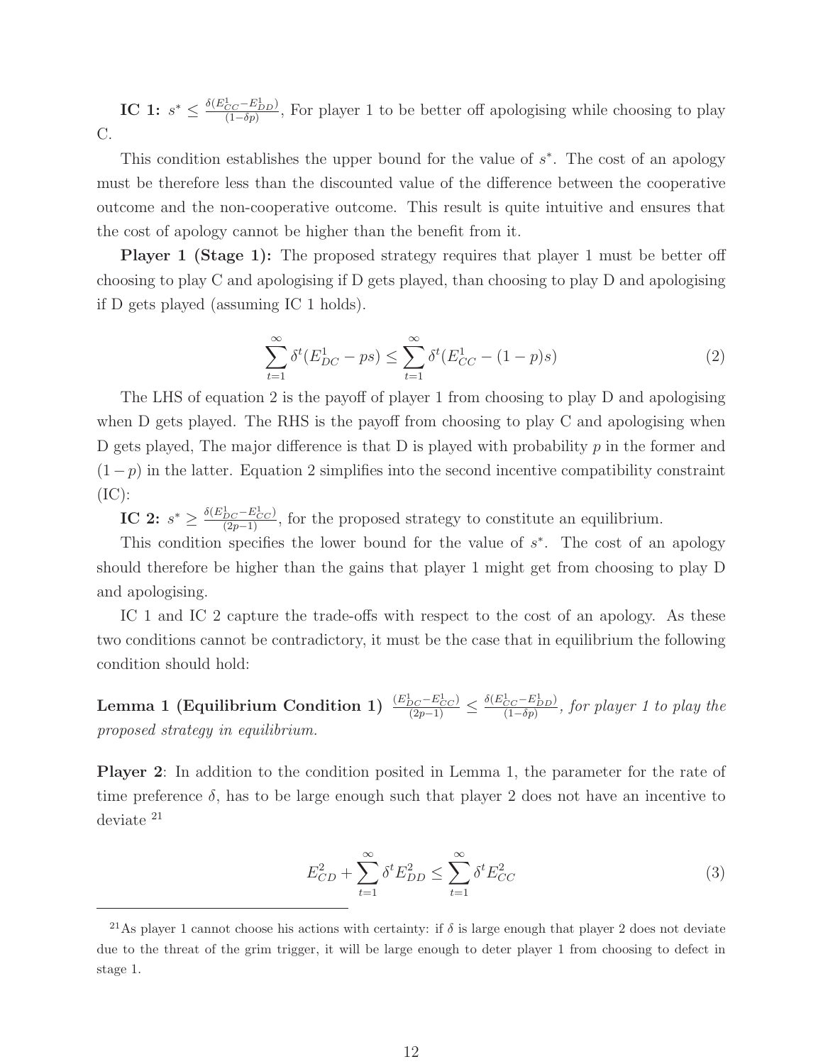**IC 1:**  $s^* \leq \frac{\delta(E_{CC}^1 - E_{DD}^1)}{(1 - \delta p)}$ , For player 1 to be better off apologising while choosing to play C.

This condition establishes the upper bound for the value of s∗. The cost of an apology must be therefore less than the discounted value of the difference between the cooperative outcome and the non-cooperative outcome. This result is quite intuitive and ensures that the cost of apology cannot be higher than the benefit from it.

**Player 1 (Stage 1):** The proposed strategy requires that player 1 must be better off choosing to play C and apologising if D gets played, than choosing to play D and apologising if D gets played (assuming IC 1 holds).

$$
\sum_{t=1}^{\infty} \delta^t (E_{DC}^1 - ps) \le \sum_{t=1}^{\infty} \delta^t (E_{CC}^1 - (1 - p)s)
$$
\n(2)

The LHS of equation 2 is the payoff of player 1 from choosing to play D and apologising when D gets played. The RHS is the payoff from choosing to play C and apologising when D gets played, The major difference is that D is played with probability  $p$  in the former and  $(1-p)$  in the latter. Equation 2 simplifies into the second incentive compatibility constraint  $(IC):$ 

**IC 2:**  $s^* \geq \frac{\delta(E_{DC}^1 - E_{CC}^1)}{(2p-1)}$ , for the proposed strategy to constitute an equilibrium.

This condition specifies the lower bound for the value of  $s<sup>*</sup>$ . The cost of an apology should therefore be higher than the gains that player 1 might get from choosing to play D and apologising.

IC 1 and IC 2 capture the trade-offs with respect to the cost of an apology. As these two conditions cannot be contradictory, it must be the case that in equilibrium the following condition should hold:

**Lemma 1 (Equilibrium Condition 1)**  $\frac{(E_{DC}^1 - E_{CC}^1)}{(2p-1)} \leq \frac{\delta(E_{CC}^1 - E_{DD}^1)}{(1 - \delta p)}$ , for player 1 to play the proposed strategy in equilibrium.

**Player 2**: In addition to the condition posited in Lemma 1, the parameter for the rate of time preference  $\delta$ , has to be large enough such that player 2 does not have an incentive to deviate <sup>21</sup>

$$
E_{CD}^2 + \sum_{t=1}^{\infty} \delta^t E_{DD}^2 \le \sum_{t=1}^{\infty} \delta^t E_{CC}^2
$$
 (3)

<sup>&</sup>lt;sup>21</sup>As player 1 cannot choose his actions with certainty: if  $\delta$  is large enough that player 2 does not deviate due to the threat of the grim trigger, it will be large enough to deter player 1 from choosing to defect in stage 1.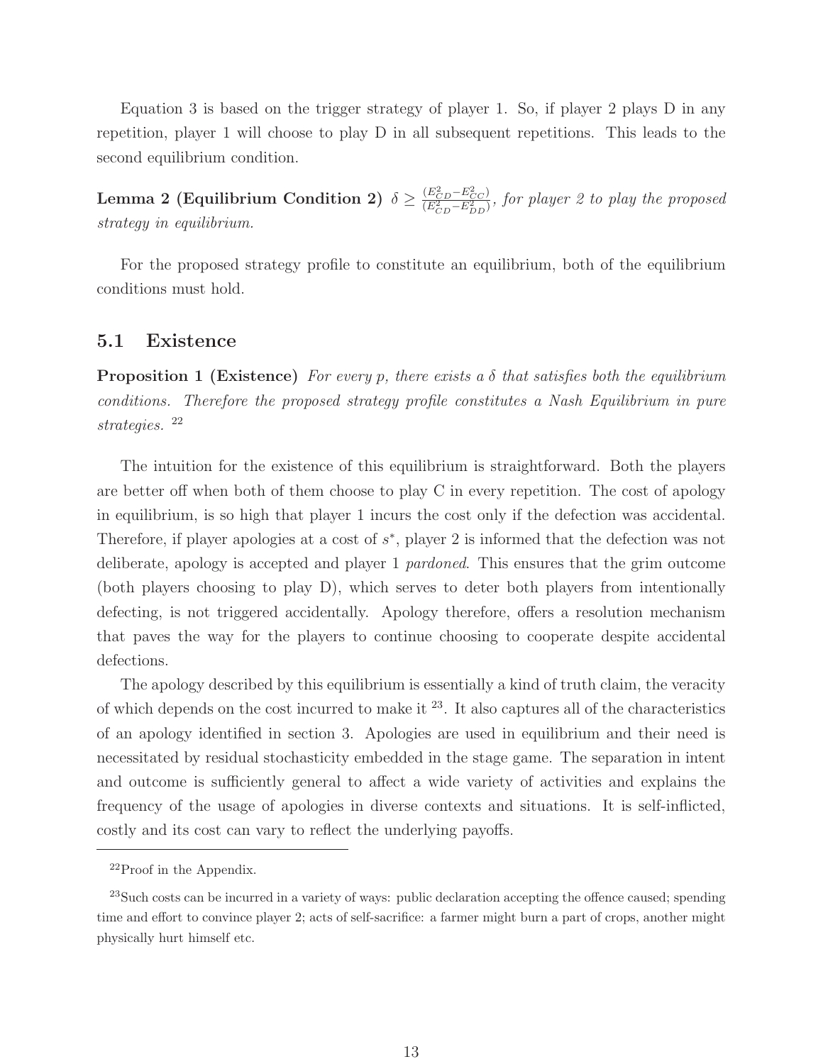Equation 3 is based on the trigger strategy of player 1. So, if player 2 plays D in any repetition, player 1 will choose to play D in all subsequent repetitions. This leads to the second equilibrium condition.

 $\textbf{Lemma 2 (Equilibrium Condition 2) } \delta \geq \frac{(E_{CD}^2-E_{CC}^2)}{(E_{CD}^2-E_{DD}^2)}$  $\frac{(E_{CD} - E_{CC}^{2})}{(E_{CD}^{2} - E_{DD}^{2})}$ , for player 2 to play the proposed strategy in equilibrium.

For the proposed strategy profile to constitute an equilibrium, both of the equilibrium conditions must hold.

#### **5.1 Existence**

**Proposition 1 (Existence)** For every p, there exists a  $\delta$  that satisfies both the equilibrium conditions. Therefore the proposed strategy profile constitutes a Nash Equilibrium in pure strategies. <sup>22</sup>

The intuition for the existence of this equilibrium is straightforward. Both the players are better off when both of them choose to play C in every repetition. The cost of apology in equilibrium, is so high that player 1 incurs the cost only if the defection was accidental. Therefore, if player apologies at a cost of s∗, player 2 is informed that the defection was not deliberate, apology is accepted and player 1 pardoned. This ensures that the grim outcome (both players choosing to play D), which serves to deter both players from intentionally defecting, is not triggered accidentally. Apology therefore, offers a resolution mechanism that paves the way for the players to continue choosing to cooperate despite accidental defections.

The apology described by this equilibrium is essentially a kind of truth claim, the veracity of which depends on the cost incurred to make it <sup>23</sup>. It also captures all of the characteristics of an apology identified in section 3. Apologies are used in equilibrium and their need is necessitated by residual stochasticity embedded in the stage game. The separation in intent and outcome is sufficiently general to affect a wide variety of activities and explains the frequency of the usage of apologies in diverse contexts and situations. It is self-inflicted, costly and its cost can vary to reflect the underlying payoffs.

 $^{22}$ Proof in the Appendix.

<sup>&</sup>lt;sup>23</sup>Such costs can be incurred in a variety of ways: public declaration accepting the offence caused; spending time and effort to convince player 2; acts of self-sacrifice: a farmer might burn a part of crops, another might physically hurt himself etc.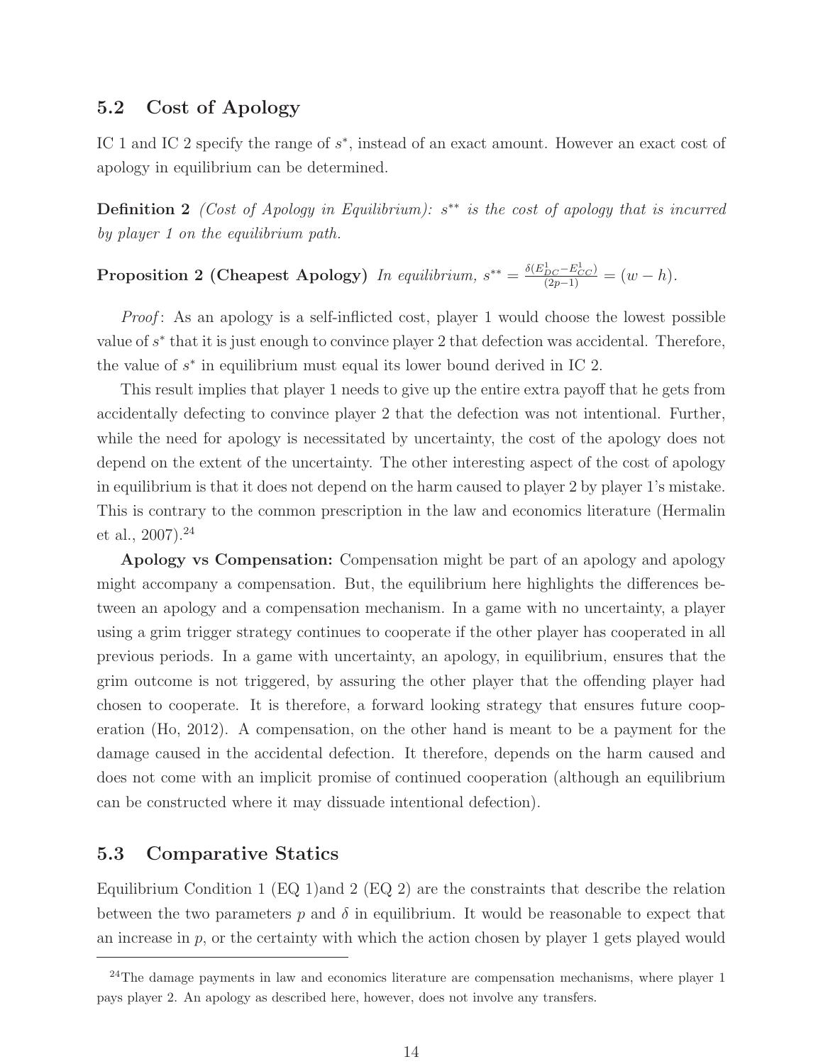#### **5.2 Cost of Apology**

IC 1 and IC 2 specify the range of s∗, instead of an exact amount. However an exact cost of apology in equilibrium can be determined.

**Definition 2** (Cost of Apology in Equilibrium): s<sup>∗∗</sup> is the cost of apology that is incurred by player 1 on the equilibrium path.

# **Proposition 2 (Cheapest Apology)** In equilibrium,  $s^{**} = \frac{\delta(E_{DC}^1 - E_{CC}^1)}{(2p-1)} = (w - h)$ .

Proof: As an apology is a self-inflicted cost, player 1 would choose the lowest possible value of  $s^*$  that it is just enough to convince player 2 that defection was accidental. Therefore, the value of  $s<sup>*</sup>$  in equilibrium must equal its lower bound derived in IC 2.

This result implies that player 1 needs to give up the entire extra payoff that he gets from accidentally defecting to convince player 2 that the defection was not intentional. Further, while the need for apology is necessitated by uncertainty, the cost of the apology does not depend on the extent of the uncertainty. The other interesting aspect of the cost of apology in equilibrium is that it does not depend on the harm caused to player 2 by player 1's mistake. This is contrary to the common prescription in the law and economics literature (Hermalin et al.,  $2007$ ).<sup>24</sup>

**Apology vs Compensation:** Compensation might be part of an apology and apology might accompany a compensation. But, the equilibrium here highlights the differences between an apology and a compensation mechanism. In a game with no uncertainty, a player using a grim trigger strategy continues to cooperate if the other player has cooperated in all previous periods. In a game with uncertainty, an apology, in equilibrium, ensures that the grim outcome is not triggered, by assuring the other player that the offending player had chosen to cooperate. It is therefore, a forward looking strategy that ensures future cooperation (Ho, 2012). A compensation, on the other hand is meant to be a payment for the damage caused in the accidental defection. It therefore, depends on the harm caused and does not come with an implicit promise of continued cooperation (although an equilibrium can be constructed where it may dissuade intentional defection).

## **5.3 Comparative Statics**

Equilibrium Condition 1 (EQ 1)and 2 (EQ 2) are the constraints that describe the relation between the two parameters p and  $\delta$  in equilibrium. It would be reasonable to expect that an increase in  $p$ , or the certainty with which the action chosen by player 1 gets played would

 $24$ The damage payments in law and economics literature are compensation mechanisms, where player 1 pays player 2. An apology as described here, however, does not involve any transfers.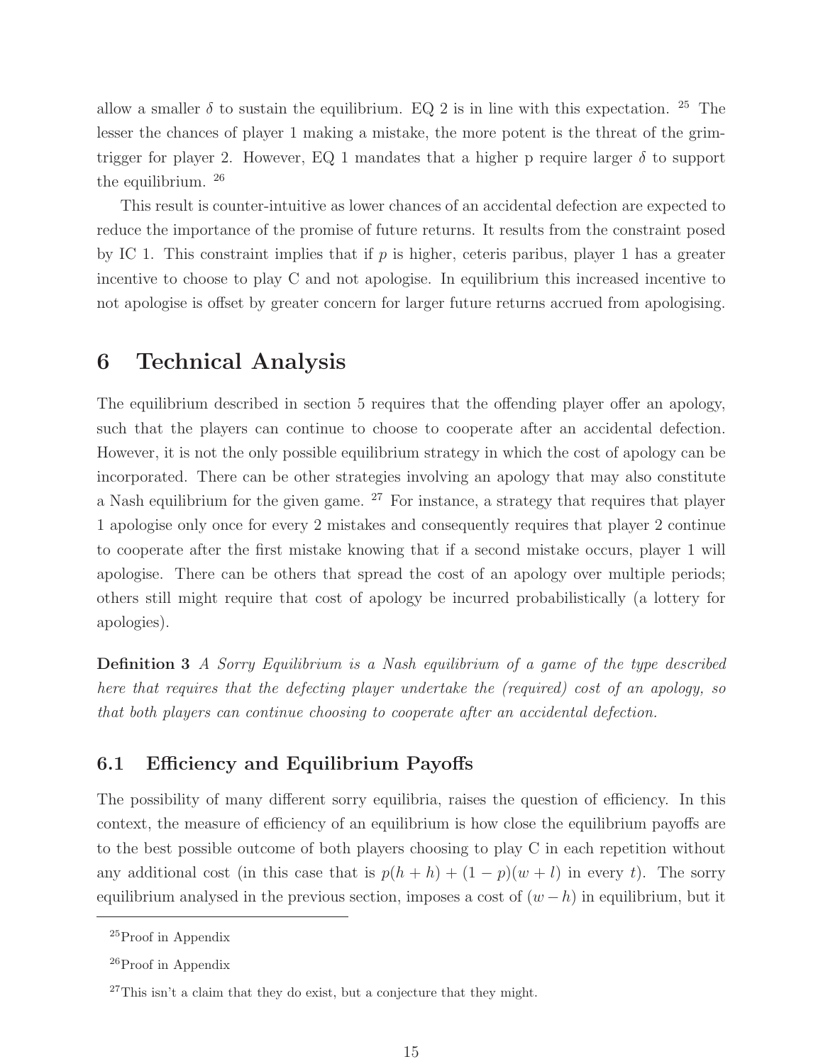allow a smaller  $\delta$  to sustain the equilibrium. EQ 2 is in line with this expectation. <sup>25</sup> The lesser the chances of player 1 making a mistake, the more potent is the threat of the grimtrigger for player 2. However, EQ 1 mandates that a higher p require larger  $\delta$  to support the equilibrium. <sup>26</sup>

This result is counter-intuitive as lower chances of an accidental defection are expected to reduce the importance of the promise of future returns. It results from the constraint posed by IC 1. This constraint implies that if  $p$  is higher, ceteris paribus, player 1 has a greater incentive to choose to play C and not apologise. In equilibrium this increased incentive to not apologise is offset by greater concern for larger future returns accrued from apologising.

## **6 Technical Analysis**

The equilibrium described in section 5 requires that the offending player offer an apology, such that the players can continue to choose to cooperate after an accidental defection. However, it is not the only possible equilibrium strategy in which the cost of apology can be incorporated. There can be other strategies involving an apology that may also constitute a Nash equilibrium for the given game.  $27$  For instance, a strategy that requires that player 1 apologise only once for every 2 mistakes and consequently requires that player 2 continue to cooperate after the first mistake knowing that if a second mistake occurs, player 1 will apologise. There can be others that spread the cost of an apology over multiple periods; others still might require that cost of apology be incurred probabilistically (a lottery for apologies).

**Definition 3** A Sorry Equilibrium is a Nash equilibrium of a game of the type described here that requires that the defecting player undertake the (required) cost of an apology, so that both players can continue choosing to cooperate after an accidental defection.

## **6.1 Efficiency and Equilibrium Payoffs**

The possibility of many different sorry equilibria, raises the question of efficiency. In this context, the measure of efficiency of an equilibrium is how close the equilibrium payoffs are to the best possible outcome of both players choosing to play C in each repetition without any additional cost (in this case that is  $p(h + h) + (1 - p)(w + l)$  in every t). The sorry equilibrium analysed in the previous section, imposes a cost of  $(w - h)$  in equilibrium, but it

<sup>&</sup>lt;sup>25</sup>Proof in Appendix

<sup>26</sup>Proof in Appendix

 $27$ This isn't a claim that they do exist, but a conjecture that they might.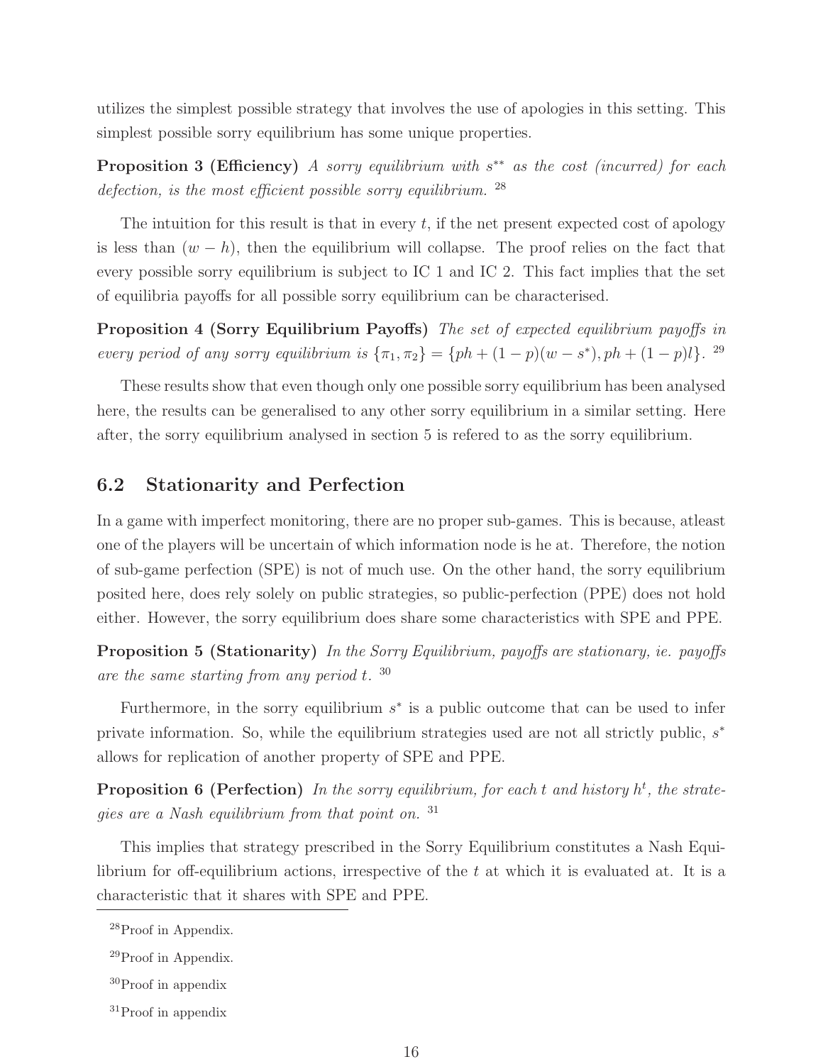utilizes the simplest possible strategy that involves the use of apologies in this setting. This simplest possible sorry equilibrium has some unique properties.

**Proposition 3 (Efficiency)** A sorry equilibrium with s<sup>\*\*</sup> as the cost (incurred) for each defection, is the most efficient possible sorry equilibrium.  $^{28}$ 

The intuition for this result is that in every  $t$ , if the net present expected cost of apology is less than  $(w - h)$ , then the equilibrium will collapse. The proof relies on the fact that every possible sorry equilibrium is subject to IC 1 and IC 2. This fact implies that the set of equilibria payoffs for all possible sorry equilibrium can be characterised.

**Proposition 4 (Sorry Equilibrium Payoffs)** The set of expected equilibrium payoffs in every period of any sorry equilibrium is  $\{\pi_1, \pi_2\} = \{ph + (1-p)(w - s^*)$ ,  $ph + (1-p)l\}$ . <sup>29</sup>

These results show that even though only one possible sorry equilibrium has been analysed here, the results can be generalised to any other sorry equilibrium in a similar setting. Here after, the sorry equilibrium analysed in section 5 is refered to as the sorry equilibrium.

#### **6.2 Stationarity and Perfection**

In a game with imperfect monitoring, there are no proper sub-games. This is because, atleast one of the players will be uncertain of which information node is he at. Therefore, the notion of sub-game perfection (SPE) is not of much use. On the other hand, the sorry equilibrium posited here, does rely solely on public strategies, so public-perfection (PPE) does not hold either. However, the sorry equilibrium does share some characteristics with SPE and PPE.

**Proposition 5 (Stationarity)** In the Sorry Equilibrium, payoffs are stationary, ie. payoffs are the same starting from any period t.  $30$ 

Furthermore, in the sorry equilibrium  $s^*$  is a public outcome that can be used to infer private information. So, while the equilibrium strategies used are not all strictly public,  $s^*$ allows for replication of another property of SPE and PPE.

**Proposition 6 (Perfection)** In the sorry equilibrium, for each t and history  $h^t$ , the strategies are a Nash equilibrium from that point on. <sup>31</sup>

This implies that strategy prescribed in the Sorry Equilibrium constitutes a Nash Equilibrium for off-equilibrium actions, irrespective of the  $t$  at which it is evaluated at. It is a characteristic that it shares with SPE and PPE.

<sup>&</sup>lt;sup>28</sup>Proof in Appendix.

<sup>29</sup>Proof in Appendix.

<sup>30</sup>Proof in appendix

<sup>31</sup>Proof in appendix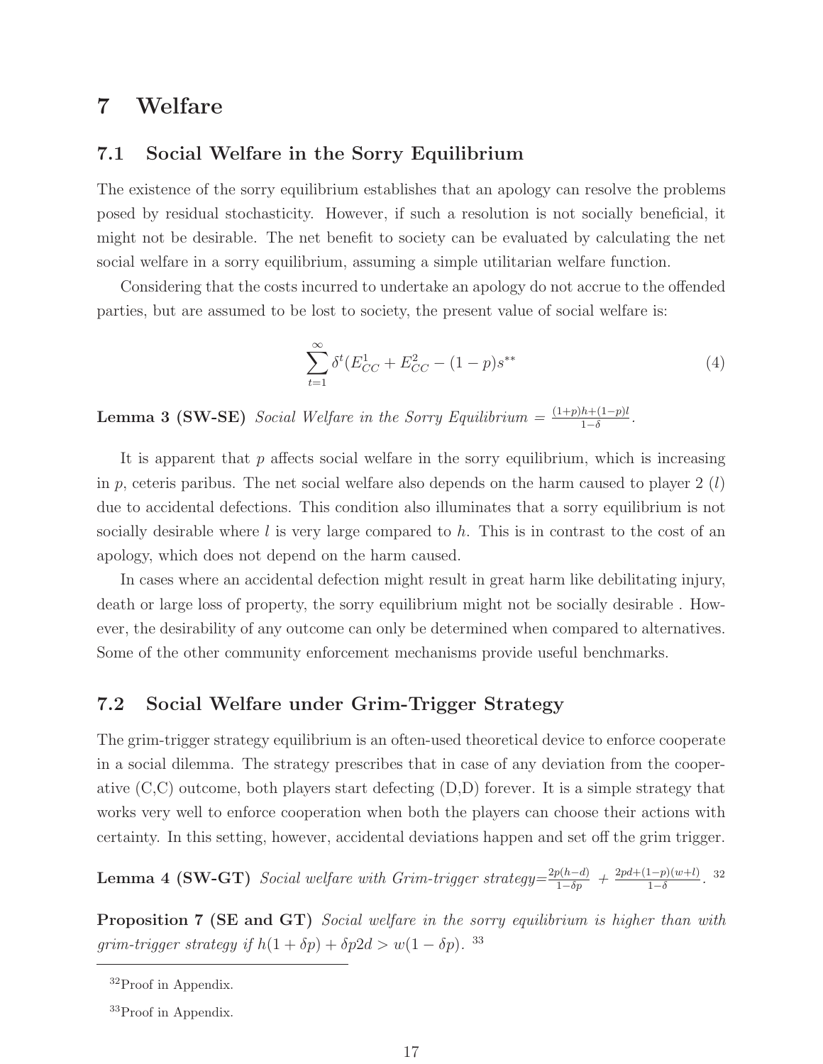## **7 Welfare**

#### **7.1 Social Welfare in the Sorry Equilibrium**

The existence of the sorry equilibrium establishes that an apology can resolve the problems posed by residual stochasticity. However, if such a resolution is not socially beneficial, it might not be desirable. The net benefit to society can be evaluated by calculating the net social welfare in a sorry equilibrium, assuming a simple utilitarian welfare function.

Considering that the costs incurred to undertake an apology do not accrue to the offended parties, but are assumed to be lost to society, the present value of social welfare is:

$$
\sum_{t=1}^{\infty} \delta^t (E_{CC}^1 + E_{CC}^2 - (1 - p)s^{**})
$$
\n(4)

**Lemma 3 (SW-SE)** Social Welfare in the Sorry Equilibrium =  $\frac{(1+p)h+(1-p)l}{1-\delta}$ .

It is apparent that  $p$  affects social welfare in the sorry equilibrium, which is increasing in p, ceteris paribus. The net social welfare also depends on the harm caused to player 2  $(l)$ due to accidental defections. This condition also illuminates that a sorry equilibrium is not socially desirable where  $l$  is very large compared to  $h$ . This is in contrast to the cost of an apology, which does not depend on the harm caused.

In cases where an accidental defection might result in great harm like debilitating injury, death or large loss of property, the sorry equilibrium might not be socially desirable . However, the desirability of any outcome can only be determined when compared to alternatives. Some of the other community enforcement mechanisms provide useful benchmarks.

#### **7.2 Social Welfare under Grim-Trigger Strategy**

The grim-trigger strategy equilibrium is an often-used theoretical device to enforce cooperate in a social dilemma. The strategy prescribes that in case of any deviation from the cooperative (C,C) outcome, both players start defecting (D,D) forever. It is a simple strategy that works very well to enforce cooperation when both the players can choose their actions with certainty. In this setting, however, accidental deviations happen and set off the grim trigger.

**Lemma 4 (SW-GT)** Social welfare with Grim-trigger strategy= $\frac{2p(h-d)}{1-\delta p} + \frac{2pd+(1-p)(w+l)}{1-\delta}$ . 32

**Proposition 7 (SE and GT)** Social welfare in the sorry equilibrium is higher than with grim-trigger strategy if  $h(1 + \delta p) + \delta p2d > w(1 - \delta p)$ . <sup>33</sup>

<sup>32</sup>Proof in Appendix.

<sup>33</sup>Proof in Appendix.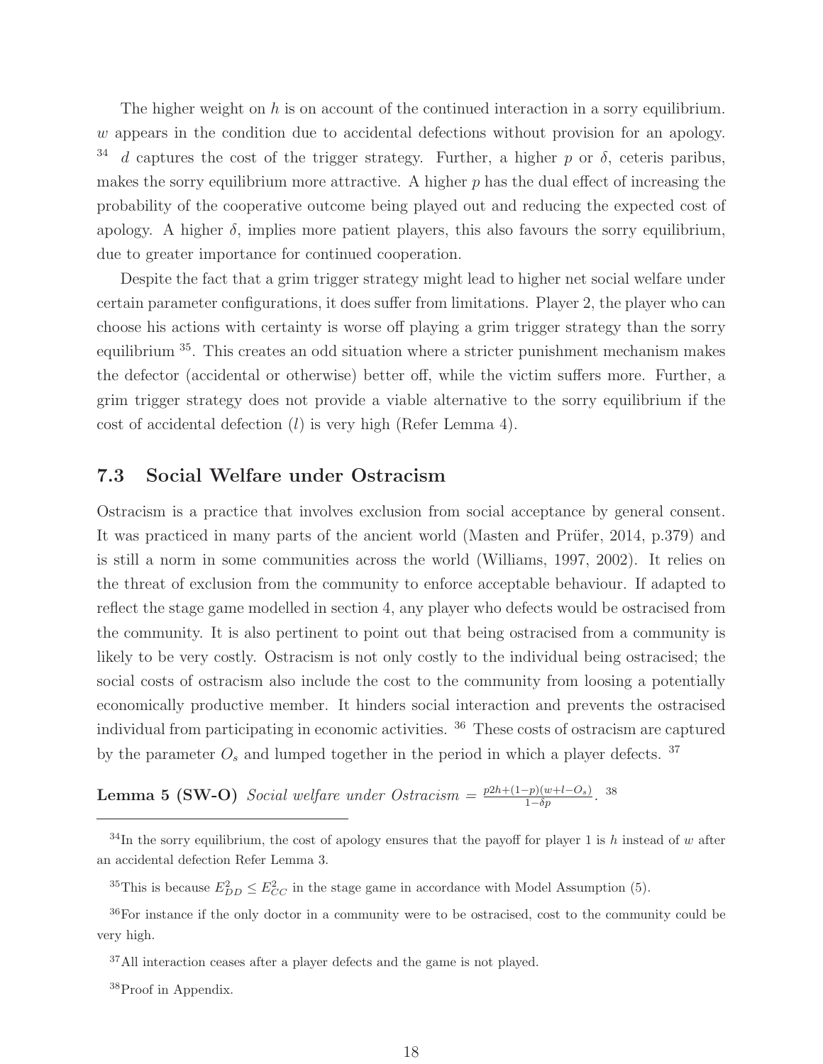The higher weight on  $h$  is on account of the continued interaction in a sorry equilibrium.  $w$  appears in the condition due to accidental defections without provision for an apology. <sup>34</sup> d captures the cost of the trigger strategy. Further, a higher p or  $\delta$ , ceteris paribus, makes the sorry equilibrium more attractive. A higher  $p$  has the dual effect of increasing the probability of the cooperative outcome being played out and reducing the expected cost of apology. A higher  $\delta$ , implies more patient players, this also favours the sorry equilibrium, due to greater importance for continued cooperation.

Despite the fact that a grim trigger strategy might lead to higher net social welfare under certain parameter configurations, it does suffer from limitations. Player 2, the player who can choose his actions with certainty is worse off playing a grim trigger strategy than the sorry equilibrium <sup>35</sup>. This creates an odd situation where a stricter punishment mechanism makes the defector (accidental or otherwise) better off, while the victim suffers more. Further, a grim trigger strategy does not provide a viable alternative to the sorry equilibrium if the cost of accidental defection  $(l)$  is very high (Refer Lemma 4).

#### **7.3 Social Welfare under Ostracism**

Ostracism is a practice that involves exclusion from social acceptance by general consent. It was practiced in many parts of the ancient world (Masten and Prüfer,  $2014$ , p.379) and is still a norm in some communities across the world (Williams, 1997, 2002). It relies on the threat of exclusion from the community to enforce acceptable behaviour. If adapted to reflect the stage game modelled in section 4, any player who defects would be ostracised from the community. It is also pertinent to point out that being ostracised from a community is likely to be very costly. Ostracism is not only costly to the individual being ostracised; the social costs of ostracism also include the cost to the community from loosing a potentially economically productive member. It hinders social interaction and prevents the ostracised individual from participating in economic activities. <sup>36</sup> These costs of ostracism are captured by the parameter  $O_s$  and lumped together in the period in which a player defects.<sup>37</sup>

**Lemma 5 (SW-O)** Social welfare under Ostracism =  $\frac{p2h + (1-p)(w+l-O_s)}{1-\delta p}$ . 38

<sup>35</sup>This is because  $E_{DD}^2 \le E_{CC}^2$  in the stage game in accordance with Model Assumption (5).

 $34$ In the sorry equilibrium, the cost of apology ensures that the payoff for player 1 is h instead of w after an accidental defection Refer Lemma 3.

<sup>36</sup>For instance if the only doctor in a community were to be ostracised, cost to the community could be very high.

<sup>37</sup>All interaction ceases after a player defects and the game is not played.

<sup>&</sup>lt;sup>38</sup>Proof in Appendix.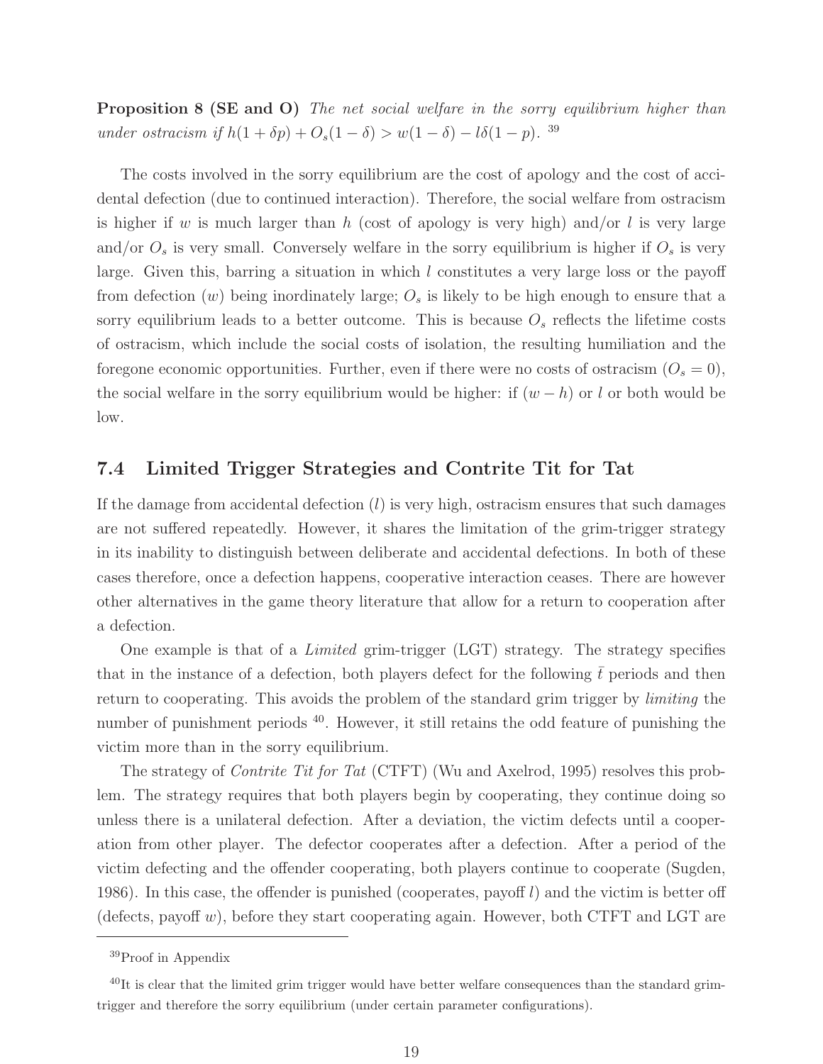**Proposition 8 (SE and O)** The net social welfare in the sorry equilibrium higher than under ostracism if  $h(1 + \delta p) + O_s(1 - \delta) > w(1 - \delta) - l\delta(1 - p)$ . <sup>39</sup>

The costs involved in the sorry equilibrium are the cost of apology and the cost of accidental defection (due to continued interaction). Therefore, the social welfare from ostracism is higher if w is much larger than h (cost of apology is very high) and/or l is very large and/or  $O_s$  is very small. Conversely welfare in the sorry equilibrium is higher if  $O_s$  is very large. Given this, barring a situation in which l constitutes a very large loss or the payoff from defection  $(w)$  being inordinately large;  $O_s$  is likely to be high enough to ensure that a sorry equilibrium leads to a better outcome. This is because  $O<sub>s</sub>$  reflects the lifetime costs of ostracism, which include the social costs of isolation, the resulting humiliation and the foregone economic opportunities. Further, even if there were no costs of ostracism  $(O_s = 0)$ , the social welfare in the sorry equilibrium would be higher: if  $(w - h)$  or l or both would be low.

#### **7.4 Limited Trigger Strategies and Contrite Tit for Tat**

If the damage from accidental defection  $(l)$  is very high, ostracism ensures that such damages are not suffered repeatedly. However, it shares the limitation of the grim-trigger strategy in its inability to distinguish between deliberate and accidental defections. In both of these cases therefore, once a defection happens, cooperative interaction ceases. There are however other alternatives in the game theory literature that allow for a return to cooperation after a defection.

One example is that of a Limited grim-trigger (LGT) strategy. The strategy specifies that in the instance of a defection, both players defect for the following  $\bar{t}$  periods and then return to cooperating. This avoids the problem of the standard grim trigger by *limiting* the number of punishment periods  $40$ . However, it still retains the odd feature of punishing the victim more than in the sorry equilibrium.

The strategy of *Contrite Tit for Tat* (CTFT) (Wu and Axelrod, 1995) resolves this problem. The strategy requires that both players begin by cooperating, they continue doing so unless there is a unilateral defection. After a deviation, the victim defects until a cooperation from other player. The defector cooperates after a defection. After a period of the victim defecting and the offender cooperating, both players continue to cooperate (Sugden, 1986). In this case, the offender is punished (cooperates, payoff  $l$ ) and the victim is better off (defects, payoff w), before they start cooperating again. However, both CTFT and LGT are

<sup>39</sup>Proof in Appendix

 $^{40}$ It is clear that the limited grim trigger would have better welfare consequences than the standard grimtrigger and therefore the sorry equilibrium (under certain parameter configurations).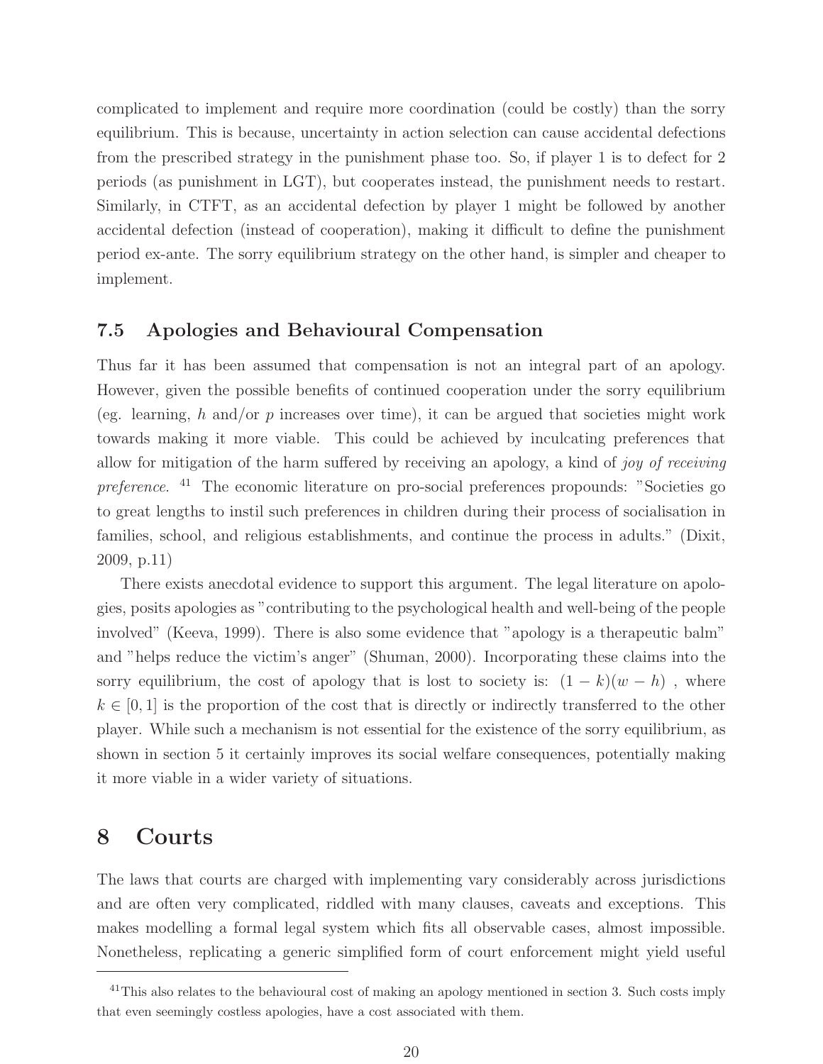complicated to implement and require more coordination (could be costly) than the sorry equilibrium. This is because, uncertainty in action selection can cause accidental defections from the prescribed strategy in the punishment phase too. So, if player 1 is to defect for 2 periods (as punishment in LGT), but cooperates instead, the punishment needs to restart. Similarly, in CTFT, as an accidental defection by player 1 might be followed by another accidental defection (instead of cooperation), making it difficult to define the punishment period ex-ante. The sorry equilibrium strategy on the other hand, is simpler and cheaper to implement.

#### **7.5 Apologies and Behavioural Compensation**

Thus far it has been assumed that compensation is not an integral part of an apology. However, given the possible benefits of continued cooperation under the sorry equilibrium (eg. learning, h and/or p increases over time), it can be argued that societies might work towards making it more viable. This could be achieved by inculcating preferences that allow for mitigation of the harm suffered by receiving an apology, a kind of joy of receiving preference. <sup>41</sup> The economic literature on pro-social preferences propounds: "Societies go to great lengths to instil such preferences in children during their process of socialisation in families, school, and religious establishments, and continue the process in adults." (Dixit, 2009, p.11)

There exists anecdotal evidence to support this argument. The legal literature on apologies, posits apologies as "contributing to the psychological health and well-being of the people involved" (Keeva, 1999). There is also some evidence that "apology is a therapeutic balm" and "helps reduce the victim's anger" (Shuman, 2000). Incorporating these claims into the sorry equilibrium, the cost of apology that is lost to society is:  $(1 - k)(w - h)$ , where  $k \in [0, 1]$  is the proportion of the cost that is directly or indirectly transferred to the other player. While such a mechanism is not essential for the existence of the sorry equilibrium, as shown in section 5 it certainly improves its social welfare consequences, potentially making it more viable in a wider variety of situations.

## **8 Courts**

The laws that courts are charged with implementing vary considerably across jurisdictions and are often very complicated, riddled with many clauses, caveats and exceptions. This makes modelling a formal legal system which fits all observable cases, almost impossible. Nonetheless, replicating a generic simplified form of court enforcement might yield useful

<sup>&</sup>lt;sup>41</sup>This also relates to the behavioural cost of making an apology mentioned in section 3. Such costs imply that even seemingly costless apologies, have a cost associated with them.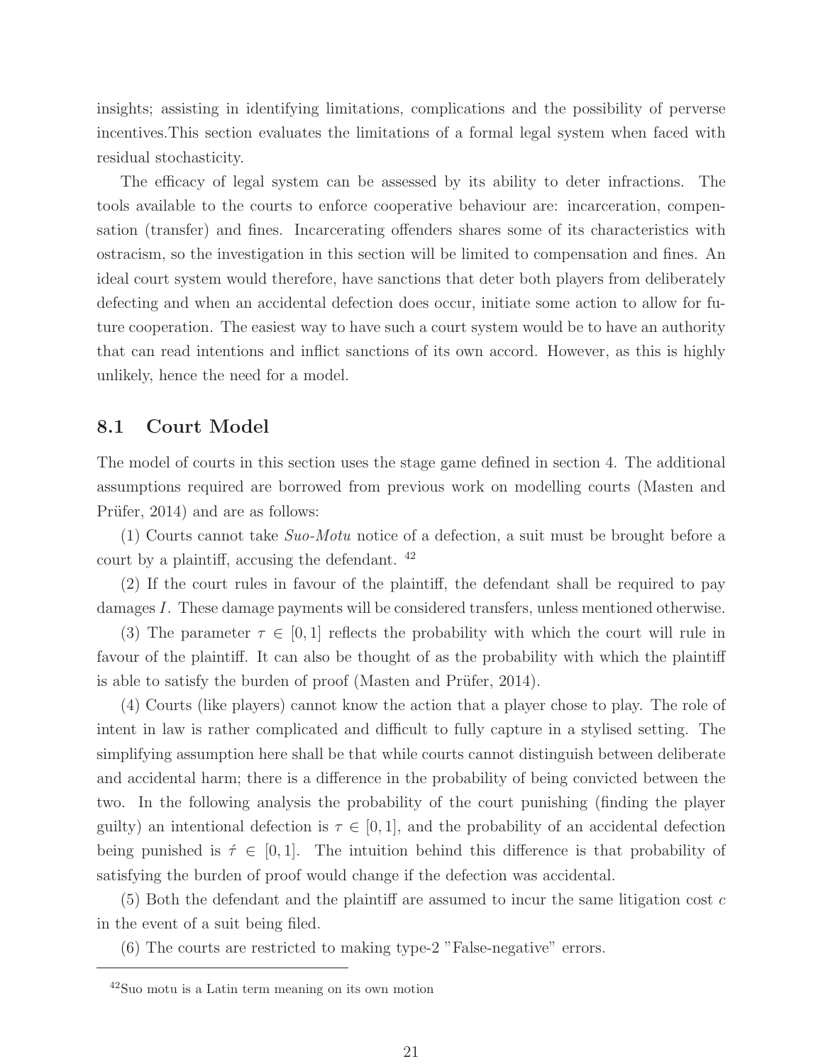insights; assisting in identifying limitations, complications and the possibility of perverse incentives.This section evaluates the limitations of a formal legal system when faced with residual stochasticity.

The efficacy of legal system can be assessed by its ability to deter infractions. The tools available to the courts to enforce cooperative behaviour are: incarceration, compensation (transfer) and fines. Incarcerating offenders shares some of its characteristics with ostracism, so the investigation in this section will be limited to compensation and fines. An ideal court system would therefore, have sanctions that deter both players from deliberately defecting and when an accidental defection does occur, initiate some action to allow for future cooperation. The easiest way to have such a court system would be to have an authority that can read intentions and inflict sanctions of its own accord. However, as this is highly unlikely, hence the need for a model.

#### **8.1 Court Model**

The model of courts in this section uses the stage game defined in section 4. The additional assumptions required are borrowed from previous work on modelling courts (Masten and Prüfer, 2014) and are as follows:

(1) Courts cannot take Suo-Motu notice of a defection, a suit must be brought before a court by a plaintiff, accusing the defendant. <sup>42</sup>

(2) If the court rules in favour of the plaintiff, the defendant shall be required to pay damages I. These damage payments will be considered transfers, unless mentioned otherwise.

(3) The parameter  $\tau \in [0, 1]$  reflects the probability with which the court will rule in favour of the plaintiff. It can also be thought of as the probability with which the plaintiff is able to satisfy the burden of proof (Masten and Prüfer, 2014).

(4) Courts (like players) cannot know the action that a player chose to play. The role of intent in law is rather complicated and difficult to fully capture in a stylised setting. The simplifying assumption here shall be that while courts cannot distinguish between deliberate and accidental harm; there is a difference in the probability of being convicted between the two. In the following analysis the probability of the court punishing (finding the player guilty) an intentional defection is  $\tau \in [0, 1]$ , and the probability of an accidental defection being punished is  $\tau \in [0, 1]$ . The intuition behind this difference is that probability of satisfying the burden of proof would change if the defection was accidental.

 $(5)$  Both the defendant and the plaintiff are assumed to incur the same litigation cost c in the event of a suit being filed.

(6) The courts are restricted to making type-2 "False-negative" errors.

<sup>42</sup>Suo motu is a Latin term meaning on its own motion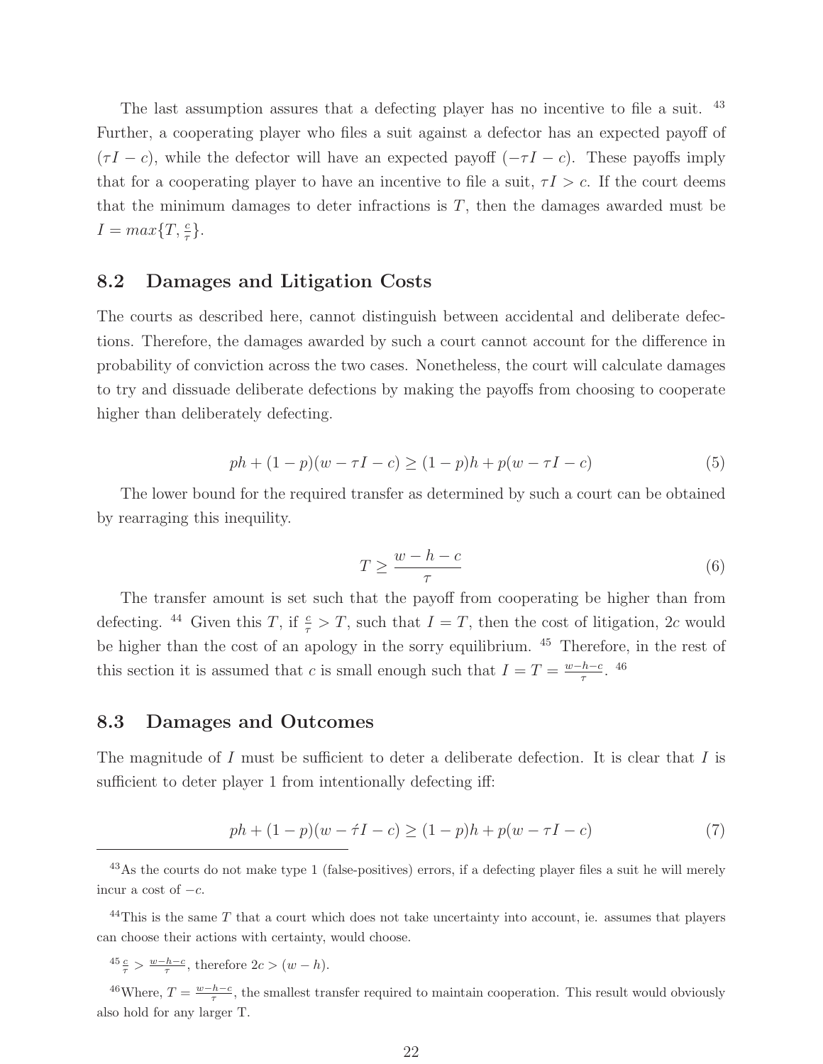The last assumption assures that a defecting player has no incentive to file a suit. <sup>43</sup> Further, a cooperating player who files a suit against a defector has an expected payoff of  $(\tau I - c)$ , while the defector will have an expected payoff  $(-\tau I - c)$ . These payoffs imply that for a cooperating player to have an incentive to file a suit,  $\tau I > c$ . If the court deems that the minimum damages to deter infractions is  $T$ , then the damages awarded must be  $I = max\{T, \frac{c}{\tau}\}.$ 

#### **8.2 Damages and Litigation Costs**

The courts as described here, cannot distinguish between accidental and deliberate defections. Therefore, the damages awarded by such a court cannot account for the difference in probability of conviction across the two cases. Nonetheless, the court will calculate damages to try and dissuade deliberate defections by making the payoffs from choosing to cooperate higher than deliberately defecting.

$$
ph + (1 - p)(w - \tau I - c) \ge (1 - p)h + p(w - \tau I - c)
$$
\n(5)

The lower bound for the required transfer as determined by such a court can be obtained by rearraging this inequility.

$$
T \ge \frac{w - h - c}{\tau} \tag{6}
$$

The transfer amount is set such that the payoff from cooperating be higher than from defecting. <sup>44</sup> Given this T, if  $\frac{c}{\tau} > T$ , such that  $I = T$ , then the cost of litigation, 2c would be higher than the cost of an apology in the sorry equilibrium. <sup>45</sup> Therefore, in the rest of this section it is assumed that c is small enough such that  $I = T = \frac{w - h - c}{\tau}$ . <sup>46</sup>

#### **8.3 Damages and Outcomes**

The magnitude of I must be sufficient to deter a deliberate defection. It is clear that I is sufficient to deter player 1 from intentionally defecting iff:

$$
ph + (1 - p)(w - \tau I - c) \ge (1 - p)h + p(w - \tau I - c)
$$
\n(7)

 $^{44}$ This is the same T that a court which does not take uncertainty into account, ie. assumes that players can choose their actions with certainty, would choose.

 $\frac{45}{\tau} \frac{c}{\tau} > \frac{w-h-c}{\tau}$ , therefore  $2c > (w-h)$ .

<sup>46</sup>Where,  $T = \frac{w-h-c}{\tau}$ , the smallest transfer required to maintain cooperation. This result would obviously also hold for any larger T.

<sup>&</sup>lt;sup>43</sup>As the courts do not make type 1 (false-positives) errors, if a defecting player files a suit he will merely incur a cost of  $-c$ .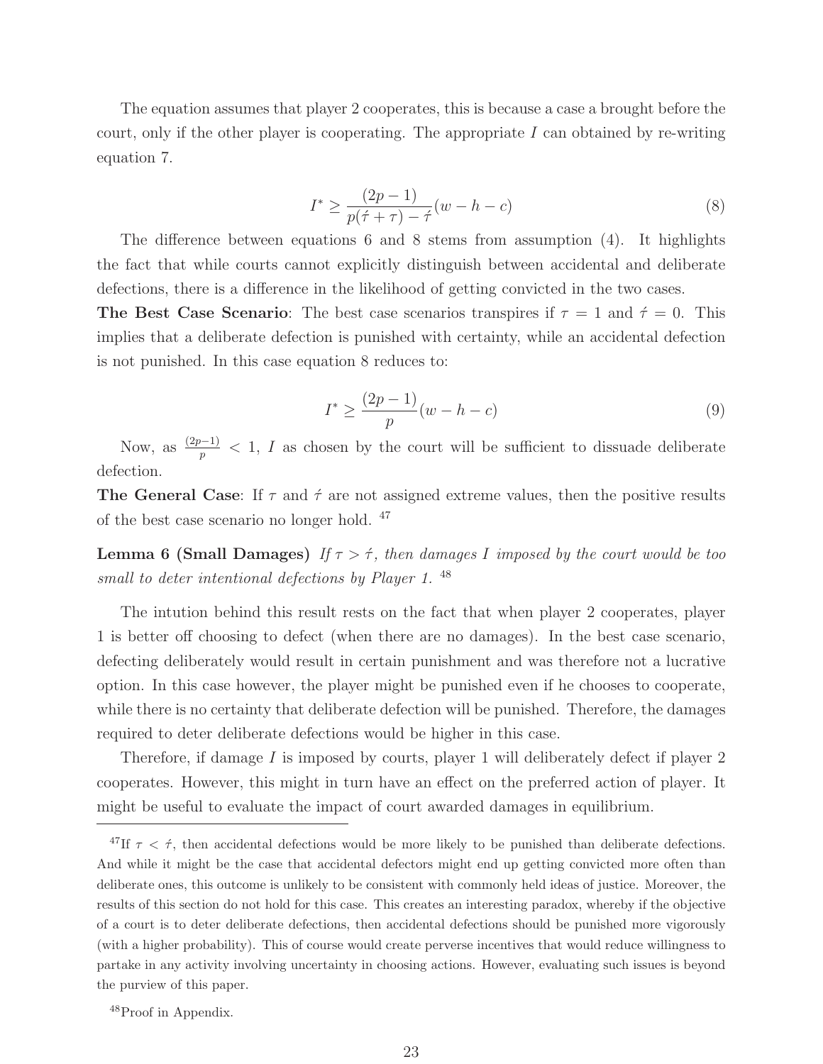The equation assumes that player 2 cooperates, this is because a case a brought before the court, only if the other player is cooperating. The appropriate  $I$  can obtained by re-writing equation 7.

$$
I^* \ge \frac{(2p-1)}{p(\acute{\tau} + \tau) - \acute{\tau}}(w - h - c)
$$
\n(8)

The difference between equations 6 and 8 stems from assumption (4). It highlights the fact that while courts cannot explicitly distinguish between accidental and deliberate defections, there is a difference in the likelihood of getting convicted in the two cases.

**The Best Case Scenario:** The best case scenarios transpires if  $\tau = 1$  and  $\dot{\tau} = 0$ . This implies that a deliberate defection is punished with certainty, while an accidental defection is not punished. In this case equation 8 reduces to:

$$
I^* \ge \frac{(2p-1)}{p}(w-h-c)
$$
\n(9)

Now, as  $\frac{(2p-1)}{p}$  < 1, I as chosen by the court will be sufficient to dissuade deliberate defection.

**The General Case**: If  $\tau$  and  $\acute{\tau}$  are not assigned extreme values, then the positive results of the best case scenario no longer hold. <sup>47</sup>

**Lemma 6 (Small Damages)** If  $\tau > \tau$ , then damages I imposed by the court would be too small to deter intentional defections by Player 1.<sup>48</sup>

The intution behind this result rests on the fact that when player 2 cooperates, player 1 is better off choosing to defect (when there are no damages). In the best case scenario, defecting deliberately would result in certain punishment and was therefore not a lucrative option. In this case however, the player might be punished even if he chooses to cooperate, while there is no certainty that deliberate defection will be punished. Therefore, the damages required to deter deliberate defections would be higher in this case.

Therefore, if damage I is imposed by courts, player 1 will deliberately defect if player 2 cooperates. However, this might in turn have an effect on the preferred action of player. It might be useful to evaluate the impact of court awarded damages in equilibrium.

<sup>&</sup>lt;sup>47</sup>If  $\tau < \dot{\tau}$ , then accidental defections would be more likely to be punished than deliberate defections. And while it might be the case that accidental defectors might end up getting convicted more often than deliberate ones, this outcome is unlikely to be consistent with commonly held ideas of justice. Moreover, the results of this section do not hold for this case. This creates an interesting paradox, whereby if the objective of a court is to deter deliberate defections, then accidental defections should be punished more vigorously (with a higher probability). This of course would create perverse incentives that would reduce willingness to partake in any activity involving uncertainty in choosing actions. However, evaluating such issues is beyond the purview of this paper.

<sup>48</sup>Proof in Appendix.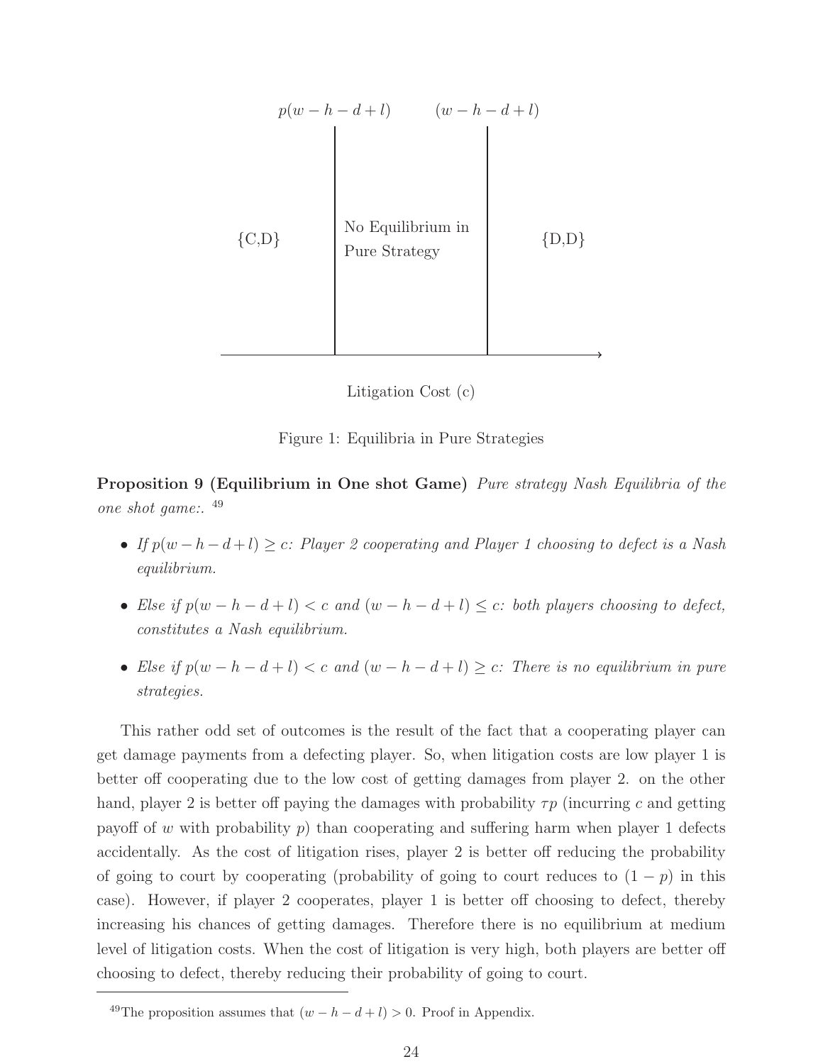| $p(w-h-d+l)$ |                                    | $(w-h-d+l)$ |
|--------------|------------------------------------|-------------|
| ${C,D}$      | No Equilibrium in<br>Pure Strategy | $\{D,D\}$   |

Litigation Cost (c)



**Proposition 9 (Equilibrium in One shot Game)** Pure strategy Nash Equilibria of the one shot game:. <sup>49</sup>

- If  $p(w-h-d+l) \geq c$ : Player 2 cooperating and Player 1 choosing to defect is a Nash equilibrium.
- Else if  $p(w h d + l) < c$  and  $(w h d + l) \leq c$ : both players choosing to defect, constitutes a Nash equilibrium.
- Else if  $p(w h d + l) < c$  and  $(w h d + l) \geq c$ : There is no equilibrium in pure strategies.

This rather odd set of outcomes is the result of the fact that a cooperating player can get damage payments from a defecting player. So, when litigation costs are low player 1 is better off cooperating due to the low cost of getting damages from player 2. on the other hand, player 2 is better off paying the damages with probability  $\tau p$  (incurring c and getting payoff of w with probability  $p$ ) than cooperating and suffering harm when player 1 defects accidentally. As the cost of litigation rises, player 2 is better off reducing the probability of going to court by cooperating (probability of going to court reduces to  $(1 - p)$  in this case). However, if player 2 cooperates, player 1 is better off choosing to defect, thereby increasing his chances of getting damages. Therefore there is no equilibrium at medium level of litigation costs. When the cost of litigation is very high, both players are better off choosing to defect, thereby reducing their probability of going to court.

<sup>49</sup>The proposition assumes that  $(w - h - d + l) > 0$ . Proof in Appendix.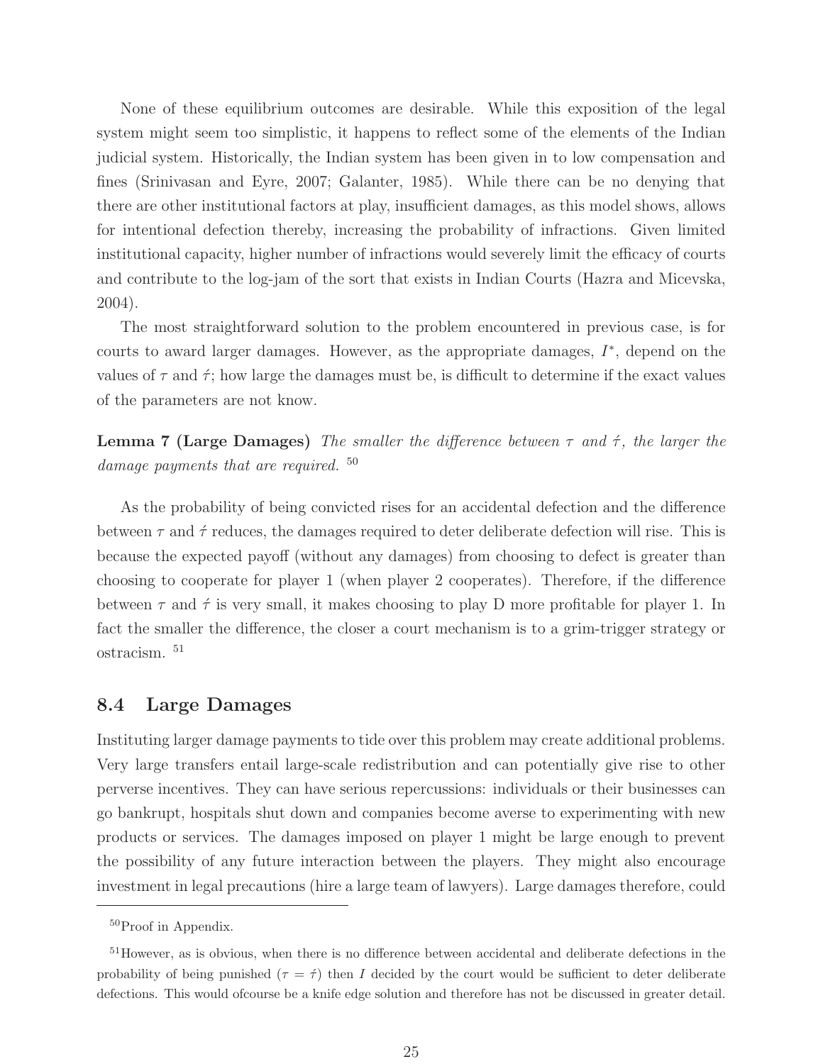None of these equilibrium outcomes are desirable. While this exposition of the legal system might seem too simplistic, it happens to reflect some of the elements of the Indian judicial system. Historically, the Indian system has been given in to low compensation and fines (Srinivasan and Eyre, 2007; Galanter, 1985). While there can be no denying that there are other institutional factors at play, insufficient damages, as this model shows, allows for intentional defection thereby, increasing the probability of infractions. Given limited institutional capacity, higher number of infractions would severely limit the efficacy of courts and contribute to the log-jam of the sort that exists in Indian Courts (Hazra and Micevska, 2004).

The most straightforward solution to the problem encountered in previous case, is for courts to award larger damages. However, as the appropriate damages,  $I^*$ , depend on the values of  $\tau$  and  $\dot{\tau}$ ; how large the damages must be, is difficult to determine if the exact values of the parameters are not know.

**Lemma 7 (Large Damages)** The smaller the difference between  $\tau$  and  $\dot{\tau}$ , the larger the damage payments that are required.<sup>50</sup>

As the probability of being convicted rises for an accidental defection and the difference between  $\tau$  and  $\dot{\tau}$  reduces, the damages required to deter deliberate defection will rise. This is because the expected payoff (without any damages) from choosing to defect is greater than choosing to cooperate for player 1 (when player 2 cooperates). Therefore, if the difference between  $\tau$  and  $\dot{\tau}$  is very small, it makes choosing to play D more profitable for player 1. In fact the smaller the difference, the closer a court mechanism is to a grim-trigger strategy or ostracism. <sup>51</sup>

#### **8.4 Large Damages**

Instituting larger damage payments to tide over this problem may create additional problems. Very large transfers entail large-scale redistribution and can potentially give rise to other perverse incentives. They can have serious repercussions: individuals or their businesses can go bankrupt, hospitals shut down and companies become averse to experimenting with new products or services. The damages imposed on player 1 might be large enough to prevent the possibility of any future interaction between the players. They might also encourage investment in legal precautions (hire a large team of lawyers). Large damages therefore, could

<sup>50</sup>Proof in Appendix.

<sup>51</sup>However, as is obvious, when there is no difference between accidental and deliberate defections in the probability of being punished ( $\tau = \hat{\tau}$ ) then I decided by the court would be sufficient to deter deliberate defections. This would ofcourse be a knife edge solution and therefore has not be discussed in greater detail.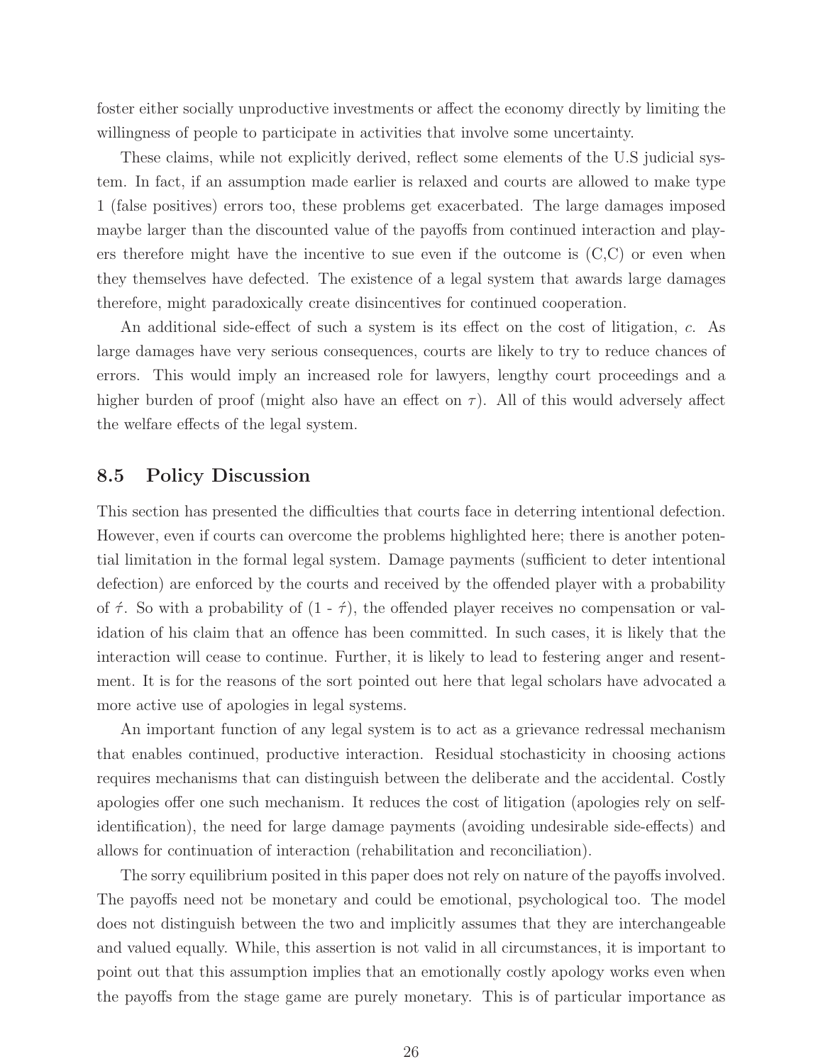foster either socially unproductive investments or affect the economy directly by limiting the willingness of people to participate in activities that involve some uncertainty.

These claims, while not explicitly derived, reflect some elements of the U.S judicial system. In fact, if an assumption made earlier is relaxed and courts are allowed to make type 1 (false positives) errors too, these problems get exacerbated. The large damages imposed maybe larger than the discounted value of the payoffs from continued interaction and players therefore might have the incentive to sue even if the outcome is (C,C) or even when they themselves have defected. The existence of a legal system that awards large damages therefore, might paradoxically create disincentives for continued cooperation.

An additional side-effect of such a system is its effect on the cost of litigation, c. As large damages have very serious consequences, courts are likely to try to reduce chances of errors. This would imply an increased role for lawyers, lengthy court proceedings and a higher burden of proof (might also have an effect on  $\tau$ ). All of this would adversely affect the welfare effects of the legal system.

#### **8.5 Policy Discussion**

This section has presented the difficulties that courts face in deterring intentional defection. However, even if courts can overcome the problems highlighted here; there is another potential limitation in the formal legal system. Damage payments (sufficient to deter intentional defection) are enforced by the courts and received by the offended player with a probability of  $\acute{\tau}$ . So with a probability of  $(1 - \acute{\tau})$ , the offended player receives no compensation or validation of his claim that an offence has been committed. In such cases, it is likely that the interaction will cease to continue. Further, it is likely to lead to festering anger and resentment. It is for the reasons of the sort pointed out here that legal scholars have advocated a more active use of apologies in legal systems.

An important function of any legal system is to act as a grievance redressal mechanism that enables continued, productive interaction. Residual stochasticity in choosing actions requires mechanisms that can distinguish between the deliberate and the accidental. Costly apologies offer one such mechanism. It reduces the cost of litigation (apologies rely on selfidentification), the need for large damage payments (avoiding undesirable side-effects) and allows for continuation of interaction (rehabilitation and reconciliation).

The sorry equilibrium posited in this paper does not rely on nature of the payoffs involved. The payoffs need not be monetary and could be emotional, psychological too. The model does not distinguish between the two and implicitly assumes that they are interchangeable and valued equally. While, this assertion is not valid in all circumstances, it is important to point out that this assumption implies that an emotionally costly apology works even when the payoffs from the stage game are purely monetary. This is of particular importance as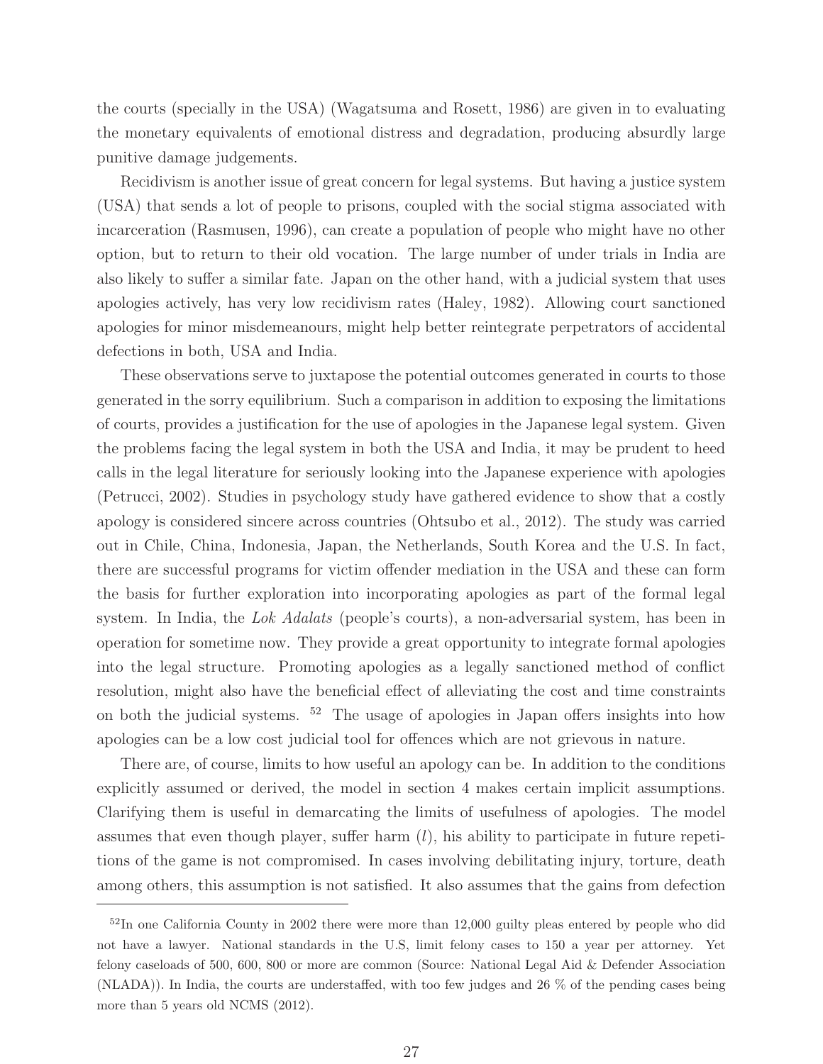the courts (specially in the USA) (Wagatsuma and Rosett, 1986) are given in to evaluating the monetary equivalents of emotional distress and degradation, producing absurdly large punitive damage judgements.

Recidivism is another issue of great concern for legal systems. But having a justice system (USA) that sends a lot of people to prisons, coupled with the social stigma associated with incarceration (Rasmusen, 1996), can create a population of people who might have no other option, but to return to their old vocation. The large number of under trials in India are also likely to suffer a similar fate. Japan on the other hand, with a judicial system that uses apologies actively, has very low recidivism rates (Haley, 1982). Allowing court sanctioned apologies for minor misdemeanours, might help better reintegrate perpetrators of accidental defections in both, USA and India.

These observations serve to juxtapose the potential outcomes generated in courts to those generated in the sorry equilibrium. Such a comparison in addition to exposing the limitations of courts, provides a justification for the use of apologies in the Japanese legal system. Given the problems facing the legal system in both the USA and India, it may be prudent to heed calls in the legal literature for seriously looking into the Japanese experience with apologies (Petrucci, 2002). Studies in psychology study have gathered evidence to show that a costly apology is considered sincere across countries (Ohtsubo et al., 2012). The study was carried out in Chile, China, Indonesia, Japan, the Netherlands, South Korea and the U.S. In fact, there are successful programs for victim offender mediation in the USA and these can form the basis for further exploration into incorporating apologies as part of the formal legal system. In India, the Lok Adalats (people's courts), a non-adversarial system, has been in operation for sometime now. They provide a great opportunity to integrate formal apologies into the legal structure. Promoting apologies as a legally sanctioned method of conflict resolution, might also have the beneficial effect of alleviating the cost and time constraints on both the judicial systems. <sup>52</sup> The usage of apologies in Japan offers insights into how apologies can be a low cost judicial tool for offences which are not grievous in nature.

There are, of course, limits to how useful an apology can be. In addition to the conditions explicitly assumed or derived, the model in section 4 makes certain implicit assumptions. Clarifying them is useful in demarcating the limits of usefulness of apologies. The model assumes that even though player, suffer harm  $(l)$ , his ability to participate in future repetitions of the game is not compromised. In cases involving debilitating injury, torture, death among others, this assumption is not satisfied. It also assumes that the gains from defection

<sup>&</sup>lt;sup>52</sup>In one California County in 2002 there were more than 12,000 guilty pleas entered by people who did not have a lawyer. National standards in the U.S, limit felony cases to 150 a year per attorney. Yet felony caseloads of 500, 600, 800 or more are common (Source: National Legal Aid & Defender Association (NLADA)). In India, the courts are understaffed, with too few judges and 26 % of the pending cases being more than 5 years old NCMS (2012).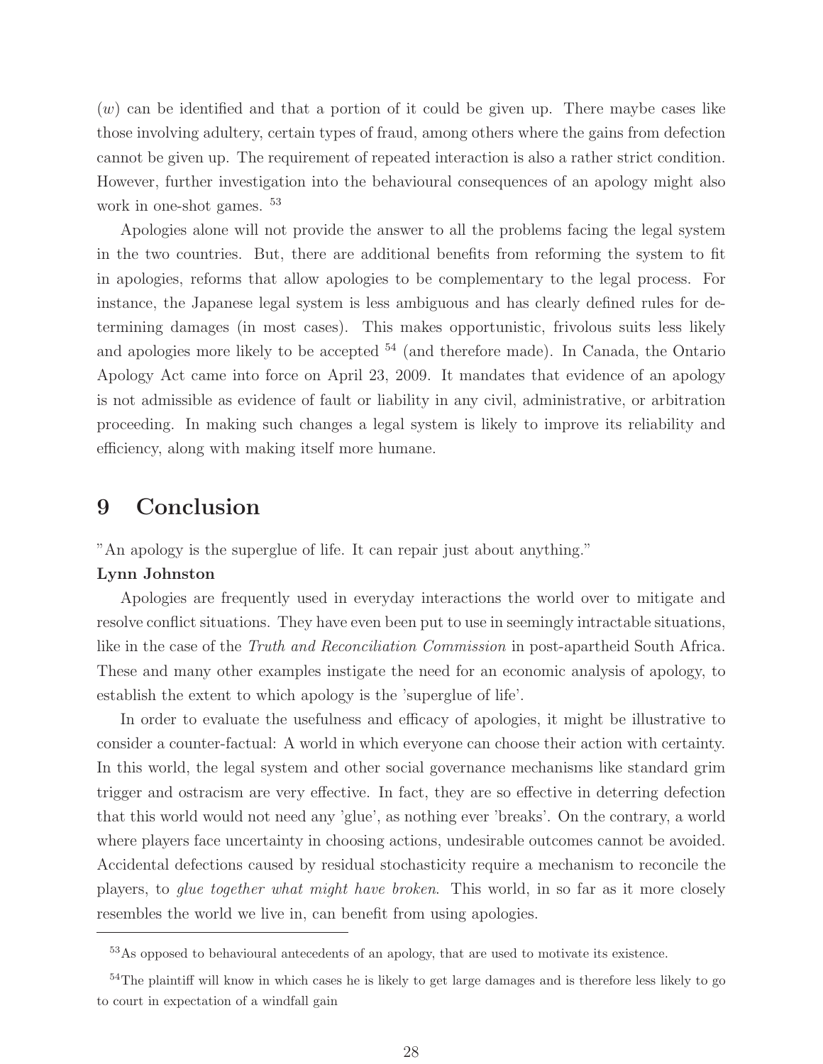$(w)$  can be identified and that a portion of it could be given up. There maybe cases like those involving adultery, certain types of fraud, among others where the gains from defection cannot be given up. The requirement of repeated interaction is also a rather strict condition. However, further investigation into the behavioural consequences of an apology might also work in one-shot games.  $53$ 

Apologies alone will not provide the answer to all the problems facing the legal system in the two countries. But, there are additional benefits from reforming the system to fit in apologies, reforms that allow apologies to be complementary to the legal process. For instance, the Japanese legal system is less ambiguous and has clearly defined rules for determining damages (in most cases). This makes opportunistic, frivolous suits less likely and apologies more likely to be accepted  $54$  (and therefore made). In Canada, the Ontario Apology Act came into force on April 23, 2009. It mandates that evidence of an apology is not admissible as evidence of fault or liability in any civil, administrative, or arbitration proceeding. In making such changes a legal system is likely to improve its reliability and efficiency, along with making itself more humane.

## **9 Conclusion**

"An apology is the superglue of life. It can repair just about anything."

#### **Lynn Johnston**

Apologies are frequently used in everyday interactions the world over to mitigate and resolve conflict situations. They have even been put to use in seemingly intractable situations, like in the case of the Truth and Reconciliation Commission in post-apartheid South Africa. These and many other examples instigate the need for an economic analysis of apology, to establish the extent to which apology is the 'superglue of life'.

In order to evaluate the usefulness and efficacy of apologies, it might be illustrative to consider a counter-factual: A world in which everyone can choose their action with certainty. In this world, the legal system and other social governance mechanisms like standard grim trigger and ostracism are very effective. In fact, they are so effective in deterring defection that this world would not need any 'glue', as nothing ever 'breaks'. On the contrary, a world where players face uncertainty in choosing actions, undesirable outcomes cannot be avoided. Accidental defections caused by residual stochasticity require a mechanism to reconcile the players, to glue together what might have broken. This world, in so far as it more closely resembles the world we live in, can benefit from using apologies.

<sup>53</sup>As opposed to behavioural antecedents of an apology, that are used to motivate its existence.

<sup>&</sup>lt;sup>54</sup>The plaintiff will know in which cases he is likely to get large damages and is therefore less likely to go to court in expectation of a windfall gain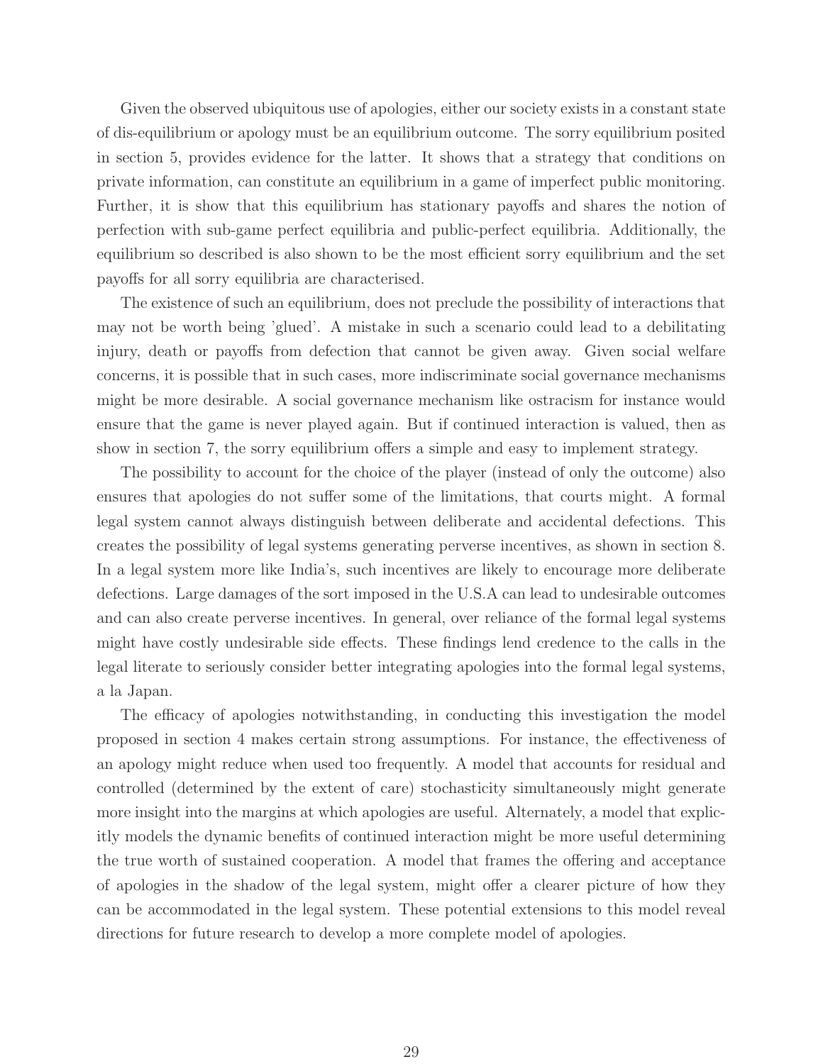Given the observed ubiquitous use of apologies, either our society exists in a constant state of dis-equilibrium or apology must be an equilibrium outcome. The sorry equilibrium posited in section 5, provides evidence for the latter. It shows that a strategy that conditions on private information, can constitute an equilibrium in a game of imperfect public monitoring. Further, it is show that this equilibrium has stationary payoffs and shares the notion of perfection with sub-game perfect equilibria and public-perfect equilibria. Additionally, the equilibrium so described is also shown to be the most efficient sorry equilibrium and the set payoffs for all sorry equilibria are characterised.

The existence of such an equilibrium, does not preclude the possibility of interactions that may not be worth being 'glued'. A mistake in such a scenario could lead to a debilitating injury, death or payoffs from defection that cannot be given away. Given social welfare concerns, it is possible that in such cases, more indiscriminate social governance mechanisms might be more desirable. A social governance mechanism like ostracism for instance would ensure that the game is never played again. But if continued interaction is valued, then as show in section 7, the sorry equilibrium offers a simple and easy to implement strategy.

The possibility to account for the choice of the player (instead of only the outcome) also ensures that apologies do not suffer some of the limitations, that courts might. A formal legal system cannot always distinguish between deliberate and accidental defections. This creates the possibility of legal systems generating perverse incentives, as shown in section 8. In a legal system more like India's, such incentives are likely to encourage more deliberate defections. Large damages of the sort imposed in the U.S.A can lead to undesirable outcomes and can also create perverse incentives. In general, over reliance of the formal legal systems might have costly undesirable side effects. These findings lend credence to the calls in the legal literate to seriously consider better integrating apologies into the formal legal systems, a la Japan.

The efficacy of apologies notwithstanding, in conducting this investigation the model proposed in section 4 makes certain strong assumptions. For instance, the effectiveness of an apology might reduce when used too frequently. A model that accounts for residual and controlled (determined by the extent of care) stochasticity simultaneously might generate more insight into the margins at which apologies are useful. Alternately, a model that explicitly models the dynamic benefits of continued interaction might be more useful determining the true worth of sustained cooperation. A model that frames the offering and acceptance of apologies in the shadow of the legal system, might offer a clearer picture of how they can be accommodated in the legal system. These potential extensions to this model reveal directions for future research to develop a more complete model of apologies.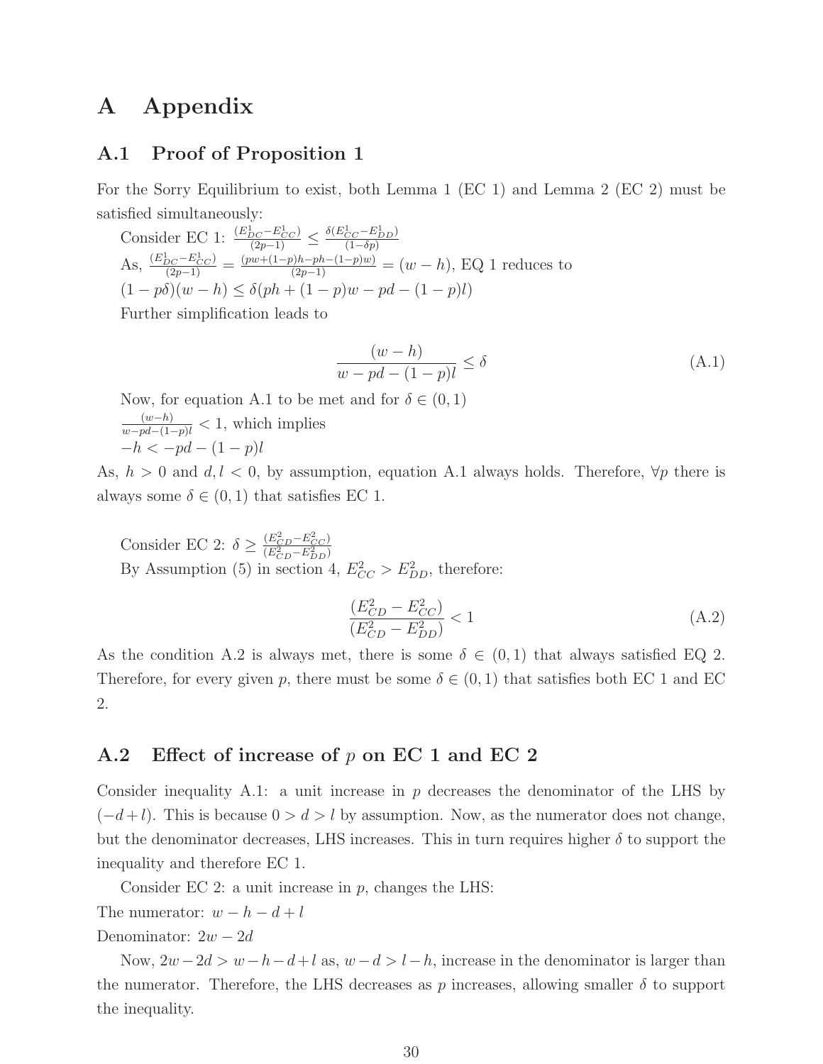## **A Appendix**

#### **A.1 Proof of Proposition 1**

For the Sorry Equilibrium to exist, both Lemma 1 (EC 1) and Lemma 2 (EC 2) must be satisfied simultaneously:

Consider EC 1:  $\frac{(E_{DC}^1 - E_{CC}^1)}{(2p-1)} \leq \frac{\delta(E_{CC}^1 - E_{DD}^1)}{(1 - \delta p)}$ (1−*δp*) As,  $\frac{(E_{DC}^1 - E_{CC}^1)}{(2p-1)} = \frac{(pw + (1-p)h - ph - (1-p)w)}{(2p-1)} = (w - h)$ , EQ 1 reduces to  $(1 - p\delta)(w - h) \leq \delta(ph + (1 - p)w - pd - (1 - p)l)$ 

Further simplification leads to

$$
\frac{(w-h)}{w-pd-(1-p)l} \le \delta
$$
\n(A.1)

Now, for equation A.1 to be met and for  $\delta \in (0,1)$  $\frac{(w-h)}{w-pd-(1-p)l}$  < 1, which implies  $-h < -pd - (1 - p)l$ 

As,  $h > 0$  and  $d, l < 0$ , by assumption, equation A.1 always holds. Therefore,  $\forall p$  there is always some  $\delta \in (0,1)$  that satisfies EC 1.

Consider EC 2:  $\delta \geq \frac{(E_{CD}^2 - E_{CC}^2)}{(E_{CD}^2 - E_{DD}^2)}$  $(\overline{E_{CD}^2 - E_{DD}^2})$ By Assumption (5) in section 4,  $E_{CC}^2 > E_{DD}^2$ , therefore:

$$
\frac{(E_{CD}^2 - E_{CC}^2)}{(E_{CD}^2 - E_{DD}^2)} < 1\tag{A.2}
$$

As the condition A.2 is always met, there is some  $\delta \in (0,1)$  that always satisfied EQ 2. Therefore, for every given p, there must be some  $\delta \in (0,1)$  that satisfies both EC 1 and EC 2.

#### **A.2 Effect of increase of** p **on EC 1 and EC 2**

Consider inequality A.1: a unit increase in  $p$  decreases the denominator of the LHS by  $(-d+l)$ . This is because  $0 > d > l$  by assumption. Now, as the numerator does not change, but the denominator decreases, LHS increases. This in turn requires higher  $\delta$  to support the inequality and therefore EC 1.

Consider EC 2: a unit increase in  $p$ , changes the LHS:

The numerator: 
$$
w - h - d + l
$$

#### Denominator:  $2w - 2d$

Now,  $2w-2d>w-h-d+l$  as,  $w-d>l-h$ , increase in the denominator is larger than the numerator. Therefore, the LHS decreases as p increases, allowing smaller  $\delta$  to support the inequality.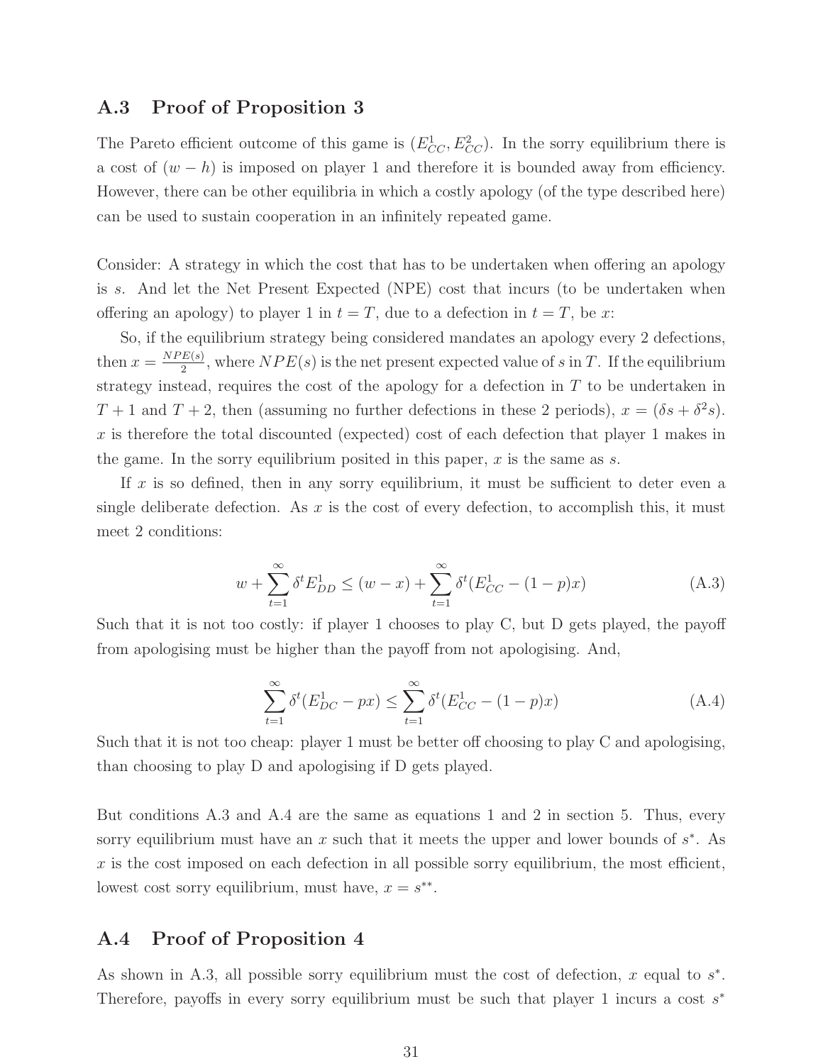#### **A.3 Proof of Proposition 3**

The Pareto efficient outcome of this game is  $(E_{CC}^1, E_{CC}^2)$ . In the sorry equilibrium there is a cost of  $(w - h)$  is imposed on player 1 and therefore it is bounded away from efficiency. However, there can be other equilibria in which a costly apology (of the type described here) can be used to sustain cooperation in an infinitely repeated game.

Consider: A strategy in which the cost that has to be undertaken when offering an apology is s. And let the Net Present Expected (NPE) cost that incurs (to be undertaken when offering an apology) to player 1 in  $t = T$ , due to a defection in  $t = T$ , be x:

So, if the equilibrium strategy being considered mandates an apology every 2 defections, then  $x = \frac{NPE(s)}{2}$ , where  $NPE(s)$  is the net present expected value of s in T. If the equilibrium strategy instead, requires the cost of the apology for a defection in  $T$  to be undertaken in  $T+1$  and  $T+2$ , then (assuming no further defections in these 2 periods),  $x = (\delta s + \delta^2 s)$ . x is therefore the total discounted (expected) cost of each defection that player 1 makes in the game. In the sorry equilibrium posited in this paper,  $x$  is the same as  $s$ .

If x is so defined, then in any sorry equilibrium, it must be sufficient to deter even a single deliberate defection. As x is the cost of every defection, to accomplish this, it must meet 2 conditions:

$$
w + \sum_{t=1}^{\infty} \delta^t E_{DD}^1 \le (w - x) + \sum_{t=1}^{\infty} \delta^t (E_{CC}^1 - (1 - p)x)
$$
 (A.3)

Such that it is not too costly: if player 1 chooses to play C, but D gets played, the payoff from apologising must be higher than the payoff from not apologising. And,

$$
\sum_{t=1}^{\infty} \delta^t (E_{DC}^1 - px) \le \sum_{t=1}^{\infty} \delta^t (E_{CC}^1 - (1-p)x)
$$
\n(A.4)

Such that it is not too cheap: player 1 must be better off choosing to play C and apologising, than choosing to play D and apologising if D gets played.

But conditions A.3 and A.4 are the same as equations 1 and 2 in section 5. Thus, every sorry equilibrium must have an x such that it meets the upper and lower bounds of  $s^*$ . As  $x$  is the cost imposed on each defection in all possible sorry equilibrium, the most efficient, lowest cost sorry equilibrium, must have,  $x = s^{**}$ .

#### **A.4 Proof of Proposition 4**

As shown in A.3, all possible sorry equilibrium must the cost of defection, x equal to  $s^*$ . Therefore, payoffs in every sorry equilibrium must be such that player 1 incurs a cost  $s^*$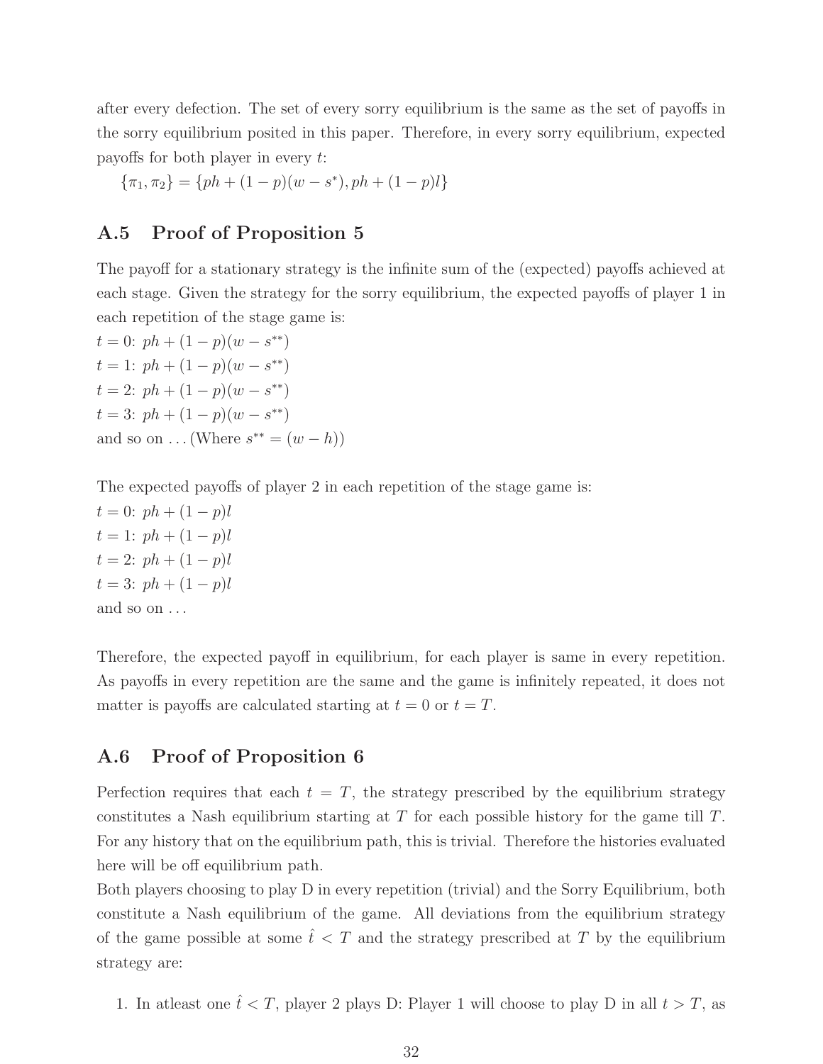after every defection. The set of every sorry equilibrium is the same as the set of payoffs in the sorry equilibrium posited in this paper. Therefore, in every sorry equilibrium, expected payoffs for both player in every t:

$$
\{\pi_1, \pi_2\} = \{ph + (1-p)(w-s^*), ph + (1-p)l\}
$$

#### **A.5 Proof of Proposition 5**

The payoff for a stationary strategy is the infinite sum of the (expected) payoffs achieved at each stage. Given the strategy for the sorry equilibrium, the expected payoffs of player 1 in each repetition of the stage game is:

 $t = 0$ :  $ph + (1 - p)(w - s^{**})$  $t = 1: ph + (1 - p)(w - s^{**})$  $t = 2$ :  $ph + (1 - p)(w - s^{**})$  $t = 3: ph + (1 - p)(w - s^{**})$ and so on  $\dots$  (Where  $s^{**} = (w - h)$ )

The expected payoffs of player 2 in each repetition of the stage game is:

 $t = 0$ :  $ph + (1 - p)l$  $t = 1$ :  $ph + (1 - p)l$  $t = 2$ :  $ph + (1 - p)l$  $t = 3: ph + (1 - p)l$ and so on . . .

Therefore, the expected payoff in equilibrium, for each player is same in every repetition. As payoffs in every repetition are the same and the game is infinitely repeated, it does not matter is payoffs are calculated starting at  $t = 0$  or  $t = T$ .

#### **A.6 Proof of Proposition 6**

Perfection requires that each  $t = T$ , the strategy prescribed by the equilibrium strategy constitutes a Nash equilibrium starting at T for each possible history for the game till T. For any history that on the equilibrium path, this is trivial. Therefore the histories evaluated here will be off equilibrium path.

Both players choosing to play D in every repetition (trivial) and the Sorry Equilibrium, both constitute a Nash equilibrium of the game. All deviations from the equilibrium strategy of the game possible at some  $\hat{t} < T$  and the strategy prescribed at T by the equilibrium strategy are:

1. In at least one  $\hat{t} < T$ , player 2 plays D: Player 1 will choose to play D in all  $t > T$ , as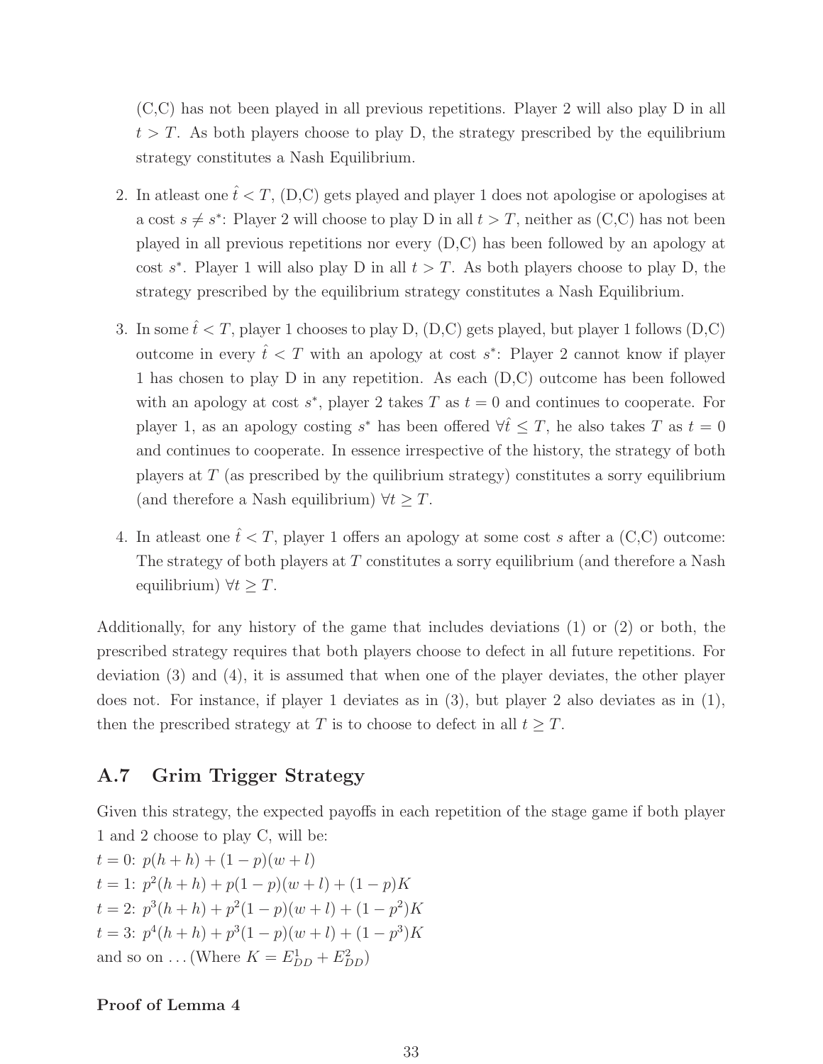(C,C) has not been played in all previous repetitions. Player 2 will also play D in all  $t>T$ . As both players choose to play D, the strategy prescribed by the equilibrium strategy constitutes a Nash Equilibrium.

- 2. In atleast one  $\hat{t} < T$ , (D,C) gets played and player 1 does not apologise or apologises at a cost  $s \neq s^*$ : Player 2 will choose to play D in all  $t>T$ , neither as (C,C) has not been played in all previous repetitions nor every (D,C) has been followed by an apology at cost s<sup>\*</sup>. Player 1 will also play D in all  $t>T$ . As both players choose to play D, the strategy prescribed by the equilibrium strategy constitutes a Nash Equilibrium.
- 3. In some  $\hat{t} < T$ , player 1 chooses to play D, (D,C) gets played, but player 1 follows (D,C) outcome in every  $\hat{t} < T$  with an apology at cost s<sup>\*</sup>: Player 2 cannot know if player 1 has chosen to play D in any repetition. As each (D,C) outcome has been followed with an apology at cost  $s^*$ , player 2 takes T as  $t = 0$  and continues to cooperate. For player 1, as an apology costing  $s^*$  has been offered  $\forall \hat{t} \leq T$ , he also takes T as  $t = 0$ and continues to cooperate. In essence irrespective of the history, the strategy of both players at T (as prescribed by the quilibrium strategy) constitutes a sorry equilibrium (and therefore a Nash equilibrium)  $\forall t \geq T$ .
- 4. In at least one  $\hat{t} < T$ , player 1 offers an apology at some cost s after a (C,C) outcome: The strategy of both players at  $T$  constitutes a sorry equilibrium (and therefore a Nash equilibrium)  $\forall t > T$ .

Additionally, for any history of the game that includes deviations (1) or (2) or both, the prescribed strategy requires that both players choose to defect in all future repetitions. For deviation (3) and (4), it is assumed that when one of the player deviates, the other player does not. For instance, if player 1 deviates as in (3), but player 2 also deviates as in (1), then the prescribed strategy at T is to choose to defect in all  $t \geq T$ .

## **A.7 Grim Trigger Strategy**

Given this strategy, the expected payoffs in each repetition of the stage game if both player 1 and 2 choose to play C, will be:

 $t = 0$ :  $p(h+h) + (1-p)(w+l)$  $t = 1: p<sup>2</sup>(h + h) + p(1 - p)(w + l) + (1 - p)K$  $t = 2$ :  $p^{3}(h + h) + p^{2}(1 - p)(w + l) + (1 - p^{2})K$ t = 3:  $p^4(h+h) + p^3(1-p)(w+l) + (1-p^3)K$ and so on ... (Where  $K = E_{DD}^1 + E_{DD}^2$ )

#### **Proof of Lemma 4**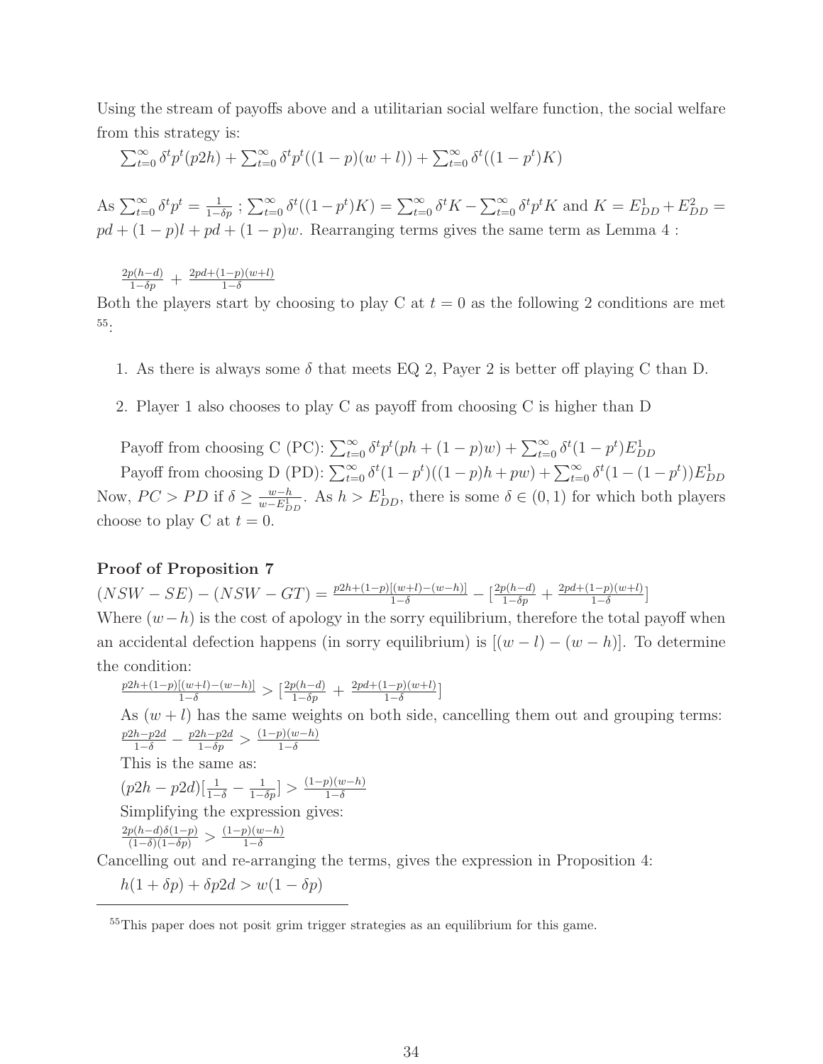Using the stream of payoffs above and a utilitarian social welfare function, the social welfare from this strategy is:

$$
\sum_{t=0}^{\infty} \delta^t p^t (p2h) + \sum_{t=0}^{\infty} \delta^t p^t ((1-p)(w+l)) + \sum_{t=0}^{\infty} \delta^t ((1-p^t)K)
$$

As  $\sum_{t=0}^{\infty} \delta^t p^t = \frac{1}{1-\delta p}$ ;  $\sum_{t=0}^{\infty} \delta^t ((1-p^t)K) = \sum_{t=0}^{\infty} \delta^t K - \sum_{t=0}^{\infty} \delta^t p^t K$  and  $K = E_{DD}^1 + E_{DD}^2 =$  $pd + (1 - p)l + pd + (1 - p)w$ . Rearranging terms gives the same term as Lemma 4 :

 $\frac{2p(h-d)}{1-\delta p}$  +  $\frac{2pd+(1-p)(w+l)}{1-\delta}$ 

Both the players start by choosing to play C at  $t = 0$  as the following 2 conditions are met 55:

- 1. As there is always some  $\delta$  that meets EQ 2, Payer 2 is better off playing C than D.
- 2. Player 1 also chooses to play C as payoff from choosing C is higher than D

Payoff from choosing C (PC):  $\sum_{t=0}^{\infty} \delta^t p^t (ph + (1-p)w) + \sum_{t=0}^{\infty} \delta^t (1-p^t) E_{DD}^1$ 

Payoff from choosing D (PD):  $\sum_{t=0}^{\infty} \delta^t (1 - p^t)((1 - p)h + pw) + \sum_{t=0}^{\infty} \delta^t (1 - (1 - p^t)) E_{DD}^1$ Now,  $PC > PD$  if  $\delta \ge \frac{w-h}{w-E_{DD}^1}$ . As  $h>E_{DD}^1$ , there is some  $\delta \in (0,1)$  for which both players choose to play C at  $t = 0$ .

#### **Proof of Proposition 7**

 $(NSW - SE) - (NSW - GT) = \frac{p2h + (1-p)[(w+l) - (w-h)]}{1-\delta} - \left[\frac{2p(h-d)}{1-\delta p} + \frac{2pd + (1-p)(w+l)}{1-\delta}\right]$ Where  $(w-h)$  is the cost of apology in the sorry equilibrium, therefore the total payoff when an accidental defection happens (in sorry equilibrium) is  $[(w - l) - (w - h)]$ . To determine the condition:

$$
\frac{p2h + (1-p)[(w+l) - (w-h)]}{1-\delta} > \left[\frac{2p(h-d)}{1-\delta p} + \frac{2pd + (1-p)(w+l)}{1-\delta}\right]
$$

As  $(w + l)$  has the same weights on both side, cancelling them out and grouping terms:  $\frac{p2h-p2d}{1-\delta} - \frac{p2h-p2d}{1-\delta p} > \frac{(1-p)(w-h)}{1-\delta}$ 

This is the same as:

$$
(p2h - p2d) \left[\frac{1}{1-\delta} - \frac{1}{1-\delta p}\right] > \frac{(1-p)(w-h)}{1-\delta}
$$

Simplifying the expression gives:

 $\frac{2p(h-d)\delta(1-p)}{(1-\delta)(1-\delta p)} > \frac{(1-p)(w-h)}{1-\delta}$ 

Cancelling out and re-arranging the terms, gives the expression in Proposition 4:

 $h(1 + \delta p) + \delta p2d > w(1 - \delta p)$ 

<sup>&</sup>lt;sup>55</sup>This paper does not posit grim trigger strategies as an equilibrium for this game.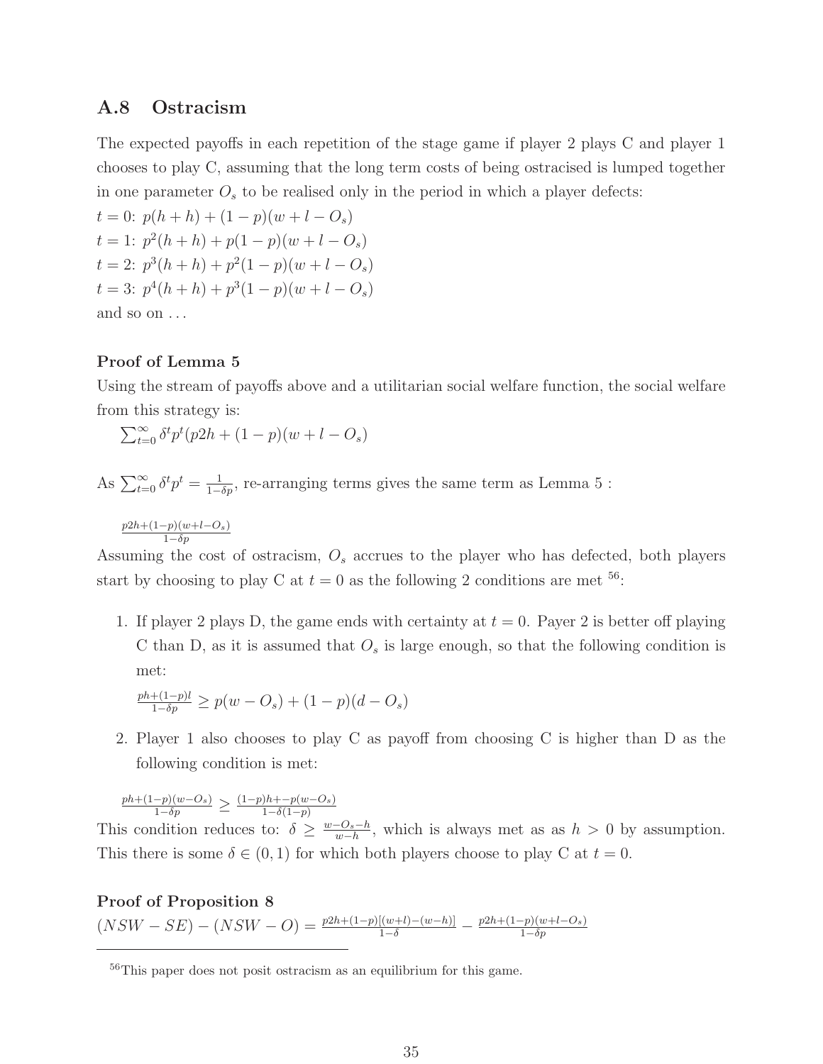#### **A.8 Ostracism**

The expected payoffs in each repetition of the stage game if player 2 plays C and player 1 chooses to play C, assuming that the long term costs of being ostracised is lumped together in one parameter  $O<sub>s</sub>$  to be realised only in the period in which a player defects:

 $t = 0$ :  $p(h+h) + (1-p)(w+l-O_s)$  $t = 1: p<sup>2</sup>(h + h) + p(1 - p)(w + l - O<sub>s</sub>)$  $t = 2$ :  $p^3(h+h) + p^2(1-p)(w+l-O_s)$  $t = 3: p^4(h+h) + p^3(1-p)(w+l-O_s)$ and so on . . .

#### **Proof of Lemma 5**

Using the stream of payoffs above and a utilitarian social welfare function, the social welfare from this strategy is:

$$
\sum_{t=0}^{\infty} \delta^t p^t (p2h + (1-p)(w+l-O_s))
$$

As  $\sum_{t=0}^{\infty} \delta^t p^t = \frac{1}{1-\delta p}$ , re-arranging terms gives the same term as Lemma 5 :

*<sup>p</sup>*2*h*+(1−*p*)(*w*+*l*−*O*s) <sup>1</sup>−*δp*

Assuming the cost of ostracism, O*<sup>s</sup>* accrues to the player who has defected, both players start by choosing to play C at  $t = 0$  as the following 2 conditions are met <sup>56</sup>:

1. If player 2 plays D, the game ends with certainty at  $t = 0$ . Payer 2 is better off playing C than D, as it is assumed that  $O_s$  is large enough, so that the following condition is met:

$$
\frac{ph + (1-p)l}{1 - \delta p} \ge p(w - O_s) + (1-p)(d - O_s)
$$

2. Player 1 also chooses to play C as payoff from choosing C is higher than D as the following condition is met:

 $\frac{ph + (1-p)(w - O_s)}{1 - \delta p} \geq \frac{(1-p)h + -p(w - O_s)}{1 - \delta(1-p)}$ 

This condition reduces to:  $\delta \geq \frac{w-O_s-h}{w-h}$ , which is always met as as  $h > 0$  by assumption. This there is some  $\delta \in (0,1)$  for which both players choose to play C at  $t = 0$ .

**Proof of Proposition 8**  $(NSW - SE) - (NSW - O) = \frac{p2h + (1-p)[(w+l) - (w-h)]}{1-\delta} - \frac{p2h + (1-p)(w+l - O_s)}{1-\delta p}$ 

<sup>56</sup>This paper does not posit ostracism as an equilibrium for this game.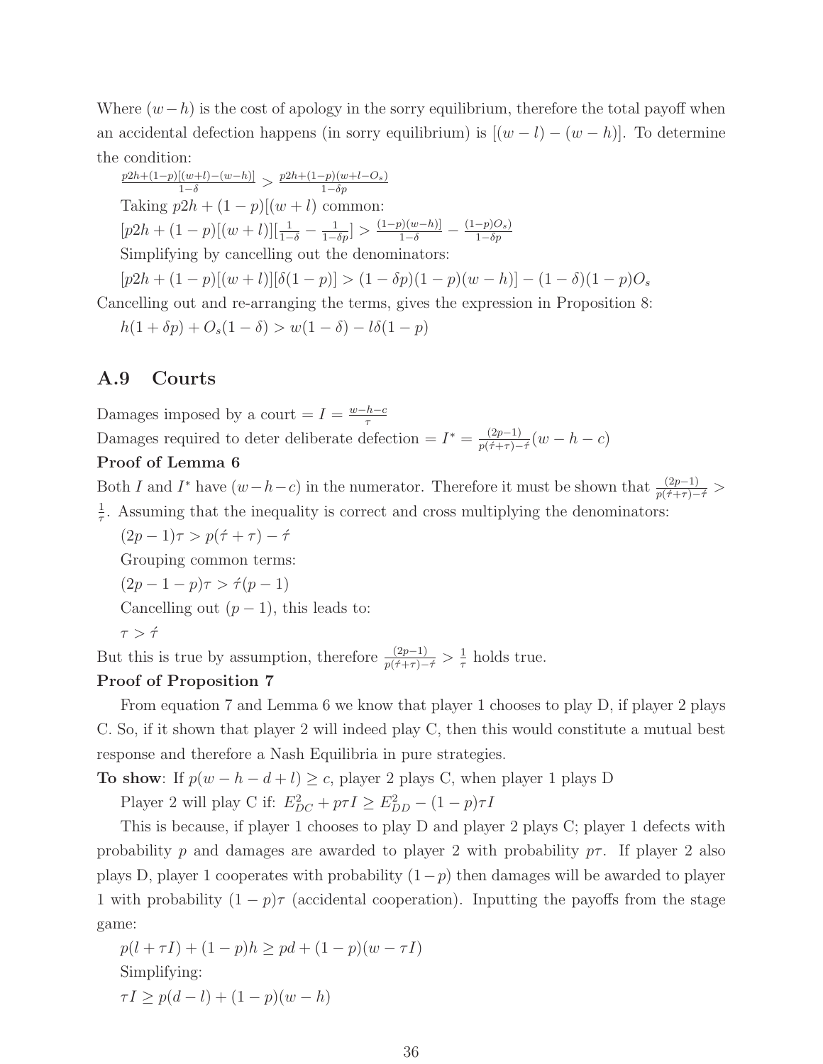Where  $(w-h)$  is the cost of apology in the sorry equilibrium, therefore the total payoff when an accidental defection happens (in sorry equilibrium) is  $[(w - l) - (w - h)]$ . To determine the condition:

 $\frac{p2h + (1-p)[(w+l) - (w-h)]}{1-\delta}$ >  $\frac{p2h + (1-p)(w+l - O_s)}{1-\delta p}$ Taking  $p2h + (1-p)[(w+l)]$  common:  $[p2h + (1-p)[(w+l)][\frac{1}{1-\delta} - \frac{1}{1-\delta p}] > \frac{(1-p)(w-h)}{1-\delta} - \frac{(1-p)O_s}{1-\delta p}$ Simplifying by cancelling out the denominators:

 $[p2h + (1-p)[(w+l)][\delta(1-p)] > (1-\delta p)(1-p)(w-h)] - (1-\delta)(1-p)O_s$ 

Cancelling out and re-arranging the terms, gives the expression in Proposition 8:

$$
h(1 + \delta p) + O_s(1 - \delta) > w(1 - \delta) - l\delta(1 - p)
$$

#### **A.9 Courts**

Damages imposed by a court =  $I = \frac{w-h-c}{\tau}$ 

Damages required to deter deliberate defection =  $I^* = \frac{(2p-1)}{p(\tau+\tau)-\tau}(w-h-c)$ 

#### **Proof of Lemma 6**

Both I and I<sup>\*</sup> have  $(w-h-c)$  in the numerator. Therefore it must be shown that  $\frac{(2p-1)}{p(\tau+\tau)-\tau}$  $\frac{1}{\tau}$ . Assuming that the inequality is correct and cross multiplying the denominators:

 $(2p - 1)\tau > p(\tau + \tau) - \tau'$ 

Grouping common terms:

 $(2p - 1 - p)\tau > \dot{\tau}(p - 1)$ 

Cancelling out  $(p-1)$ , this leads to:

$$
\tau > \acute{\tau}
$$

But this is true by assumption, therefore  $\frac{(2p-1)}{p(\tau+\tau)-\tau} > \frac{1}{\tau}$  holds true.

#### **Proof of Proposition 7**

From equation 7 and Lemma 6 we know that player 1 chooses to play D, if player 2 plays C. So, if it shown that player 2 will indeed play C, then this would constitute a mutual best response and therefore a Nash Equilibria in pure strategies.

**To show**: If  $p(w - h - d + l) \ge c$ , player 2 plays C, when player 1 plays D

Player 2 will play C if:  $E_{DC}^2 + p\tau I \ge E_{DD}^2 - (1-p)\tau I$ 

This is because, if player 1 chooses to play D and player 2 plays C; player 1 defects with probability p and damages are awarded to player 2 with probability  $p\tau$ . If player 2 also plays D, player 1 cooperates with probability  $(1-p)$  then damages will be awarded to player 1 with probability  $(1 - p)\tau$  (accidental cooperation). Inputting the payoffs from the stage game:

$$
p(l + \tau I) + (1 - p)h \ge pd + (1 - p)(w - \tau I)
$$
  
Simplifying:  

$$
\tau I \ge p(d - l) + (1 - p)(w - h)
$$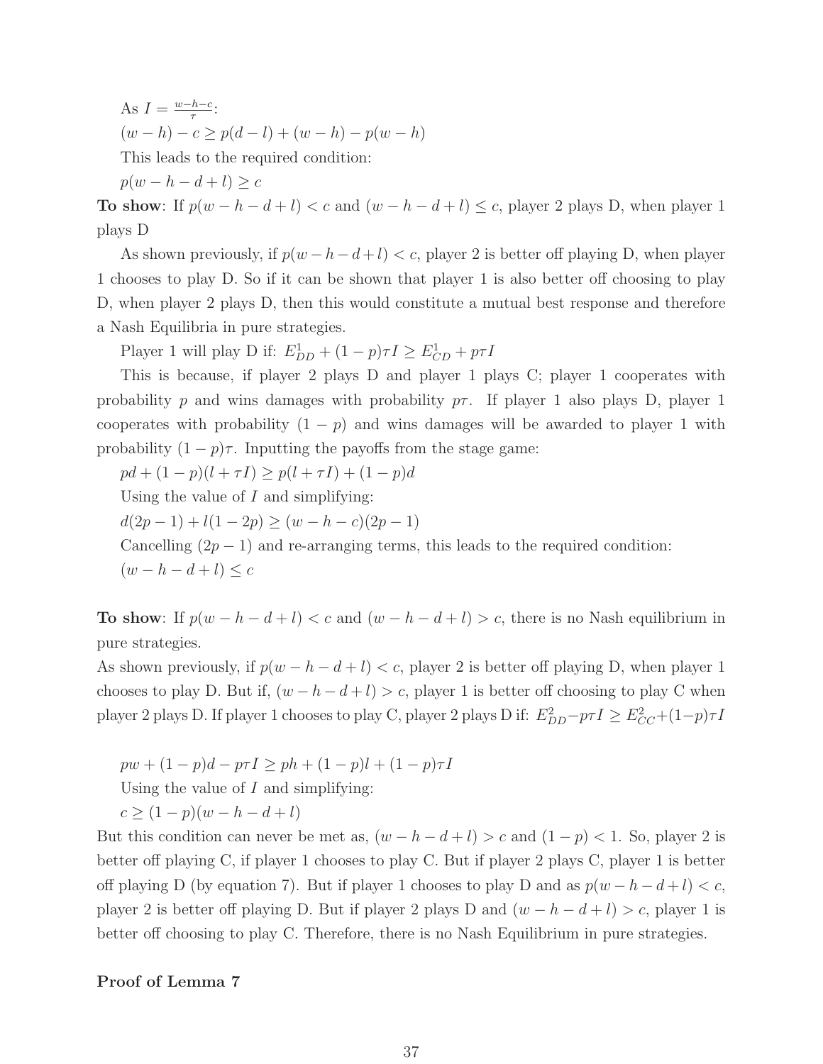As  $I = \frac{w - h - c}{\tau}$  $(w - h) - c \geq p(d - l) + (w - h) - p(w - h)$ This leads to the required condition:  $p(w-h-d+l) \geq c$ 

**To show**: If  $p(w - h - d + l) < c$  and  $(w - h - d + l) \leq c$ , player 2 plays D, when player 1 plays D

As shown previously, if  $p(w - h - d + l) < c$ , player 2 is better off playing D, when player 1 chooses to play D. So if it can be shown that player 1 is also better off choosing to play D, when player 2 plays D, then this would constitute a mutual best response and therefore a Nash Equilibria in pure strategies.

Player 1 will play D if:  $E_{DD}^1 + (1-p)\tau I \ge E_{CD}^1 + p\tau I$ 

This is because, if player 2 plays D and player 1 plays C; player 1 cooperates with probability p and wins damages with probability  $p\tau$ . If player 1 also plays D, player 1 cooperates with probability  $(1 - p)$  and wins damages will be awarded to player 1 with probability  $(1 - p)\tau$ . Inputting the payoffs from the stage game:

 $pd + (1-p)(l + \tau I) \geq p(l + \tau I) + (1-p)d$ 

Using the value of  $I$  and simplifying:

 $d(2p-1) + l(1-2p) \geq (w-h-c)(2p-1)$ 

Cancelling  $(2p - 1)$  and re-arranging terms, this leads to the required condition:

 $(w-h-d+l) \leq c$ 

**To show**: If  $p(w - h - d + l) < c$  and  $(w - h - d + l) > c$ , there is no Nash equilibrium in pure strategies.

As shown previously, if  $p(w - h - d + l) < c$ , player 2 is better off playing D, when player 1 chooses to play D. But if,  $(w - h - d + l) > c$ , player 1 is better off choosing to play C when player 2 plays D. If player 1 chooses to play C, player 2 plays D if:  $E_{DD}^2 - p\tau I \geq E_{CC}^2 + (1-p)\tau I$ 

 $pw + (1 - p)d - p\tau I > ph + (1 - p)l + (1 - p)\tau I$ Using the value of  $I$  and simplifying:  $c \ge (1-p)(w-h-d+l)$ 

But this condition can never be met as,  $(w - h - d + l) > c$  and  $(1 - p) < 1$ . So, player 2 is better off playing C, if player 1 chooses to play C. But if player 2 plays C, player 1 is better off playing D (by equation 7). But if player 1 chooses to play D and as  $p(w - h - d + l) < c$ , player 2 is better off playing D. But if player 2 plays D and  $(w - h - d + l) > c$ , player 1 is better off choosing to play C. Therefore, there is no Nash Equilibrium in pure strategies.

#### **Proof of Lemma 7**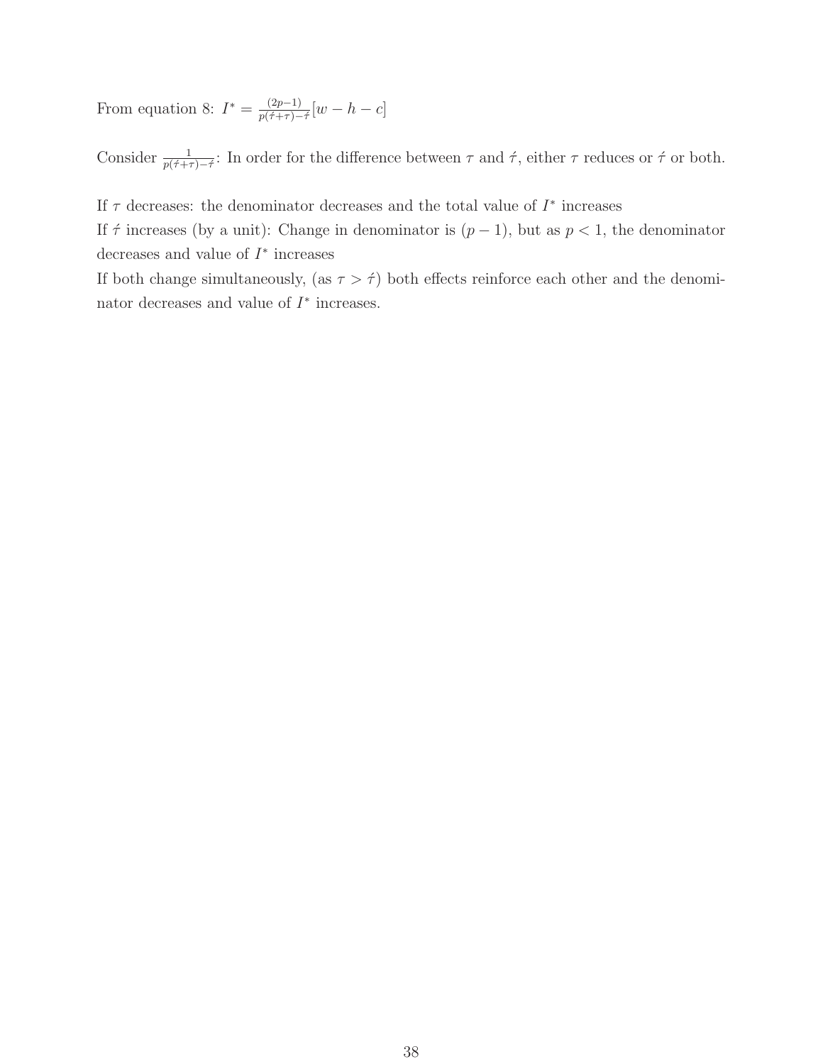From equation 8:  $I^* = \frac{(2p-1)}{p(\tau+\tau)-\tau} [w-h-c]$ 

Consider  $\frac{1}{p(\tau+\tau)-\tau}$ : In order for the difference between  $\tau$  and  $\tau$ , either  $\tau$  reduces or  $\tau$  or both.

If  $\tau$  decreases: the denominator decreases and the total value of  $I^*$  increases

If  $\tau$  increases (by a unit): Change in denominator is  $(p-1)$ , but as  $p < 1$ , the denominator decreases and value of  $I^*$  increases

If both change simultaneously, (as  $\tau > \hat{\tau}$ ) both effects reinforce each other and the denominator decreases and value of  $I^*$  increases.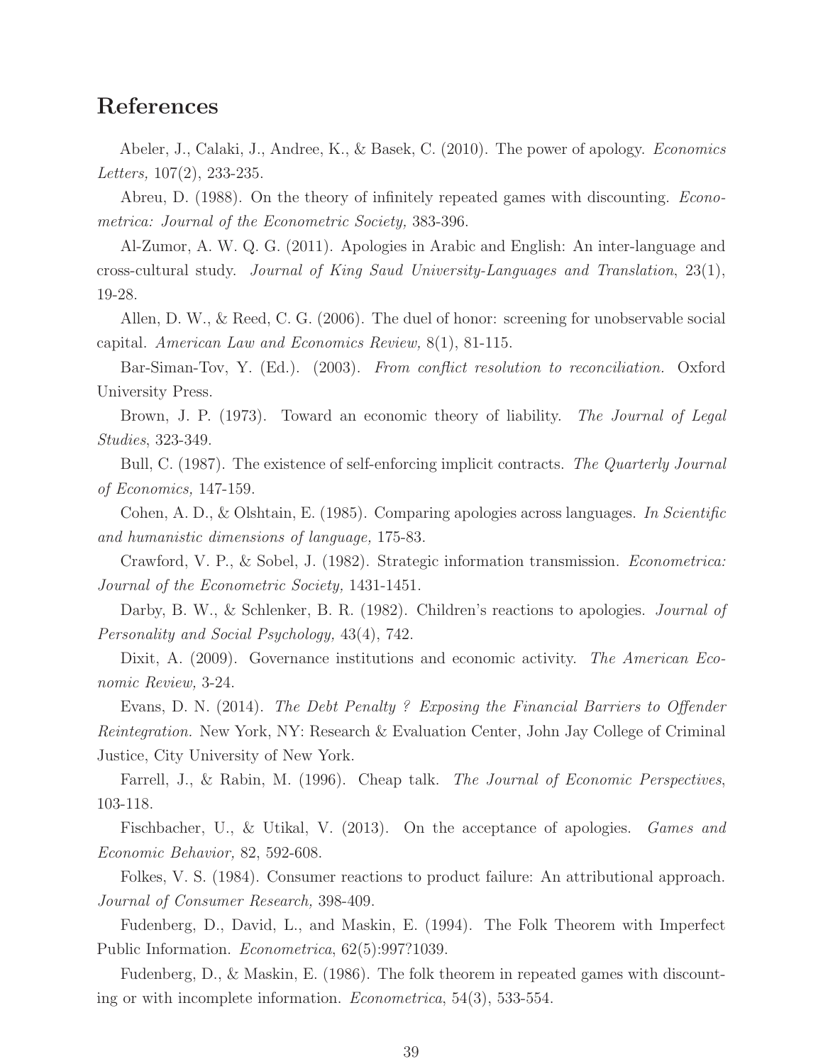## **References**

Abeler, J., Calaki, J., Andree, K., & Basek, C. (2010). The power of apology. *Economics* Letters, 107(2), 233-235.

Abreu, D. (1988). On the theory of infinitely repeated games with discounting. *Econo*metrica: Journal of the Econometric Society, 383-396.

Al-Zumor, A. W. Q. G. (2011). Apologies in Arabic and English: An inter-language and cross-cultural study. Journal of King Saud University-Languages and Translation, 23(1), 19-28.

Allen, D. W., & Reed, C. G. (2006). The duel of honor: screening for unobservable social capital. American Law and Economics Review, 8(1), 81-115.

Bar-Siman-Tov, Y. (Ed.). (2003). From conflict resolution to reconciliation. Oxford University Press.

Brown, J. P. (1973). Toward an economic theory of liability. The Journal of Legal Studies, 323-349.

Bull, C. (1987). The existence of self-enforcing implicit contracts. The Quarterly Journal of Economics, 147-159.

Cohen, A. D., & Olshtain, E. (1985). Comparing apologies across languages. In Scientific and humanistic dimensions of language, 175-83.

Crawford, V. P., & Sobel, J. (1982). Strategic information transmission. Econometrica: Journal of the Econometric Society, 1431-1451.

Darby, B. W., & Schlenker, B. R. (1982). Children's reactions to apologies. *Journal of* Personality and Social Psychology, 43(4), 742.

Dixit, A. (2009). Governance institutions and economic activity. The American Economic Review, 3-24.

Evans, D. N. (2014). The Debt Penalty ? Exposing the Financial Barriers to Offender Reintegration. New York, NY: Research & Evaluation Center, John Jay College of Criminal Justice, City University of New York.

Farrell, J., & Rabin, M. (1996). Cheap talk. *The Journal of Economic Perspectives*, 103-118.

Fischbacher, U., & Utikal, V. (2013). On the acceptance of apologies. *Games and* Economic Behavior, 82, 592-608.

Folkes, V. S. (1984). Consumer reactions to product failure: An attributional approach. Journal of Consumer Research, 398-409.

Fudenberg, D., David, L., and Maskin, E. (1994). The Folk Theorem with Imperfect Public Information. Econometrica, 62(5):997?1039.

Fudenberg, D., & Maskin, E. (1986). The folk theorem in repeated games with discounting or with incomplete information. Econometrica, 54(3), 533-554.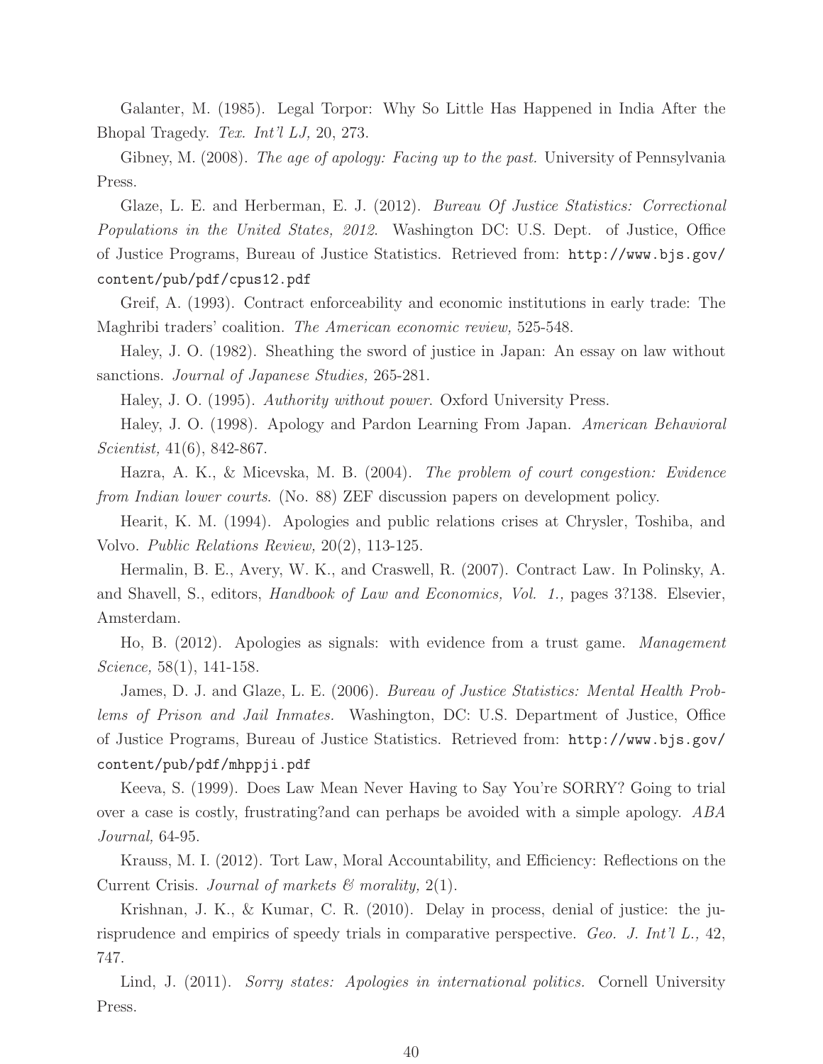Galanter, M. (1985). Legal Torpor: Why So Little Has Happened in India After the Bhopal Tragedy. Tex. Int'l LJ, 20, 273.

Gibney, M. (2008). The age of apology: Facing up to the past. University of Pennsylvania Press.

Glaze, L. E. and Herberman, E. J. (2012). Bureau Of Justice Statistics: Correctional Populations in the United States, 2012. Washington DC: U.S. Dept. of Justice, Office of Justice Programs, Bureau of Justice Statistics. Retrieved from: http://www.bjs.gov/ content/pub/pdf/cpus12.pdf

Greif, A. (1993). Contract enforceability and economic institutions in early trade: The Maghribi traders' coalition. The American economic review, 525-548.

Haley, J. O. (1982). Sheathing the sword of justice in Japan: An essay on law without sanctions. Journal of Japanese Studies, 265-281.

Haley, J. O. (1995). Authority without power. Oxford University Press.

Haley, J. O. (1998). Apology and Pardon Learning From Japan. American Behavioral Scientist, 41(6), 842-867.

Hazra, A. K., & Micevska, M. B. (2004). The problem of court congestion: Evidence from Indian lower courts. (No. 88) ZEF discussion papers on development policy.

Hearit, K. M. (1994). Apologies and public relations crises at Chrysler, Toshiba, and Volvo. Public Relations Review, 20(2), 113-125.

Hermalin, B. E., Avery, W. K., and Craswell, R. (2007). Contract Law. In Polinsky, A. and Shavell, S., editors, Handbook of Law and Economics, Vol. 1., pages 3?138. Elsevier, Amsterdam.

Ho, B. (2012). Apologies as signals: with evidence from a trust game. Management Science, 58(1), 141-158.

James, D. J. and Glaze, L. E. (2006). Bureau of Justice Statistics: Mental Health Problems of Prison and Jail Inmates. Washington, DC: U.S. Department of Justice, Office of Justice Programs, Bureau of Justice Statistics. Retrieved from: http://www.bjs.gov/ content/pub/pdf/mhppji.pdf

Keeva, S. (1999). Does Law Mean Never Having to Say You're SORRY? Going to trial over a case is costly, frustrating?and can perhaps be avoided with a simple apology. ABA Journal, 64-95.

Krauss, M. I. (2012). Tort Law, Moral Accountability, and Efficiency: Reflections on the Current Crisis. Journal of markets  $\mathcal C$  morality, 2(1).

Krishnan, J. K., & Kumar, C. R. (2010). Delay in process, denial of justice: the jurisprudence and empirics of speedy trials in comparative perspective. Geo. J. Int'l L., 42, 747.

Lind, J. (2011). Sorry states: Apologies in international politics. Cornell University Press.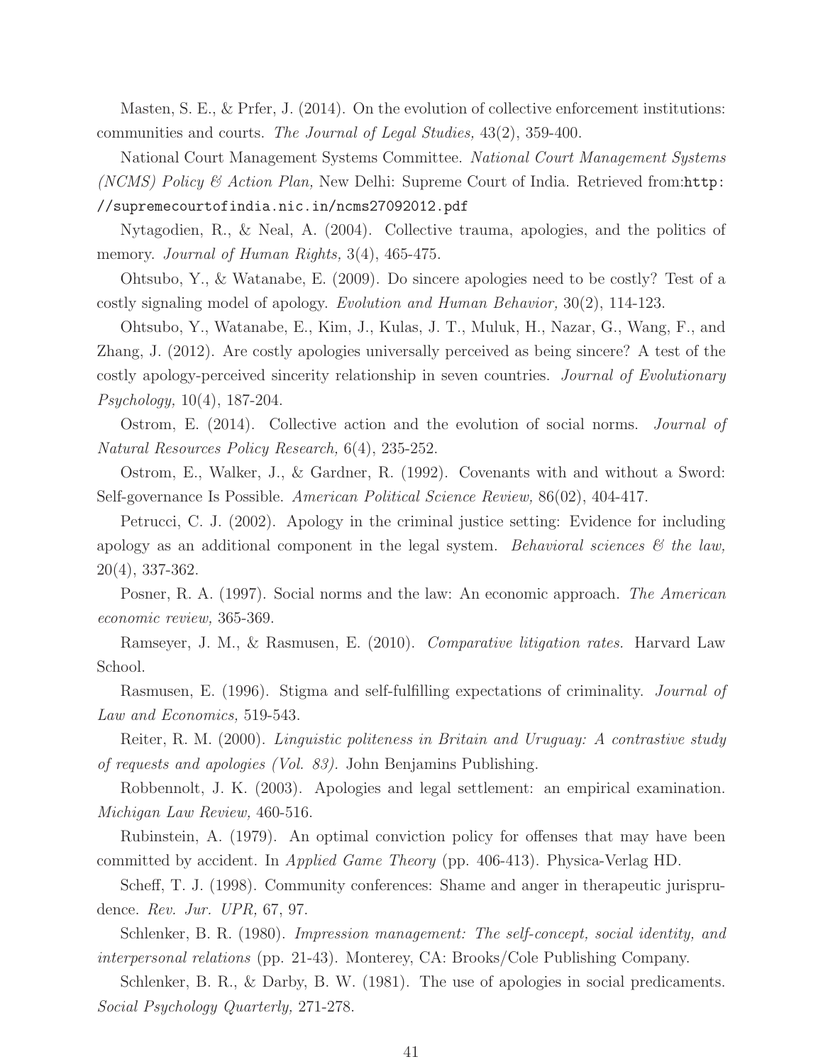Masten, S. E., & Prfer, J. (2014). On the evolution of collective enforcement institutions: communities and courts. The Journal of Legal Studies, 43(2), 359-400.

National Court Management Systems Committee. National Court Management Systems (NCMS) Policy & Action Plan, New Delhi: Supreme Court of India. Retrieved from:http: //supremecourtofindia.nic.in/ncms27092012.pdf

Nytagodien, R., & Neal, A. (2004). Collective trauma, apologies, and the politics of memory. Journal of Human Rights, 3(4), 465-475.

Ohtsubo, Y., & Watanabe, E. (2009). Do sincere apologies need to be costly? Test of a costly signaling model of apology. Evolution and Human Behavior, 30(2), 114-123.

Ohtsubo, Y., Watanabe, E., Kim, J., Kulas, J. T., Muluk, H., Nazar, G., Wang, F., and Zhang, J. (2012). Are costly apologies universally perceived as being sincere? A test of the costly apology-perceived sincerity relationship in seven countries. Journal of Evolutionary Psychology, 10(4), 187-204.

Ostrom, E. (2014). Collective action and the evolution of social norms. Journal of Natural Resources Policy Research, 6(4), 235-252.

Ostrom, E., Walker, J., & Gardner, R. (1992). Covenants with and without a Sword: Self-governance Is Possible. American Political Science Review, 86(02), 404-417.

Petrucci, C. J. (2002). Apology in the criminal justice setting: Evidence for including apology as an additional component in the legal system. Behavioral sciences  $\mathcal{C}$  the law, 20(4), 337-362.

Posner, R. A. (1997). Social norms and the law: An economic approach. The American economic review, 365-369.

Ramseyer, J. M., & Rasmusen, E. (2010). Comparative litigation rates. Harvard Law School.

Rasmusen, E. (1996). Stigma and self-fulfilling expectations of criminality. *Journal of* Law and Economics, 519-543.

Reiter, R. M. (2000). Linguistic politeness in Britain and Uruguay: A contrastive study of requests and apologies (Vol. 83). John Benjamins Publishing.

Robbennolt, J. K. (2003). Apologies and legal settlement: an empirical examination. Michigan Law Review, 460-516.

Rubinstein, A. (1979). An optimal conviction policy for offenses that may have been committed by accident. In Applied Game Theory (pp. 406-413). Physica-Verlag HD.

Scheff, T. J. (1998). Community conferences: Shame and anger in therapeutic jurisprudence. Rev. Jur. UPR, 67, 97.

Schlenker, B. R. (1980). *Impression management: The self-concept, social identity, and* interpersonal relations (pp. 21-43). Monterey, CA: Brooks/Cole Publishing Company.

Schlenker, B. R., & Darby, B. W. (1981). The use of apologies in social predicaments. Social Psychology Quarterly, 271-278.